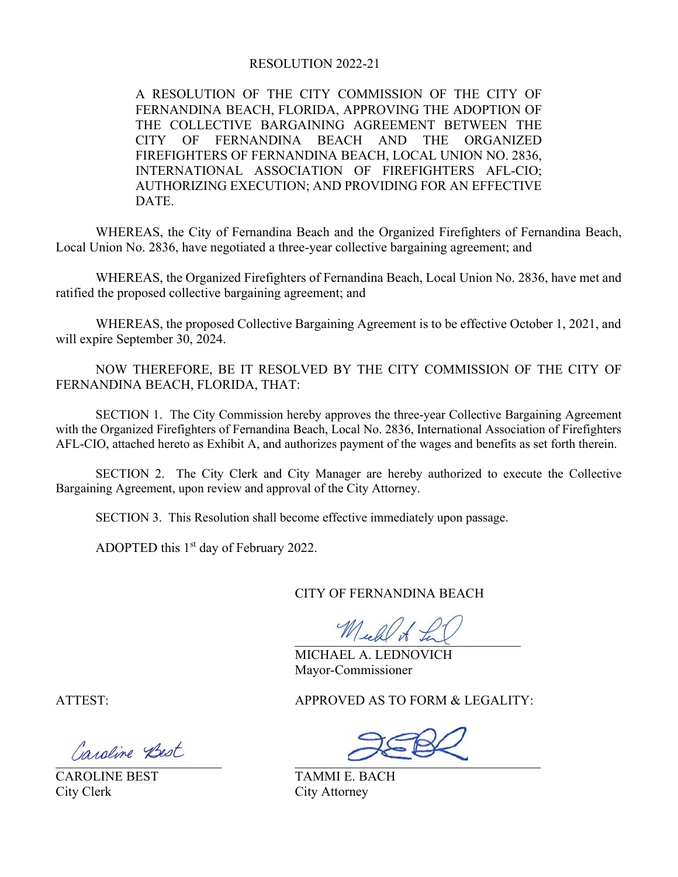#### **RESOLUTION 2022-21**

A RESOLUTION OF THE CITY COMMISSION OF THE CITY OF FERNANDINA BEACH, FLORIDA, APPROVING THE ADOPTION OF THE COLLECTIVE BARGAINING AGREEMENT BETWEEN THE CITY OF FERNANDINA BEACH AND THE ORGANIZED FIREFIGHTERS OF FERNANDINA BEACH, LOCAL UNION NO. 2836, INTERNATIONAL ASSOCIATION OF FIREFIGHTERS AFL-CIO; AUTHORIZING EXECUTION; AND PROVIDING FOR AN EFFECTIVE DATE.

WHEREAS, the City of Fernandina Beach and the Organized Firefighters of Fernandina Beach, Local Union No. 2836, have negotiated a three-year collective bargaining agreement; and

WHEREAS, the Organized Firefighters of Fernandina Beach, Local Union No. 2836, have met and ratified the proposed collective bargaining agreement; and

WHEREAS, the proposed Collective Bargaining Agreement is to be effective October 1, 2021, and will expire September 30, 2024.

NOW THEREFORE, BE IT RESOLVED BY THE CITY COMMISSION OF THE CITY OF FERNANDINA BEACH, FLORIDA, THAT:

SECTION 1. The City Commission hereby approves the three-year Collective Bargaining Agreement with the Organized Firefighters of Fernandina Beach, Local No. 2836, International Association of Firefighters AFL-CIO, attached hereto as Exhibit A, and authorizes payment of the wages and benefits as set forth therein.

SECTION 2. The City Clerk and City Manager are hereby authorized to execute the Collective Bargaining Agreement, upon review and approval of the City Attorney.

SECTION 3. This Resolution shall become effective immediately upon passage.

ADOPTED this  $1<sup>st</sup>$  day of February 2022.

CITY OF FERNANDINA BEACH

 $\Psi$ lekt to tal

MICHAEL A. LEDNOVICH Mayor-Commissioner

ATTEST: APPROVED AS TO FORM & LEGALITY:

BBBBBBBBBBBBBBBBBBBBBBBBB BBBBBBBBBBBBBBBBBBBBBBBBBBBBBBBBBBBBB

City Clerk City Attorney

CAROLINE BEST TAMMI E. BACH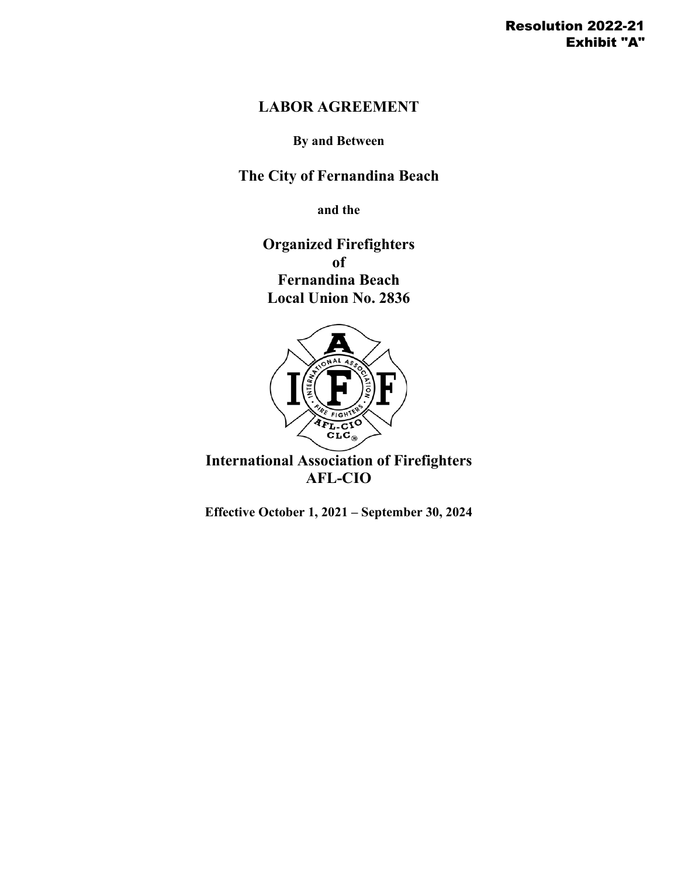# **LABOR AGREEMENT**

**By and Between**

**The City of Fernandina Beach**

**and the**

**Organized Firefighters of Fernandina Beach Local Union No. 2836**



**International Association of Firefighters AFL-CIO**

**Effective October 1, 2021 – September 30, 2024**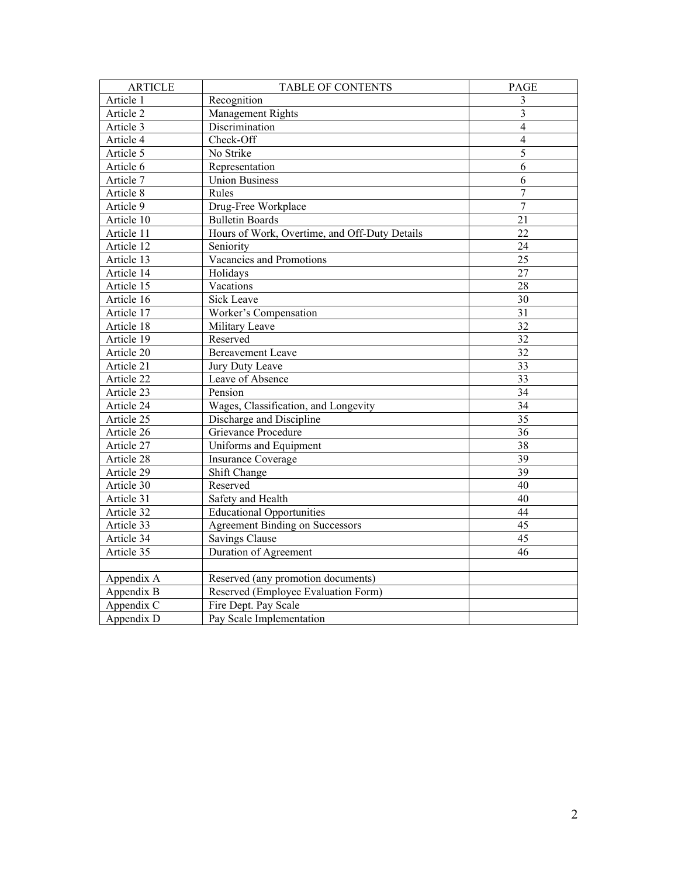| <b>ARTICLE</b>          | <b>TABLE OF CONTENTS</b>                      | <b>PAGE</b>     |
|-------------------------|-----------------------------------------------|-----------------|
| Article 1               | Recognition                                   | 3               |
| Article 2               | Management Rights                             | 3               |
| Article 3               | Discrimination                                | $\overline{4}$  |
| Article 4               | Check-Off                                     | $\overline{4}$  |
| Article 5               | No Strike                                     | 5               |
| Article 6               | Representation                                | 6               |
| Article 7               | <b>Union Business</b>                         | 6               |
| Article 8               | Rules                                         | $\overline{7}$  |
| Article 9               | Drug-Free Workplace                           | $\overline{7}$  |
| Article 10              | <b>Bulletin Boards</b>                        | 21              |
| Article 11              | Hours of Work, Overtime, and Off-Duty Details | 22              |
| Article 12              | Seniority                                     | 24              |
| Article 13              | Vacancies and Promotions                      | $\overline{25}$ |
| Article 14              | Holidays                                      | 27              |
| Article 15              | Vacations                                     | 28              |
| Article 16              | <b>Sick Leave</b>                             | 30              |
| Article 17              | Worker's Compensation                         | 31              |
| Article 18              | Military Leave                                | 32              |
| Article 19              | Reserved                                      | $\overline{32}$ |
| Article 20              | <b>Bereavement Leave</b>                      | 32              |
| Article 21              | Jury Duty Leave                               | 33              |
| Article 22              | Leave of Absence                              | 33              |
| Article 23              | Pension                                       | $\overline{34}$ |
| Article 24              | Wages, Classification, and Longevity          | 34              |
| Article 25              | Discharge and Discipline                      | 35              |
| Article $26$            | Grievance Procedure                           | 36              |
| Article 27              | Uniforms and Equipment                        | 38              |
| Article 28              | <b>Insurance Coverage</b>                     | 39              |
| Article 29              | Shift Change                                  | $\overline{39}$ |
| Article 30              | Reserved                                      | 40              |
| Article 31              | Safety and Health                             | 40              |
| Article 32              | <b>Educational Opportunities</b>              | 44              |
| Article 33              | <b>Agreement Binding on Successors</b>        | 45              |
| Article 34              | Savings Clause                                | 45              |
| Article 35              | Duration of Agreement                         | 46              |
|                         |                                               |                 |
| Appendix A              | Reserved (any promotion documents)            |                 |
| Appendix B              | Reserved (Employee Evaluation Form)           |                 |
| Appendix C              | Fire Dept. Pay Scale                          |                 |
| Appendix $\overline{D}$ | Pay Scale Implementation                      |                 |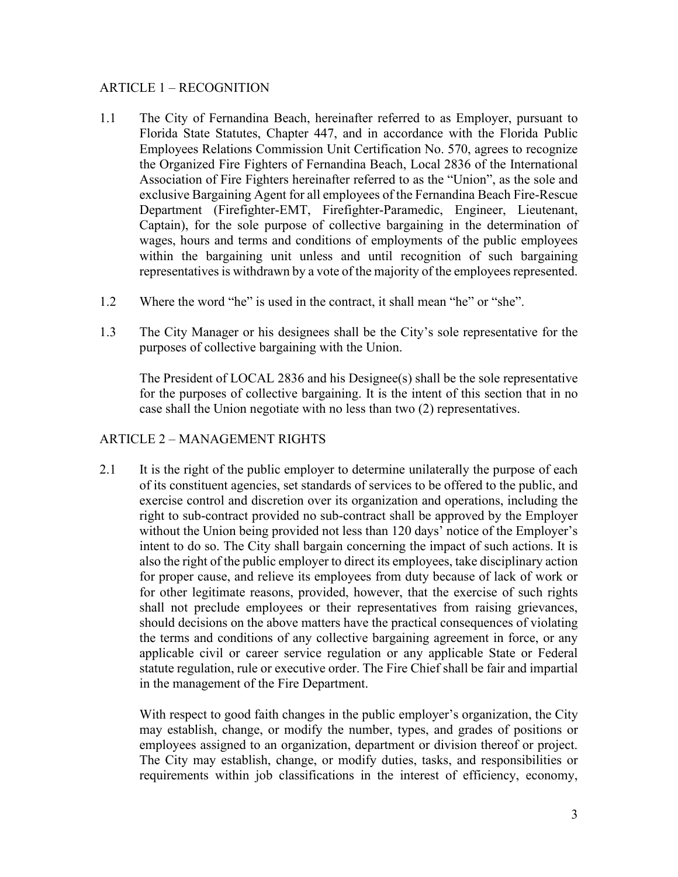#### ARTICLE 1 – RECOGNITION

- 1.1 The City of Fernandina Beach, hereinafter referred to as Employer, pursuant to Florida State Statutes, Chapter 447, and in accordance with the Florida Public Employees Relations Commission Unit Certification No. 570, agrees to recognize the Organized Fire Fighters of Fernandina Beach, Local 2836 of the International Association of Fire Fighters hereinafter referred to as the "Union", as the sole and exclusive Bargaining Agent for all employees of the Fernandina Beach Fire-Rescue Department (Firefighter-EMT, Firefighter-Paramedic, Engineer, Lieutenant, Captain), for the sole purpose of collective bargaining in the determination of wages, hours and terms and conditions of employments of the public employees within the bargaining unit unless and until recognition of such bargaining representatives is withdrawn by a vote of the majority of the employees represented.
- 1.2 Where the word "he" is used in the contract, it shall mean "he" or "she".
- 1.3 The City Manager or his designees shall be the City's sole representative for the purposes of collective bargaining with the Union.

The President of LOCAL 2836 and his Designee(s) shall be the sole representative for the purposes of collective bargaining. It is the intent of this section that in no case shall the Union negotiate with no less than two (2) representatives.

# ARTICLE 2 – MANAGEMENT RIGHTS

2.1 It is the right of the public employer to determine unilaterally the purpose of each of its constituent agencies, set standards of services to be offered to the public, and exercise control and discretion over its organization and operations, including the right to sub-contract provided no sub-contract shall be approved by the Employer without the Union being provided not less than 120 days' notice of the Employer's intent to do so. The City shall bargain concerning the impact of such actions. It is also the right of the public employer to direct its employees, take disciplinary action for proper cause, and relieve its employees from duty because of lack of work or for other legitimate reasons, provided, however, that the exercise of such rights shall not preclude employees or their representatives from raising grievances, should decisions on the above matters have the practical consequences of violating the terms and conditions of any collective bargaining agreement in force, or any applicable civil or career service regulation or any applicable State or Federal statute regulation, rule or executive order. The Fire Chief shall be fair and impartial in the management of the Fire Department.

With respect to good faith changes in the public employer's organization, the City may establish, change, or modify the number, types, and grades of positions or employees assigned to an organization, department or division thereof or project. The City may establish, change, or modify duties, tasks, and responsibilities or requirements within job classifications in the interest of efficiency, economy,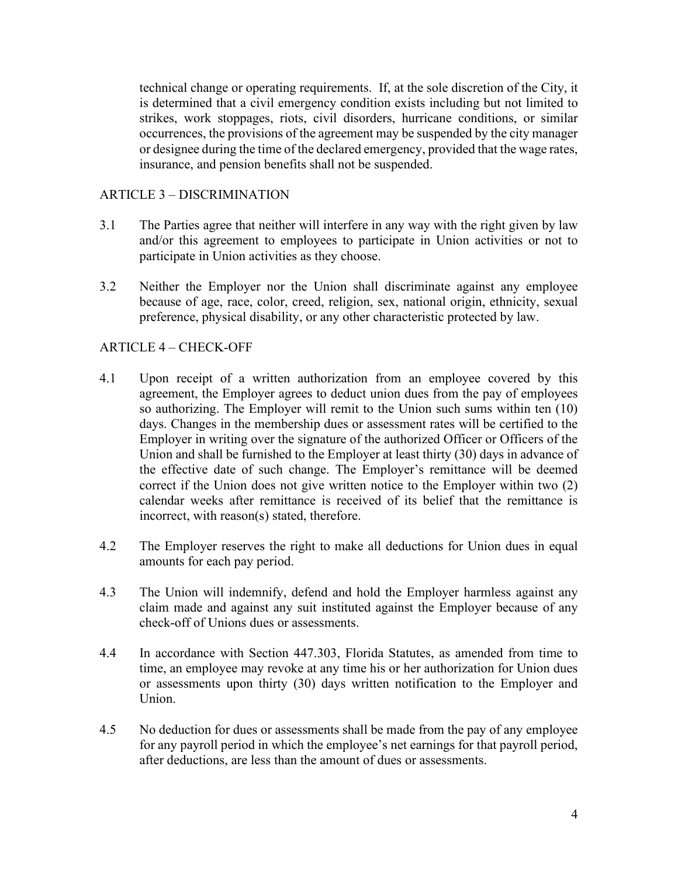technical change or operating requirements. If, at the sole discretion of the City, it is determined that a civil emergency condition exists including but not limited to strikes, work stoppages, riots, civil disorders, hurricane conditions, or similar occurrences, the provisions of the agreement may be suspended by the city manager or designee during the time of the declared emergency, provided that the wage rates, insurance, and pension benefits shall not be suspended.

### ARTICLE 3 – DISCRIMINATION

- 3.1 The Parties agree that neither will interfere in any way with the right given by law and/or this agreement to employees to participate in Union activities or not to participate in Union activities as they choose.
- 3.2 Neither the Employer nor the Union shall discriminate against any employee because of age, race, color, creed, religion, sex, national origin, ethnicity, sexual preference, physical disability, or any other characteristic protected by law.

#### ARTICLE 4 – CHECK-OFF

- 4.1 Upon receipt of a written authorization from an employee covered by this agreement, the Employer agrees to deduct union dues from the pay of employees so authorizing. The Employer will remit to the Union such sums within ten (10) days. Changes in the membership dues or assessment rates will be certified to the Employer in writing over the signature of the authorized Officer or Officers of the Union and shall be furnished to the Employer at least thirty (30) days in advance of the effective date of such change. The Employer's remittance will be deemed correct if the Union does not give written notice to the Employer within two (2) calendar weeks after remittance is received of its belief that the remittance is incorrect, with reason(s) stated, therefore.
- 4.2 The Employer reserves the right to make all deductions for Union dues in equal amounts for each pay period.
- 4.3 The Union will indemnify, defend and hold the Employer harmless against any claim made and against any suit instituted against the Employer because of any check-off of Unions dues or assessments.
- 4.4 In accordance with Section 447.303, Florida Statutes, as amended from time to time, an employee may revoke at any time his or her authorization for Union dues or assessments upon thirty (30) days written notification to the Employer and Union.
- 4.5 No deduction for dues or assessments shall be made from the pay of any employee for any payroll period in which the employee's net earnings for that payroll period, after deductions, are less than the amount of dues or assessments.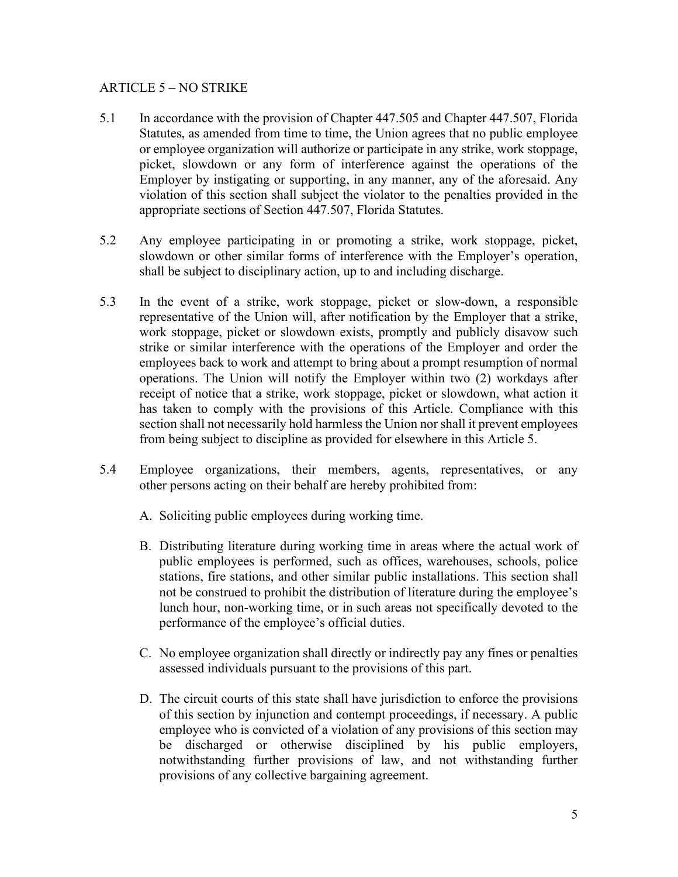#### ARTICLE 5 – NO STRIKE

- 5.1 In accordance with the provision of Chapter 447.505 and Chapter 447.507, Florida Statutes, as amended from time to time, the Union agrees that no public employee or employee organization will authorize or participate in any strike, work stoppage, picket, slowdown or any form of interference against the operations of the Employer by instigating or supporting, in any manner, any of the aforesaid. Any violation of this section shall subject the violator to the penalties provided in the appropriate sections of Section 447.507, Florida Statutes.
- 5.2 Any employee participating in or promoting a strike, work stoppage, picket, slowdown or other similar forms of interference with the Employer's operation, shall be subject to disciplinary action, up to and including discharge.
- 5.3 In the event of a strike, work stoppage, picket or slow-down, a responsible representative of the Union will, after notification by the Employer that a strike, work stoppage, picket or slowdown exists, promptly and publicly disavow such strike or similar interference with the operations of the Employer and order the employees back to work and attempt to bring about a prompt resumption of normal operations. The Union will notify the Employer within two (2) workdays after receipt of notice that a strike, work stoppage, picket or slowdown, what action it has taken to comply with the provisions of this Article. Compliance with this section shall not necessarily hold harmless the Union nor shall it prevent employees from being subject to discipline as provided for elsewhere in this Article 5.
- 5.4 Employee organizations, their members, agents, representatives, or any other persons acting on their behalf are hereby prohibited from:
	- A. Soliciting public employees during working time.
	- B. Distributing literature during working time in areas where the actual work of public employees is performed, such as offices, warehouses, schools, police stations, fire stations, and other similar public installations. This section shall not be construed to prohibit the distribution of literature during the employee's lunch hour, non-working time, or in such areas not specifically devoted to the performance of the employee's official duties.
	- C. No employee organization shall directly or indirectly pay any fines or penalties assessed individuals pursuant to the provisions of this part.
	- D. The circuit courts of this state shall have jurisdiction to enforce the provisions of this section by injunction and contempt proceedings, if necessary. A public employee who is convicted of a violation of any provisions of this section may be discharged or otherwise disciplined by his public employers, notwithstanding further provisions of law, and not withstanding further provisions of any collective bargaining agreement.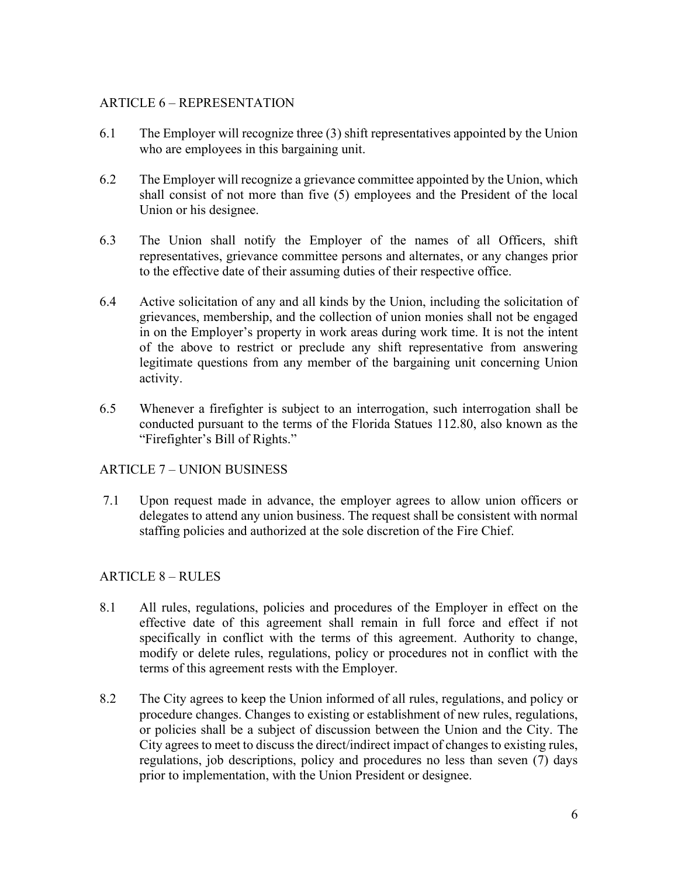# ARTICLE 6 – REPRESENTATION

- 6.1 The Employer will recognize three (3) shift representatives appointed by the Union who are employees in this bargaining unit.
- 6.2 The Employer will recognize a grievance committee appointed by the Union, which shall consist of not more than five (5) employees and the President of the local Union or his designee.
- 6.3 The Union shall notify the Employer of the names of all Officers, shift representatives, grievance committee persons and alternates, or any changes prior to the effective date of their assuming duties of their respective office.
- 6.4 Active solicitation of any and all kinds by the Union, including the solicitation of grievances, membership, and the collection of union monies shall not be engaged in on the Employer's property in work areas during work time. It is not the intent of the above to restrict or preclude any shift representative from answering legitimate questions from any member of the bargaining unit concerning Union activity.
- 6.5 Whenever a firefighter is subject to an interrogation, such interrogation shall be conducted pursuant to the terms of the Florida Statues 112.80, also known as the "Firefighter's Bill of Rights."

# ARTICLE 7 – UNION BUSINESS

7.1 Upon request made in advance, the employer agrees to allow union officers or delegates to attend any union business. The request shall be consistent with normal staffing policies and authorized at the sole discretion of the Fire Chief.

# ARTICLE 8 – RULES

- 8.1 All rules, regulations, policies and procedures of the Employer in effect on the effective date of this agreement shall remain in full force and effect if not specifically in conflict with the terms of this agreement. Authority to change, modify or delete rules, regulations, policy or procedures not in conflict with the terms of this agreement rests with the Employer.
- 8.2 The City agrees to keep the Union informed of all rules, regulations, and policy or procedure changes. Changes to existing or establishment of new rules, regulations, or policies shall be a subject of discussion between the Union and the City. The City agrees to meet to discuss the direct/indirect impact of changes to existing rules, regulations, job descriptions, policy and procedures no less than seven (7) days prior to implementation, with the Union President or designee.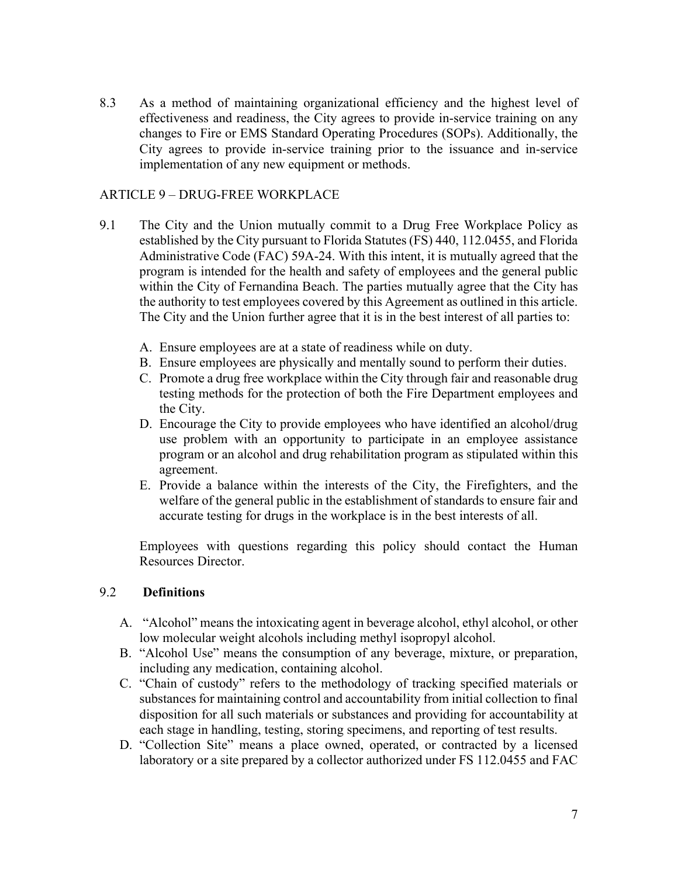8.3 As a method of maintaining organizational efficiency and the highest level of effectiveness and readiness, the City agrees to provide in-service training on any changes to Fire or EMS Standard Operating Procedures (SOPs). Additionally, the City agrees to provide in-service training prior to the issuance and in-service implementation of any new equipment or methods.

### ARTICLE 9 – DRUG-FREE WORKPLACE

- 9.1 The City and the Union mutually commit to a Drug Free Workplace Policy as established by the City pursuant to Florida Statutes (FS) 440, 112.0455, and Florida Administrative Code (FAC) 59A-24. With this intent, it is mutually agreed that the program is intended for the health and safety of employees and the general public within the City of Fernandina Beach. The parties mutually agree that the City has the authority to test employees covered by this Agreement as outlined in this article. The City and the Union further agree that it is in the best interest of all parties to:
	- A. Ensure employees are at a state of readiness while on duty.
	- B. Ensure employees are physically and mentally sound to perform their duties.
	- C. Promote a drug free workplace within the City through fair and reasonable drug testing methods for the protection of both the Fire Department employees and the City.
	- D. Encourage the City to provide employees who have identified an alcohol/drug use problem with an opportunity to participate in an employee assistance program or an alcohol and drug rehabilitation program as stipulated within this agreement.
	- E. Provide a balance within the interests of the City, the Firefighters, and the welfare of the general public in the establishment of standards to ensure fair and accurate testing for drugs in the workplace is in the best interests of all.

Employees with questions regarding this policy should contact the Human Resources Director.

#### 9.2 **Definitions**

- A. "Alcohol" means the intoxicating agent in beverage alcohol, ethyl alcohol, or other low molecular weight alcohols including methyl isopropyl alcohol.
- B. "Alcohol Use" means the consumption of any beverage, mixture, or preparation, including any medication, containing alcohol.
- C. "Chain of custody" refers to the methodology of tracking specified materials or substances for maintaining control and accountability from initial collection to final disposition for all such materials or substances and providing for accountability at each stage in handling, testing, storing specimens, and reporting of test results.
- D. "Collection Site" means a place owned, operated, or contracted by a licensed laboratory or a site prepared by a collector authorized under FS 112.0455 and FAC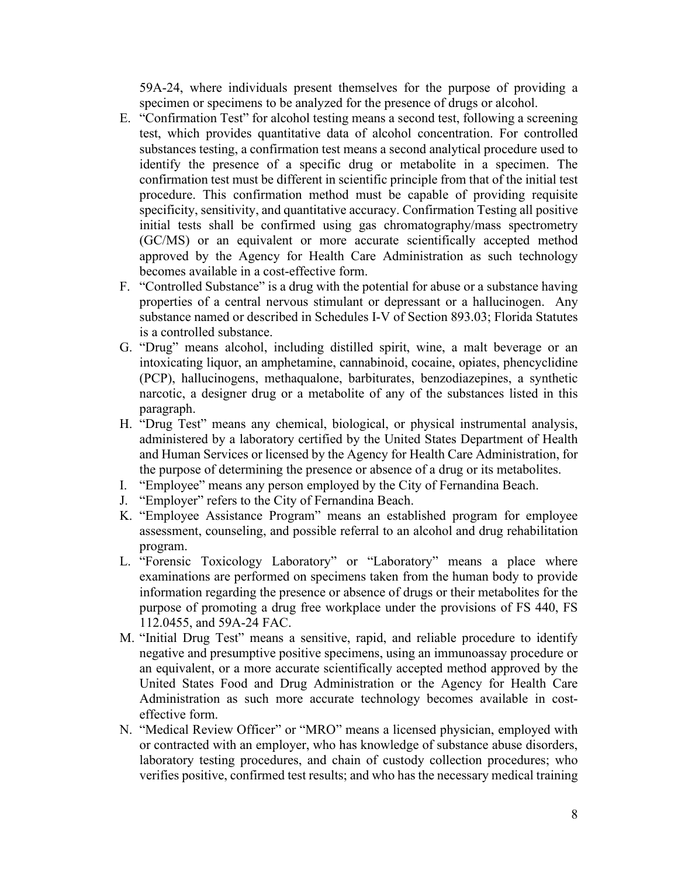59A-24, where individuals present themselves for the purpose of providing a specimen or specimens to be analyzed for the presence of drugs or alcohol.

- E. "Confirmation Test" for alcohol testing means a second test, following a screening test, which provides quantitative data of alcohol concentration. For controlled substances testing, a confirmation test means a second analytical procedure used to identify the presence of a specific drug or metabolite in a specimen. The confirmation test must be different in scientific principle from that of the initial test procedure. This confirmation method must be capable of providing requisite specificity, sensitivity, and quantitative accuracy. Confirmation Testing all positive initial tests shall be confirmed using gas chromatography/mass spectrometry (GC/MS) or an equivalent or more accurate scientifically accepted method approved by the Agency for Health Care Administration as such technology becomes available in a cost-effective form.
- F. "Controlled Substance" is a drug with the potential for abuse or a substance having properties of a central nervous stimulant or depressant or a hallucinogen. Any substance named or described in Schedules I-V of Section 893.03; Florida Statutes is a controlled substance.
- G. "Drug" means alcohol, including distilled spirit, wine, a malt beverage or an intoxicating liquor, an amphetamine, cannabinoid, cocaine, opiates, phencyclidine (PCP), hallucinogens, methaqualone, barbiturates, benzodiazepines, a synthetic narcotic, a designer drug or a metabolite of any of the substances listed in this paragraph.
- H. "Drug Test" means any chemical, biological, or physical instrumental analysis, administered by a laboratory certified by the United States Department of Health and Human Services or licensed by the Agency for Health Care Administration, for the purpose of determining the presence or absence of a drug or its metabolites.
- I. "Employee" means any person employed by the City of Fernandina Beach.
- J. "Employer" refers to the City of Fernandina Beach.
- K. "Employee Assistance Program" means an established program for employee assessment, counseling, and possible referral to an alcohol and drug rehabilitation program.
- L. "Forensic Toxicology Laboratory" or "Laboratory" means a place where examinations are performed on specimens taken from the human body to provide information regarding the presence or absence of drugs or their metabolites for the purpose of promoting a drug free workplace under the provisions of FS 440, FS 112.0455, and 59A-24 FAC.
- M. "Initial Drug Test" means a sensitive, rapid, and reliable procedure to identify negative and presumptive positive specimens, using an immunoassay procedure or an equivalent, or a more accurate scientifically accepted method approved by the United States Food and Drug Administration or the Agency for Health Care Administration as such more accurate technology becomes available in costeffective form.
- N. "Medical Review Officer" or "MRO" means a licensed physician, employed with or contracted with an employer, who has knowledge of substance abuse disorders, laboratory testing procedures, and chain of custody collection procedures; who verifies positive, confirmed test results; and who has the necessary medical training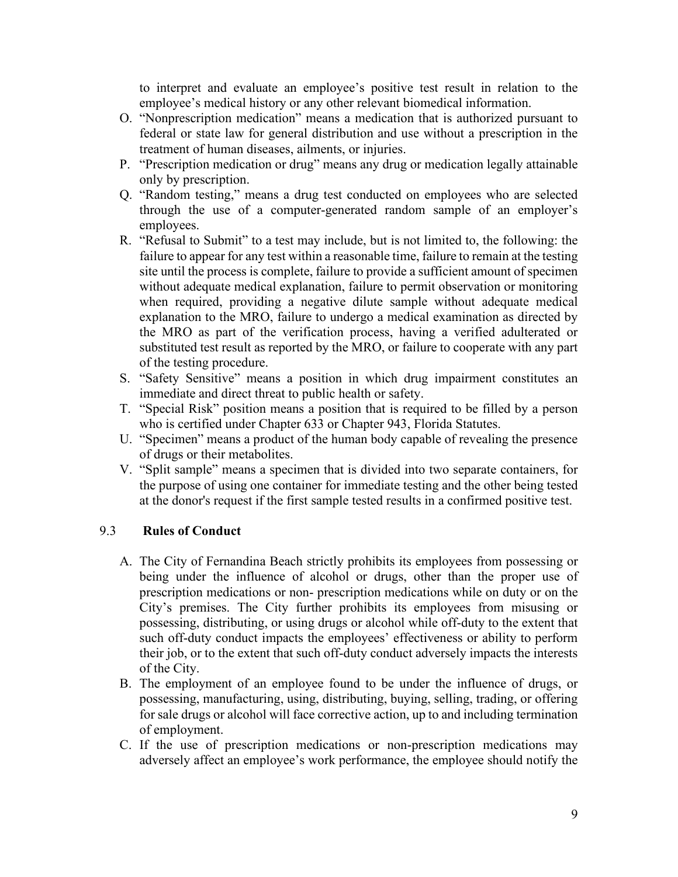to interpret and evaluate an employee's positive test result in relation to the employee's medical history or any other relevant biomedical information.

- O. "Nonprescription medication" means a medication that is authorized pursuant to federal or state law for general distribution and use without a prescription in the treatment of human diseases, ailments, or injuries.
- P. "Prescription medication or drug" means any drug or medication legally attainable only by prescription.
- Q. "Random testing," means a drug test conducted on employees who are selected through the use of a computer-generated random sample of an employer's employees.
- R. "Refusal to Submit" to a test may include, but is not limited to, the following: the failure to appear for any test within a reasonable time, failure to remain at the testing site until the process is complete, failure to provide a sufficient amount of specimen without adequate medical explanation, failure to permit observation or monitoring when required, providing a negative dilute sample without adequate medical explanation to the MRO, failure to undergo a medical examination as directed by the MRO as part of the verification process, having a verified adulterated or substituted test result as reported by the MRO, or failure to cooperate with any part of the testing procedure.
- S. "Safety Sensitive" means a position in which drug impairment constitutes an immediate and direct threat to public health or safety.
- T. "Special Risk" position means a position that is required to be filled by a person who is certified under Chapter 633 or Chapter 943, Florida Statutes.
- U. "Specimen" means a product of the human body capable of revealing the presence of drugs or their metabolites.
- V. "Split sample" means a specimen that is divided into two separate containers, for the purpose of using one container for immediate testing and the other being tested at the donor's request if the first sample tested results in a confirmed positive test.

# 9.3 **Rules of Conduct**

- A. The City of Fernandina Beach strictly prohibits its employees from possessing or being under the influence of alcohol or drugs, other than the proper use of prescription medications or non- prescription medications while on duty or on the City's premises. The City further prohibits its employees from misusing or possessing, distributing, or using drugs or alcohol while off-duty to the extent that such off-duty conduct impacts the employees' effectiveness or ability to perform their job, or to the extent that such off-duty conduct adversely impacts the interests of the City.
- B. The employment of an employee found to be under the influence of drugs, or possessing, manufacturing, using, distributing, buying, selling, trading, or offering for sale drugs or alcohol will face corrective action, up to and including termination of employment.
- C. If the use of prescription medications or non-prescription medications may adversely affect an employee's work performance, the employee should notify the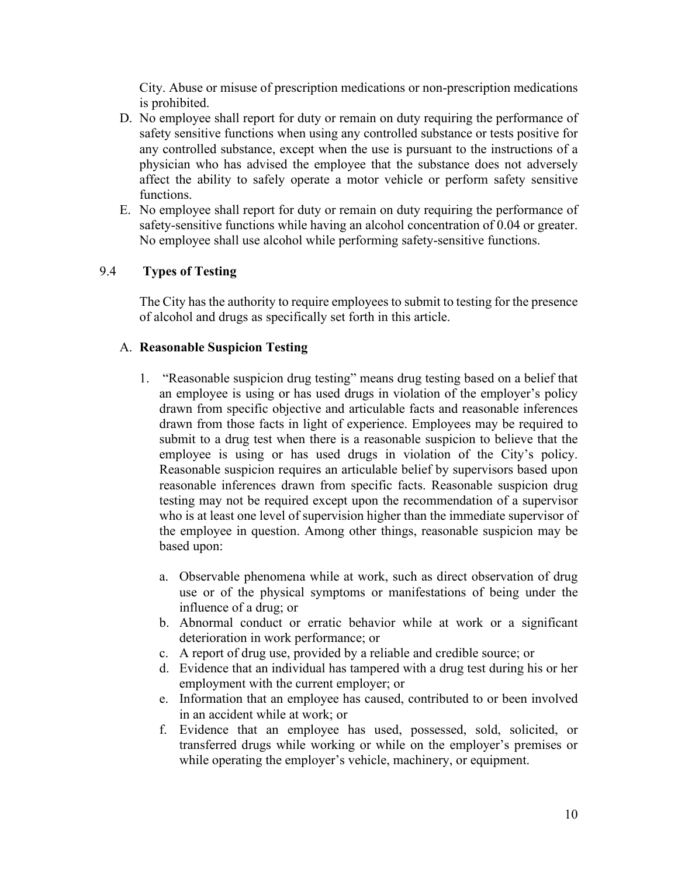City. Abuse or misuse of prescription medications or non-prescription medications is prohibited.

- D. No employee shall report for duty or remain on duty requiring the performance of safety sensitive functions when using any controlled substance or tests positive for any controlled substance, except when the use is pursuant to the instructions of a physician who has advised the employee that the substance does not adversely affect the ability to safely operate a motor vehicle or perform safety sensitive functions.
- E. No employee shall report for duty or remain on duty requiring the performance of safety-sensitive functions while having an alcohol concentration of 0.04 or greater. No employee shall use alcohol while performing safety-sensitive functions.

#### 9.4 **Types of Testing**

The City has the authority to require employees to submit to testing for the presence of alcohol and drugs as specifically set forth in this article.

#### A. **Reasonable Suspicion Testing**

- 1. "Reasonable suspicion drug testing" means drug testing based on a belief that an employee is using or has used drugs in violation of the employer's policy drawn from specific objective and articulable facts and reasonable inferences drawn from those facts in light of experience. Employees may be required to submit to a drug test when there is a reasonable suspicion to believe that the employee is using or has used drugs in violation of the City's policy. Reasonable suspicion requires an articulable belief by supervisors based upon reasonable inferences drawn from specific facts. Reasonable suspicion drug testing may not be required except upon the recommendation of a supervisor who is at least one level of supervision higher than the immediate supervisor of the employee in question. Among other things, reasonable suspicion may be based upon:
	- a. Observable phenomena while at work, such as direct observation of drug use or of the physical symptoms or manifestations of being under the influence of a drug; or
	- b. Abnormal conduct or erratic behavior while at work or a significant deterioration in work performance; or
	- c. A report of drug use, provided by a reliable and credible source; or
	- d. Evidence that an individual has tampered with a drug test during his or her employment with the current employer; or
	- e. Information that an employee has caused, contributed to or been involved in an accident while at work; or
	- f. Evidence that an employee has used, possessed, sold, solicited, or transferred drugs while working or while on the employer's premises or while operating the employer's vehicle, machinery, or equipment.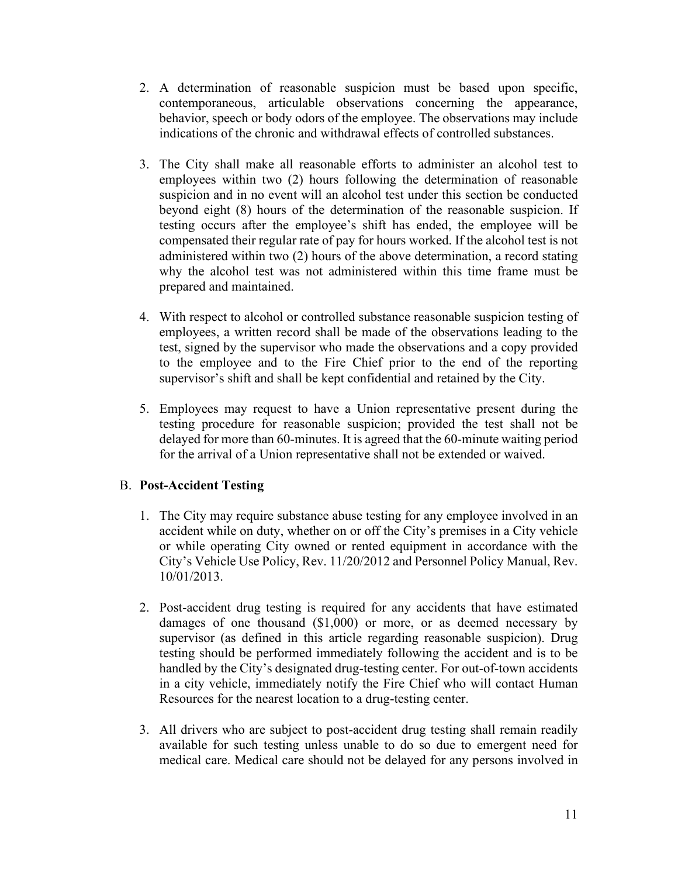- 2. A determination of reasonable suspicion must be based upon specific, contemporaneous, articulable observations concerning the appearance, behavior, speech or body odors of the employee. The observations may include indications of the chronic and withdrawal effects of controlled substances.
- 3. The City shall make all reasonable efforts to administer an alcohol test to employees within two (2) hours following the determination of reasonable suspicion and in no event will an alcohol test under this section be conducted beyond eight (8) hours of the determination of the reasonable suspicion. If testing occurs after the employee's shift has ended, the employee will be compensated their regular rate of pay for hours worked. If the alcohol test is not administered within two (2) hours of the above determination, a record stating why the alcohol test was not administered within this time frame must be prepared and maintained.
- 4. With respect to alcohol or controlled substance reasonable suspicion testing of employees, a written record shall be made of the observations leading to the test, signed by the supervisor who made the observations and a copy provided to the employee and to the Fire Chief prior to the end of the reporting supervisor's shift and shall be kept confidential and retained by the City.
- 5. Employees may request to have a Union representative present during the testing procedure for reasonable suspicion; provided the test shall not be delayed for more than 60-minutes. It is agreed that the 60-minute waiting period for the arrival of a Union representative shall not be extended or waived.

# B. **Post-Accident Testing**

- 1. The City may require substance abuse testing for any employee involved in an accident while on duty, whether on or off the City's premises in a City vehicle or while operating City owned or rented equipment in accordance with the City's Vehicle Use Policy, Rev. 11/20/2012 and Personnel Policy Manual, Rev. 10/01/2013.
- 2. Post-accident drug testing is required for any accidents that have estimated damages of one thousand (\$1,000) or more, or as deemed necessary by supervisor (as defined in this article regarding reasonable suspicion). Drug testing should be performed immediately following the accident and is to be handled by the City's designated drug-testing center. For out-of-town accidents in a city vehicle, immediately notify the Fire Chief who will contact Human Resources for the nearest location to a drug-testing center.
- 3. All drivers who are subject to post-accident drug testing shall remain readily available for such testing unless unable to do so due to emergent need for medical care. Medical care should not be delayed for any persons involved in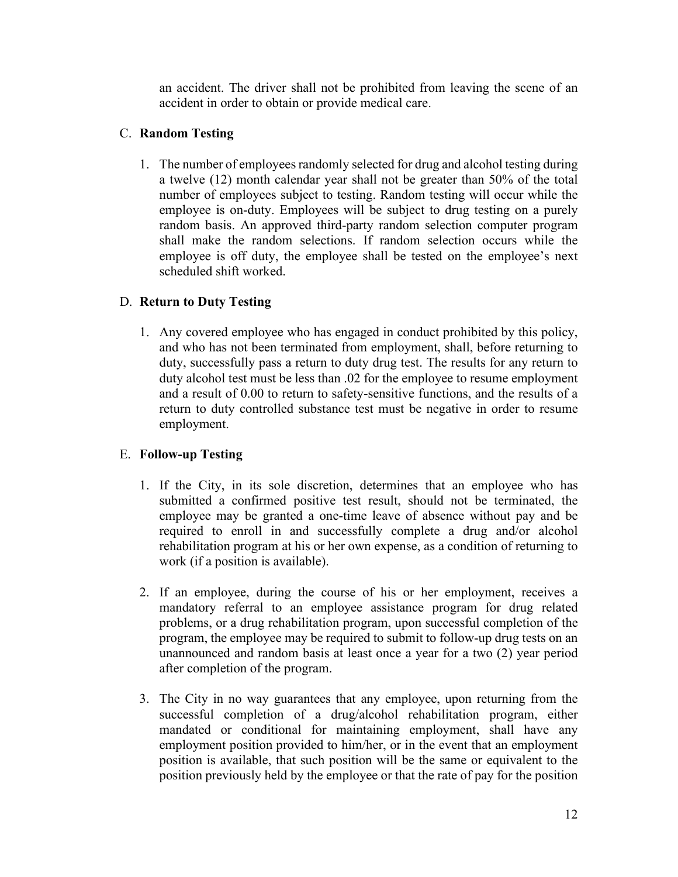an accident. The driver shall not be prohibited from leaving the scene of an accident in order to obtain or provide medical care.

# C. **Random Testing**

1. The number of employees randomly selected for drug and alcohol testing during a twelve (12) month calendar year shall not be greater than 50% of the total number of employees subject to testing. Random testing will occur while the employee is on-duty. Employees will be subject to drug testing on a purely random basis. An approved third-party random selection computer program shall make the random selections. If random selection occurs while the employee is off duty, the employee shall be tested on the employee's next scheduled shift worked.

# D. **Return to Duty Testing**

1. Any covered employee who has engaged in conduct prohibited by this policy, and who has not been terminated from employment, shall, before returning to duty, successfully pass a return to duty drug test. The results for any return to duty alcohol test must be less than .02 for the employee to resume employment and a result of 0.00 to return to safety-sensitive functions, and the results of a return to duty controlled substance test must be negative in order to resume employment.

# E. **Follow-up Testing**

- 1. If the City, in its sole discretion, determines that an employee who has submitted a confirmed positive test result, should not be terminated, the employee may be granted a one-time leave of absence without pay and be required to enroll in and successfully complete a drug and/or alcohol rehabilitation program at his or her own expense, as a condition of returning to work (if a position is available).
- 2. If an employee, during the course of his or her employment, receives a mandatory referral to an employee assistance program for drug related problems, or a drug rehabilitation program, upon successful completion of the program, the employee may be required to submit to follow-up drug tests on an unannounced and random basis at least once a year for a two (2) year period after completion of the program.
- 3. The City in no way guarantees that any employee, upon returning from the successful completion of a drug/alcohol rehabilitation program, either mandated or conditional for maintaining employment, shall have any employment position provided to him/her, or in the event that an employment position is available, that such position will be the same or equivalent to the position previously held by the employee or that the rate of pay for the position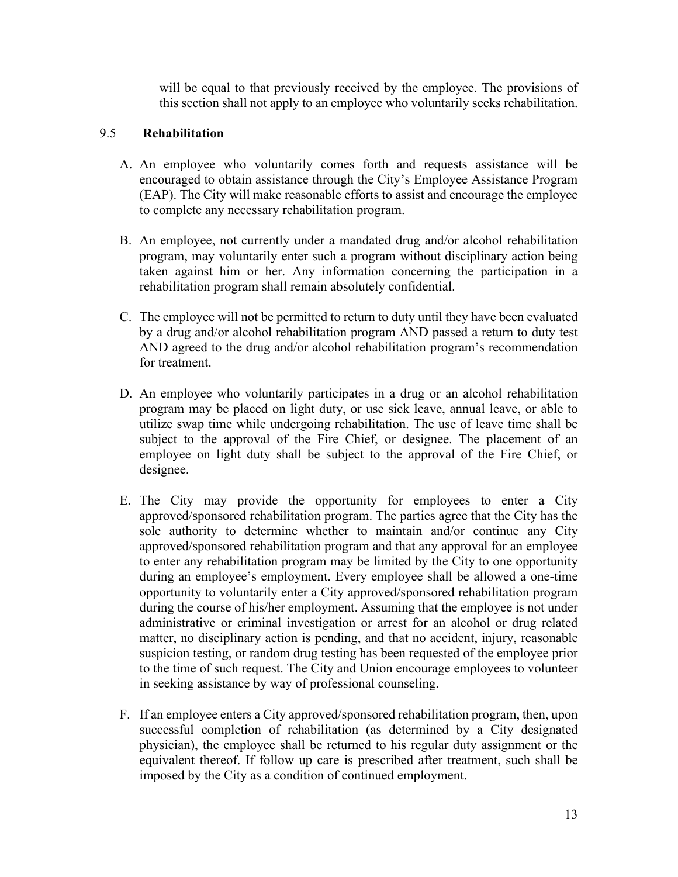will be equal to that previously received by the employee. The provisions of this section shall not apply to an employee who voluntarily seeks rehabilitation.

# 9.5 **Rehabilitation**

- A. An employee who voluntarily comes forth and requests assistance will be encouraged to obtain assistance through the City's Employee Assistance Program (EAP). The City will make reasonable efforts to assist and encourage the employee to complete any necessary rehabilitation program.
- B. An employee, not currently under a mandated drug and/or alcohol rehabilitation program, may voluntarily enter such a program without disciplinary action being taken against him or her. Any information concerning the participation in a rehabilitation program shall remain absolutely confidential.
- C. The employee will not be permitted to return to duty until they have been evaluated by a drug and/or alcohol rehabilitation program AND passed a return to duty test AND agreed to the drug and/or alcohol rehabilitation program's recommendation for treatment.
- D. An employee who voluntarily participates in a drug or an alcohol rehabilitation program may be placed on light duty, or use sick leave, annual leave, or able to utilize swap time while undergoing rehabilitation. The use of leave time shall be subject to the approval of the Fire Chief, or designee. The placement of an employee on light duty shall be subject to the approval of the Fire Chief, or designee.
- E. The City may provide the opportunity for employees to enter a City approved/sponsored rehabilitation program. The parties agree that the City has the sole authority to determine whether to maintain and/or continue any City approved/sponsored rehabilitation program and that any approval for an employee to enter any rehabilitation program may be limited by the City to one opportunity during an employee's employment. Every employee shall be allowed a one-time opportunity to voluntarily enter a City approved/sponsored rehabilitation program during the course of his/her employment. Assuming that the employee is not under administrative or criminal investigation or arrest for an alcohol or drug related matter, no disciplinary action is pending, and that no accident, injury, reasonable suspicion testing, or random drug testing has been requested of the employee prior to the time of such request. The City and Union encourage employees to volunteer in seeking assistance by way of professional counseling.
- F. If an employee enters a City approved/sponsored rehabilitation program, then, upon successful completion of rehabilitation (as determined by a City designated physician), the employee shall be returned to his regular duty assignment or the equivalent thereof. If follow up care is prescribed after treatment, such shall be imposed by the City as a condition of continued employment.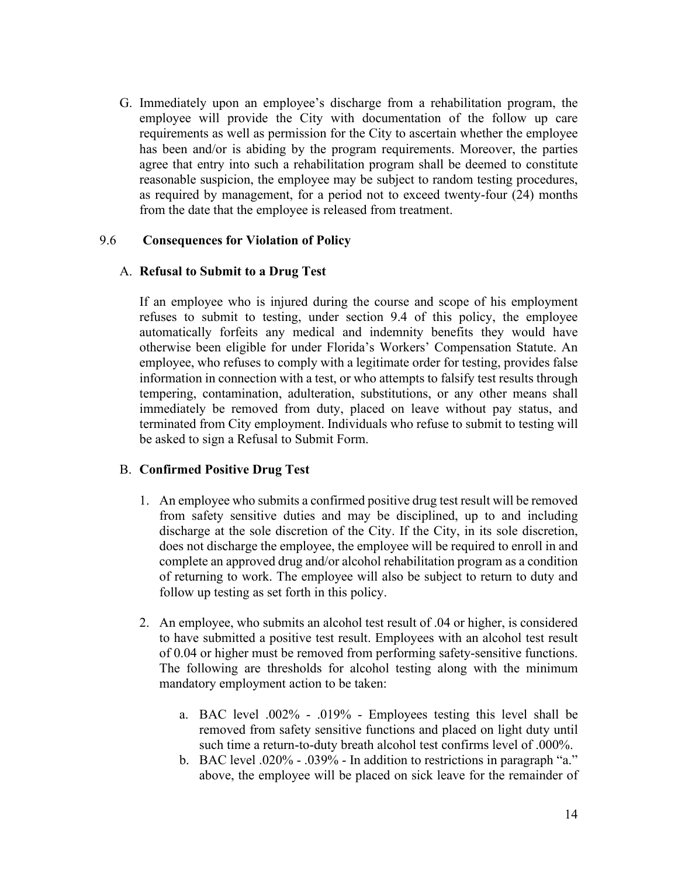G. Immediately upon an employee's discharge from a rehabilitation program, the employee will provide the City with documentation of the follow up care requirements as well as permission for the City to ascertain whether the employee has been and/or is abiding by the program requirements. Moreover, the parties agree that entry into such a rehabilitation program shall be deemed to constitute reasonable suspicion, the employee may be subject to random testing procedures, as required by management, for a period not to exceed twenty-four (24) months from the date that the employee is released from treatment.

#### 9.6 **Consequences for Violation of Policy**

#### A. **Refusal to Submit to a Drug Test**

If an employee who is injured during the course and scope of his employment refuses to submit to testing, under section 9.4 of this policy, the employee automatically forfeits any medical and indemnity benefits they would have otherwise been eligible for under Florida's Workers' Compensation Statute. An employee, who refuses to comply with a legitimate order for testing, provides false information in connection with a test, or who attempts to falsify test results through tempering, contamination, adulteration, substitutions, or any other means shall immediately be removed from duty, placed on leave without pay status, and terminated from City employment. Individuals who refuse to submit to testing will be asked to sign a Refusal to Submit Form.

#### B. **Confirmed Positive Drug Test**

- 1. An employee who submits a confirmed positive drug test result will be removed from safety sensitive duties and may be disciplined, up to and including discharge at the sole discretion of the City. If the City, in its sole discretion, does not discharge the employee, the employee will be required to enroll in and complete an approved drug and/or alcohol rehabilitation program as a condition of returning to work. The employee will also be subject to return to duty and follow up testing as set forth in this policy.
- 2. An employee, who submits an alcohol test result of .04 or higher, is considered to have submitted a positive test result. Employees with an alcohol test result of 0.04 or higher must be removed from performing safety-sensitive functions. The following are thresholds for alcohol testing along with the minimum mandatory employment action to be taken:
	- a. BAC level .002% .019% Employees testing this level shall be removed from safety sensitive functions and placed on light duty until such time a return-to-duty breath alcohol test confirms level of .000%.
	- b. BAC level .020% .039% In addition to restrictions in paragraph "a." above, the employee will be placed on sick leave for the remainder of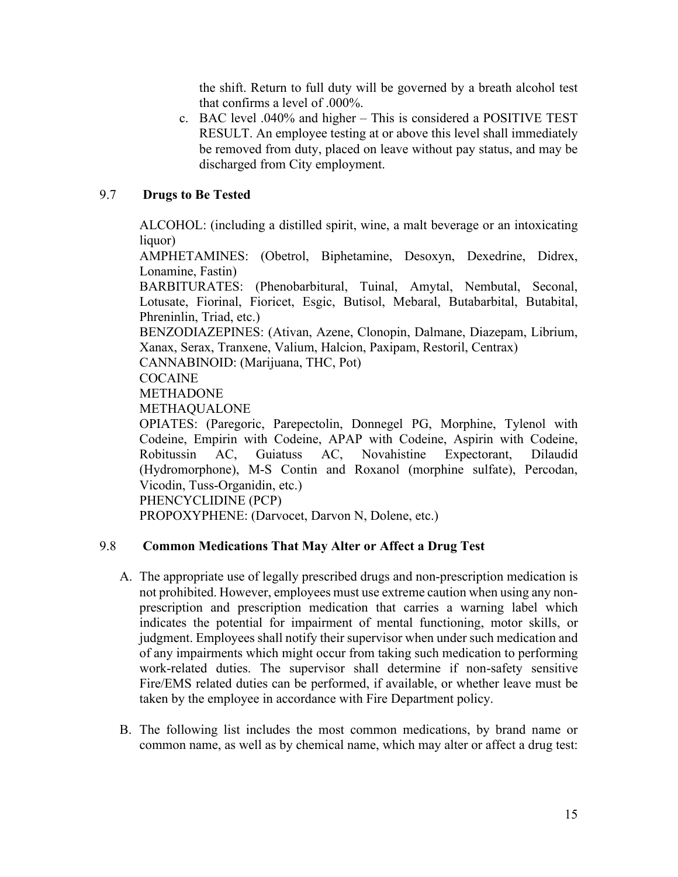the shift. Return to full duty will be governed by a breath alcohol test that confirms a level of .000%.

c. BAC level .040% and higher – This is considered a POSITIVE TEST RESULT. An employee testing at or above this level shall immediately be removed from duty, placed on leave without pay status, and may be discharged from City employment.

# 9.7 **Drugs to Be Tested**

ALCOHOL: (including a distilled spirit, wine, a malt beverage or an intoxicating liquor)

AMPHETAMINES: (Obetrol, Biphetamine, Desoxyn, Dexedrine, Didrex, Lonamine, Fastin)

BARBITURATES: (Phenobarbitural, Tuinal, Amytal, Nembutal, Seconal, Lotusate, Fiorinal, Fioricet, Esgic, Butisol, Mebaral, Butabarbital, Butabital, Phreninlin, Triad, etc.)

BENZODIAZEPINES: (Ativan, Azene, Clonopin, Dalmane, Diazepam, Librium, Xanax, Serax, Tranxene, Valium, Halcion, Paxipam, Restoril, Centrax)

CANNABINOID: (Marijuana, THC, Pot)

#### **COCAINE**

METHADONE

METHAQUALONE

OPIATES: (Paregoric, Parepectolin, Donnegel PG, Morphine, Tylenol with Codeine, Empirin with Codeine, APAP with Codeine, Aspirin with Codeine, Robitussin AC, Guiatuss AC, Novahistine Expectorant, Dilaudid (Hydromorphone), M-S Contin and Roxanol (morphine sulfate), Percodan, Vicodin, Tuss-Organidin, etc.)

PHENCYCLIDINE (PCP)

PROPOXYPHENE: (Darvocet, Darvon N, Dolene, etc.)

# 9.8 **Common Medications That May Alter or Affect a Drug Test**

- A. The appropriate use of legally prescribed drugs and non-prescription medication is not prohibited. However, employees must use extreme caution when using any nonprescription and prescription medication that carries a warning label which indicates the potential for impairment of mental functioning, motor skills, or judgment. Employees shall notify their supervisor when under such medication and of any impairments which might occur from taking such medication to performing work-related duties. The supervisor shall determine if non-safety sensitive Fire/EMS related duties can be performed, if available, or whether leave must be taken by the employee in accordance with Fire Department policy.
- B. The following list includes the most common medications, by brand name or common name, as well as by chemical name, which may alter or affect a drug test: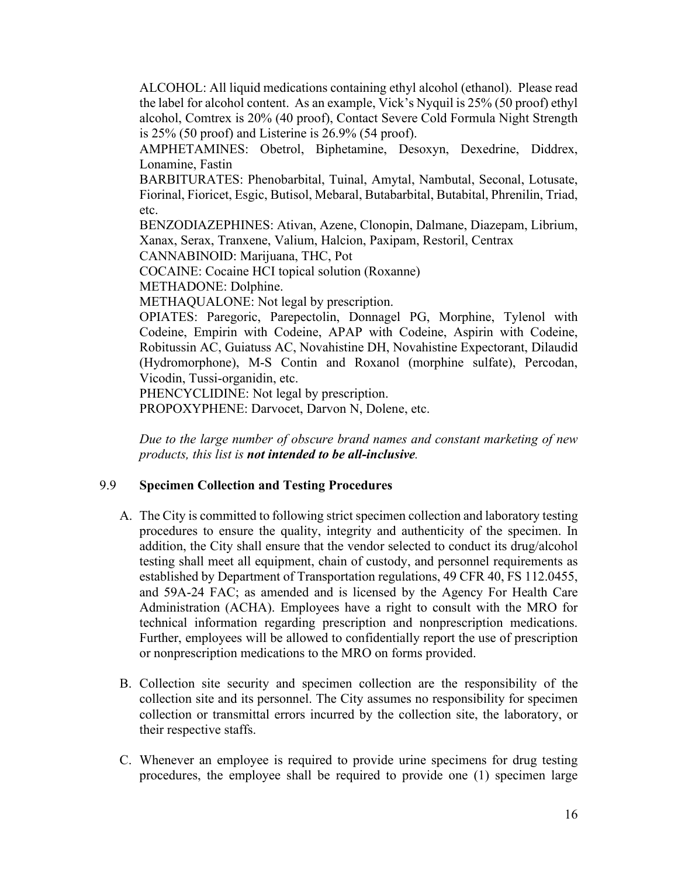ALCOHOL: All liquid medications containing ethyl alcohol (ethanol). Please read the label for alcohol content. As an example, Vick's Nyquil is 25% (50 proof) ethyl alcohol, Comtrex is 20% (40 proof), Contact Severe Cold Formula Night Strength is 25% (50 proof) and Listerine is 26.9% (54 proof).

AMPHETAMINES: Obetrol, Biphetamine, Desoxyn, Dexedrine, Diddrex, Lonamine, Fastin

BARBITURATES: Phenobarbital, Tuinal, Amytal, Nambutal, Seconal, Lotusate, Fiorinal, Fioricet, Esgic, Butisol, Mebaral, Butabarbital, Butabital, Phrenilin, Triad, etc.

BENZODIAZEPHINES: Ativan, Azene, Clonopin, Dalmane, Diazepam, Librium, Xanax, Serax, Tranxene, Valium, Halcion, Paxipam, Restoril, Centrax

CANNABINOID: Marijuana, THC, Pot

COCAINE: Cocaine HCI topical solution (Roxanne)

METHADONE: Dolphine.

METHAQUALONE: Not legal by prescription.

OPIATES: Paregoric, Parepectolin, Donnagel PG, Morphine, Tylenol with Codeine, Empirin with Codeine, APAP with Codeine, Aspirin with Codeine, Robitussin AC, Guiatuss AC, Novahistine DH, Novahistine Expectorant, Dilaudid (Hydromorphone), M-S Contin and Roxanol (morphine sulfate), Percodan, Vicodin, Tussi-organidin, etc.

PHENCYCLIDINE: Not legal by prescription.

PROPOXYPHENE: Darvocet, Darvon N, Dolene, etc.

*Due to the large number of obscure brand names and constant marketing of new products, this list is not intended to be all-inclusive.* 

#### 9.9 **Specimen Collection and Testing Procedures**

- A. The City is committed to following strict specimen collection and laboratory testing procedures to ensure the quality, integrity and authenticity of the specimen. In addition, the City shall ensure that the vendor selected to conduct its drug/alcohol testing shall meet all equipment, chain of custody, and personnel requirements as established by Department of Transportation regulations, 49 CFR 40, FS 112.0455, and 59A-24 FAC; as amended and is licensed by the Agency For Health Care Administration (ACHA). Employees have a right to consult with the MRO for technical information regarding prescription and nonprescription medications. Further, employees will be allowed to confidentially report the use of prescription or nonprescription medications to the MRO on forms provided.
- B. Collection site security and specimen collection are the responsibility of the collection site and its personnel. The City assumes no responsibility for specimen collection or transmittal errors incurred by the collection site, the laboratory, or their respective staffs.
- C. Whenever an employee is required to provide urine specimens for drug testing procedures, the employee shall be required to provide one (1) specimen large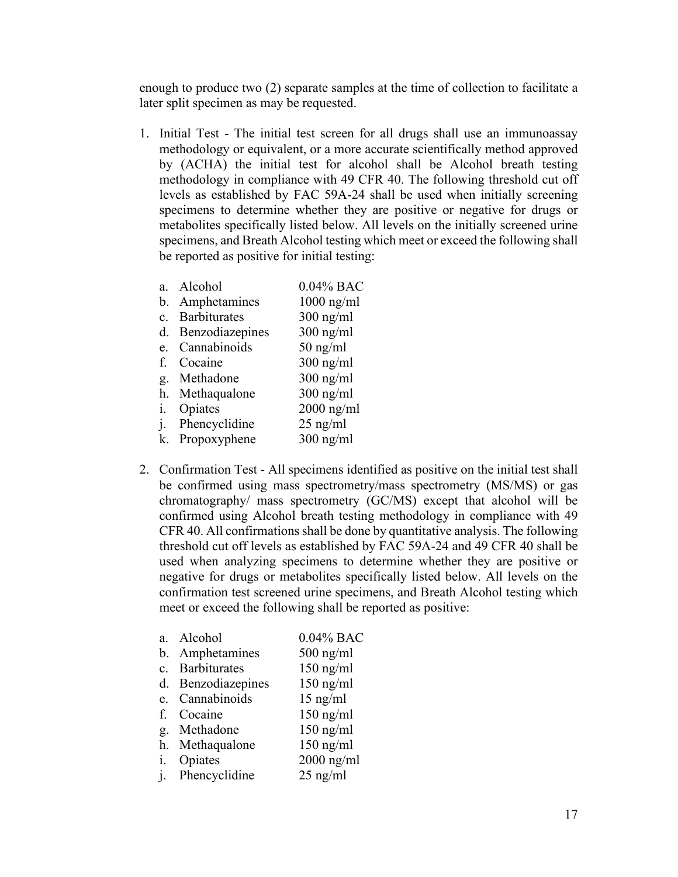enough to produce two (2) separate samples at the time of collection to facilitate a later split specimen as may be requested.

1. Initial Test - The initial test screen for all drugs shall use an immunoassay methodology or equivalent, or a more accurate scientifically method approved by (ACHA) the initial test for alcohol shall be Alcohol breath testing methodology in compliance with 49 CFR 40. The following threshold cut off levels as established by FAC 59A-24 shall be used when initially screening specimens to determine whether they are positive or negative for drugs or metabolites specifically listed below. All levels on the initially screened urine specimens, and Breath Alcohol testing which meet or exceed the following shall be reported as positive for initial testing:

| $a_{\cdot}$    | Alcohol         | 0.04% BAC    |
|----------------|-----------------|--------------|
| $\mathbf{b}$ . | Amphetamines    | $1000$ ng/ml |
| $c_{\cdot}$    | Barbiturates    | $300$ ng/ml  |
| d.             | Benzodiazepines | $300$ ng/ml  |
| e.             | Cannabinoids    | $50$ ng/ml   |
| f.             | Cocaine         | $300$ ng/ml  |
| g.             | Methadone       | $300$ ng/ml  |
|                | h. Methaqualone | $300$ ng/ml  |
| i.             | Opiates         | $2000$ ng/ml |
| j.             | Phencyclidine   | $25$ ng/ml   |
| k.             | Propoxyphene    | $300$ ng/ml  |
|                |                 |              |

2. Confirmation Test - All specimens identified as positive on the initial test shall be confirmed using mass spectrometry/mass spectrometry (MS/MS) or gas chromatography/ mass spectrometry (GC/MS) except that alcohol will be confirmed using Alcohol breath testing methodology in compliance with 49 CFR 40. All confirmations shall be done by quantitative analysis. The following threshold cut off levels as established by FAC 59A-24 and 49 CFR 40 shall be used when analyzing specimens to determine whether they are positive or negative for drugs or metabolites specifically listed below. All levels on the confirmation test screened urine specimens, and Breath Alcohol testing which meet or exceed the following shall be reported as positive:

|                | a. Alcohol         | $0.04\%$ BAC |
|----------------|--------------------|--------------|
|                | b. Amphetamines    | $500$ ng/ml  |
|                | c. Barbiturates    | $150$ ng/ml  |
|                | d. Benzodiazepines | $150$ ng/ml  |
| e.             | Cannabinoids       | $15$ ng/ml   |
| $f_{\cdot}$    | Cocaine            | $150$ ng/ml  |
| g.             | Methadone          | $150$ ng/ml  |
| h <sub>1</sub> | Methaqualone       | $150$ ng/ml  |
| i.             | Opiates            | $2000$ ng/ml |
|                | j. Phencyclidine   | $25$ ng/ml   |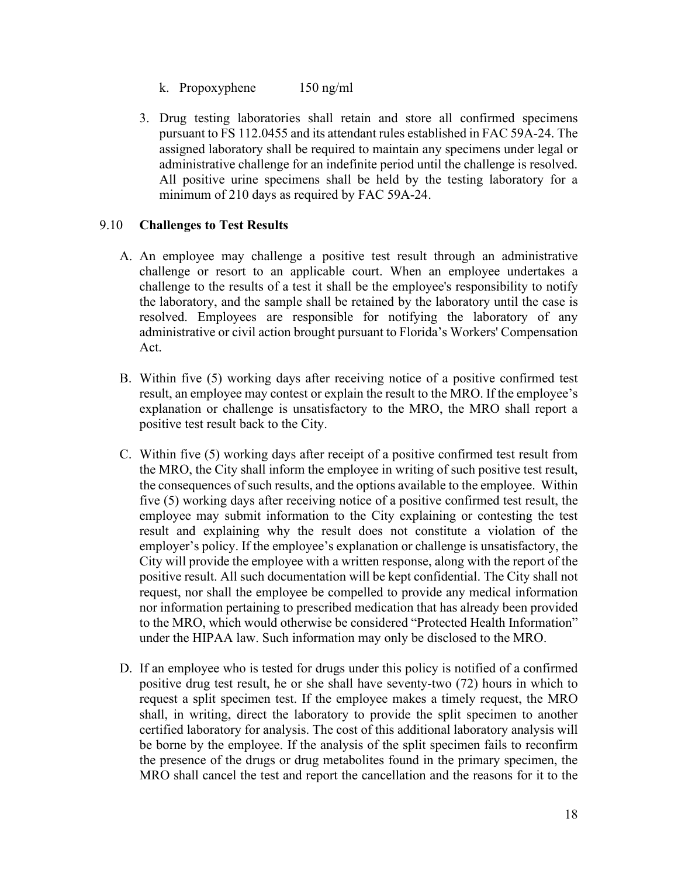- k. Propoxyphene 150 ng/ml
- 3. Drug testing laboratories shall retain and store all confirmed specimens pursuant to FS 112.0455 and its attendant rules established in FAC 59A-24. The assigned laboratory shall be required to maintain any specimens under legal or administrative challenge for an indefinite period until the challenge is resolved. All positive urine specimens shall be held by the testing laboratory for a minimum of 210 days as required by FAC 59A-24.

#### 9.10 **Challenges to Test Results**

- A. An employee may challenge a positive test result through an administrative challenge or resort to an applicable court. When an employee undertakes a challenge to the results of a test it shall be the employee's responsibility to notify the laboratory, and the sample shall be retained by the laboratory until the case is resolved. Employees are responsible for notifying the laboratory of any administrative or civil action brought pursuant to Florida's Workers' Compensation Act.
- B. Within five (5) working days after receiving notice of a positive confirmed test result, an employee may contest or explain the result to the MRO. If the employee's explanation or challenge is unsatisfactory to the MRO, the MRO shall report a positive test result back to the City.
- C. Within five (5) working days after receipt of a positive confirmed test result from the MRO, the City shall inform the employee in writing of such positive test result, the consequences of such results, and the options available to the employee. Within five (5) working days after receiving notice of a positive confirmed test result, the employee may submit information to the City explaining or contesting the test result and explaining why the result does not constitute a violation of the employer's policy. If the employee's explanation or challenge is unsatisfactory, the City will provide the employee with a written response, along with the report of the positive result. All such documentation will be kept confidential. The City shall not request, nor shall the employee be compelled to provide any medical information nor information pertaining to prescribed medication that has already been provided to the MRO, which would otherwise be considered "Protected Health Information" under the HIPAA law. Such information may only be disclosed to the MRO.
- D. If an employee who is tested for drugs under this policy is notified of a confirmed positive drug test result, he or she shall have seventy-two (72) hours in which to request a split specimen test. If the employee makes a timely request, the MRO shall, in writing, direct the laboratory to provide the split specimen to another certified laboratory for analysis. The cost of this additional laboratory analysis will be borne by the employee. If the analysis of the split specimen fails to reconfirm the presence of the drugs or drug metabolites found in the primary specimen, the MRO shall cancel the test and report the cancellation and the reasons for it to the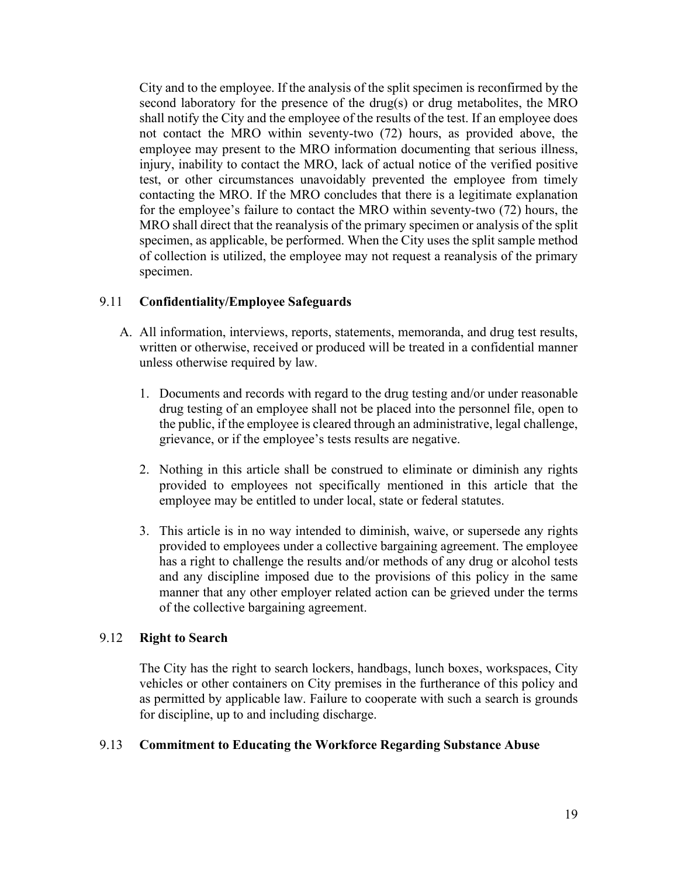City and to the employee. If the analysis of the split specimen is reconfirmed by the second laboratory for the presence of the drug(s) or drug metabolites, the MRO shall notify the City and the employee of the results of the test. If an employee does not contact the MRO within seventy-two (72) hours, as provided above, the employee may present to the MRO information documenting that serious illness, injury, inability to contact the MRO, lack of actual notice of the verified positive test, or other circumstances unavoidably prevented the employee from timely contacting the MRO. If the MRO concludes that there is a legitimate explanation for the employee's failure to contact the MRO within seventy-two (72) hours, the MRO shall direct that the reanalysis of the primary specimen or analysis of the split specimen, as applicable, be performed. When the City uses the split sample method of collection is utilized, the employee may not request a reanalysis of the primary specimen.

#### 9.11 **Confidentiality/Employee Safeguards**

- A. All information, interviews, reports, statements, memoranda, and drug test results, written or otherwise, received or produced will be treated in a confidential manner unless otherwise required by law.
	- 1. Documents and records with regard to the drug testing and/or under reasonable drug testing of an employee shall not be placed into the personnel file, open to the public, if the employee is cleared through an administrative, legal challenge, grievance, or if the employee's tests results are negative.
	- 2. Nothing in this article shall be construed to eliminate or diminish any rights provided to employees not specifically mentioned in this article that the employee may be entitled to under local, state or federal statutes.
	- 3. This article is in no way intended to diminish, waive, or supersede any rights provided to employees under a collective bargaining agreement. The employee has a right to challenge the results and/or methods of any drug or alcohol tests and any discipline imposed due to the provisions of this policy in the same manner that any other employer related action can be grieved under the terms of the collective bargaining agreement.

#### 9.12 **Right to Search**

The City has the right to search lockers, handbags, lunch boxes, workspaces, City vehicles or other containers on City premises in the furtherance of this policy and as permitted by applicable law. Failure to cooperate with such a search is grounds for discipline, up to and including discharge.

#### 9.13 **Commitment to Educating the Workforce Regarding Substance Abuse**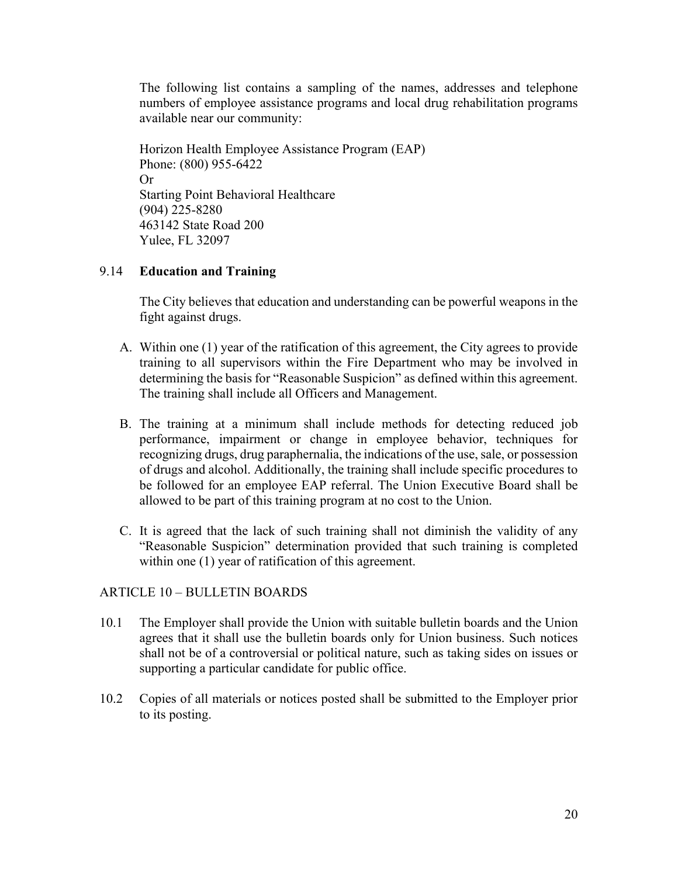The following list contains a sampling of the names, addresses and telephone numbers of employee assistance programs and local drug rehabilitation programs available near our community:

Horizon Health Employee Assistance Program (EAP) Phone: (800) 955-6422 Or Starting Point Behavioral Healthcare (904) 225-8280 463142 State Road 200 Yulee, FL 32097

#### 9.14 **Education and Training**

The City believes that education and understanding can be powerful weapons in the fight against drugs.

- A. Within one (1) year of the ratification of this agreement, the City agrees to provide training to all supervisors within the Fire Department who may be involved in determining the basis for "Reasonable Suspicion" as defined within this agreement. The training shall include all Officers and Management.
- B. The training at a minimum shall include methods for detecting reduced job performance, impairment or change in employee behavior, techniques for recognizing drugs, drug paraphernalia, the indications of the use, sale, or possession of drugs and alcohol. Additionally, the training shall include specific procedures to be followed for an employee EAP referral. The Union Executive Board shall be allowed to be part of this training program at no cost to the Union.
- C. It is agreed that the lack of such training shall not diminish the validity of any "Reasonable Suspicion" determination provided that such training is completed within one (1) year of ratification of this agreement.

#### ARTICLE 10 – BULLETIN BOARDS

- 10.1 The Employer shall provide the Union with suitable bulletin boards and the Union agrees that it shall use the bulletin boards only for Union business. Such notices shall not be of a controversial or political nature, such as taking sides on issues or supporting a particular candidate for public office.
- 10.2 Copies of all materials or notices posted shall be submitted to the Employer prior to its posting.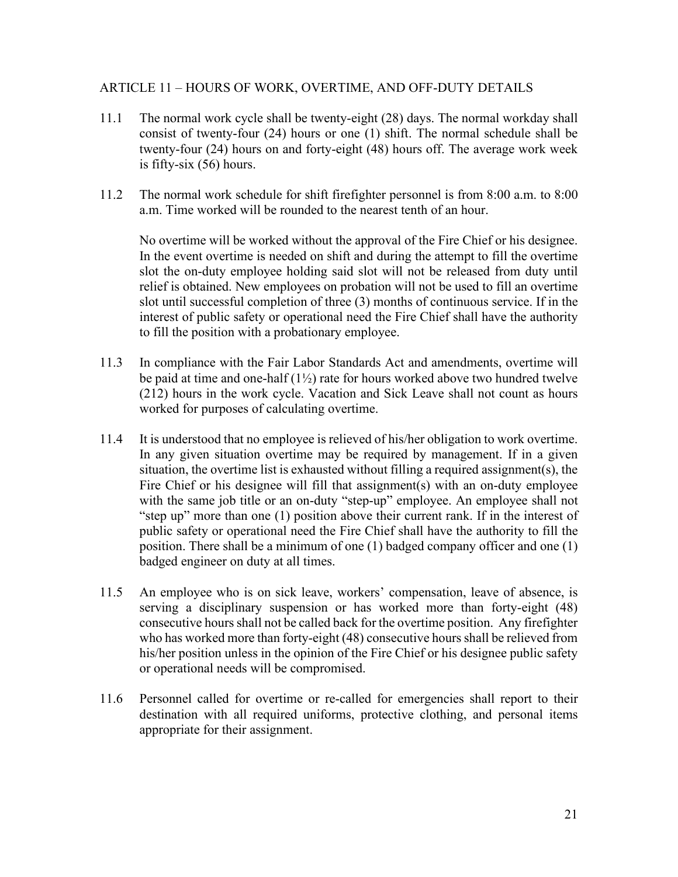#### ARTICLE 11 – HOURS OF WORK, OVERTIME, AND OFF-DUTY DETAILS

- 11.1 The normal work cycle shall be twenty-eight (28) days. The normal workday shall consist of twenty-four (24) hours or one (1) shift. The normal schedule shall be twenty-four (24) hours on and forty-eight (48) hours off. The average work week is fifty-six (56) hours.
- 11.2 The normal work schedule for shift firefighter personnel is from 8:00 a.m. to 8:00 a.m. Time worked will be rounded to the nearest tenth of an hour.

No overtime will be worked without the approval of the Fire Chief or his designee. In the event overtime is needed on shift and during the attempt to fill the overtime slot the on-duty employee holding said slot will not be released from duty until relief is obtained. New employees on probation will not be used to fill an overtime slot until successful completion of three (3) months of continuous service. If in the interest of public safety or operational need the Fire Chief shall have the authority to fill the position with a probationary employee.

- 11.3 In compliance with the Fair Labor Standards Act and amendments, overtime will be paid at time and one-half  $(1\frac{1}{2})$  rate for hours worked above two hundred twelve (212) hours in the work cycle. Vacation and Sick Leave shall not count as hours worked for purposes of calculating overtime.
- 11.4 It is understood that no employee is relieved of his/her obligation to work overtime. In any given situation overtime may be required by management. If in a given situation, the overtime list is exhausted without filling a required assignment(s), the Fire Chief or his designee will fill that assignment(s) with an on-duty employee with the same job title or an on-duty "step-up" employee. An employee shall not "step up" more than one (1) position above their current rank. If in the interest of public safety or operational need the Fire Chief shall have the authority to fill the position. There shall be a minimum of one (1) badged company officer and one (1) badged engineer on duty at all times.
- 11.5 An employee who is on sick leave, workers' compensation, leave of absence, is serving a disciplinary suspension or has worked more than forty-eight (48) consecutive hours shall not be called back for the overtime position. Any firefighter who has worked more than forty-eight (48) consecutive hours shall be relieved from his/her position unless in the opinion of the Fire Chief or his designee public safety or operational needs will be compromised.
- 11.6 Personnel called for overtime or re-called for emergencies shall report to their destination with all required uniforms, protective clothing, and personal items appropriate for their assignment.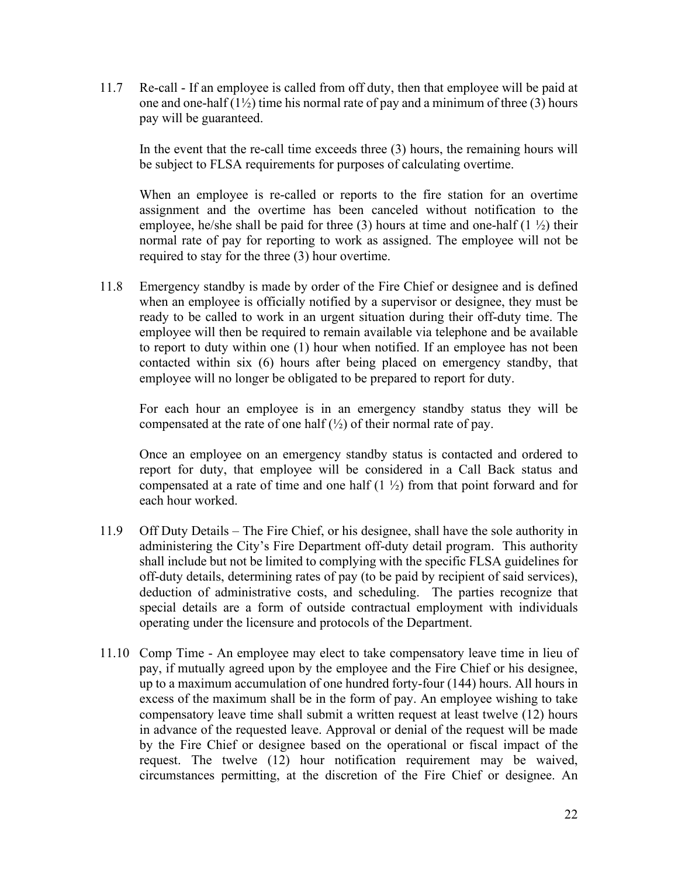11.7 Re-call - If an employee is called from off duty, then that employee will be paid at one and one-half  $(1\frac{1}{2})$  time his normal rate of pay and a minimum of three (3) hours pay will be guaranteed.

In the event that the re-call time exceeds three (3) hours, the remaining hours will be subject to FLSA requirements for purposes of calculating overtime.

When an employee is re-called or reports to the fire station for an overtime assignment and the overtime has been canceled without notification to the employee, he/she shall be paid for three (3) hours at time and one-half  $(1 \frac{1}{2})$  their normal rate of pay for reporting to work as assigned. The employee will not be required to stay for the three (3) hour overtime.

11.8 Emergency standby is made by order of the Fire Chief or designee and is defined when an employee is officially notified by a supervisor or designee, they must be ready to be called to work in an urgent situation during their off-duty time. The employee will then be required to remain available via telephone and be available to report to duty within one (1) hour when notified. If an employee has not been contacted within six (6) hours after being placed on emergency standby, that employee will no longer be obligated to be prepared to report for duty.

For each hour an employee is in an emergency standby status they will be compensated at the rate of one half  $(\frac{1}{2})$  of their normal rate of pay.

Once an employee on an emergency standby status is contacted and ordered to report for duty, that employee will be considered in a Call Back status and compensated at a rate of time and one half  $(1 \frac{1}{2})$  from that point forward and for each hour worked.

- 11.9 Off Duty Details The Fire Chief, or his designee, shall have the sole authority in administering the City's Fire Department off-duty detail program. This authority shall include but not be limited to complying with the specific FLSA guidelines for off-duty details, determining rates of pay (to be paid by recipient of said services), deduction of administrative costs, and scheduling. The parties recognize that special details are a form of outside contractual employment with individuals operating under the licensure and protocols of the Department.
- 11.10 Comp Time An employee may elect to take compensatory leave time in lieu of pay, if mutually agreed upon by the employee and the Fire Chief or his designee, up to a maximum accumulation of one hundred forty-four (144) hours. All hours in excess of the maximum shall be in the form of pay. An employee wishing to take compensatory leave time shall submit a written request at least twelve (12) hours in advance of the requested leave. Approval or denial of the request will be made by the Fire Chief or designee based on the operational or fiscal impact of the request. The twelve (12) hour notification requirement may be waived, circumstances permitting, at the discretion of the Fire Chief or designee. An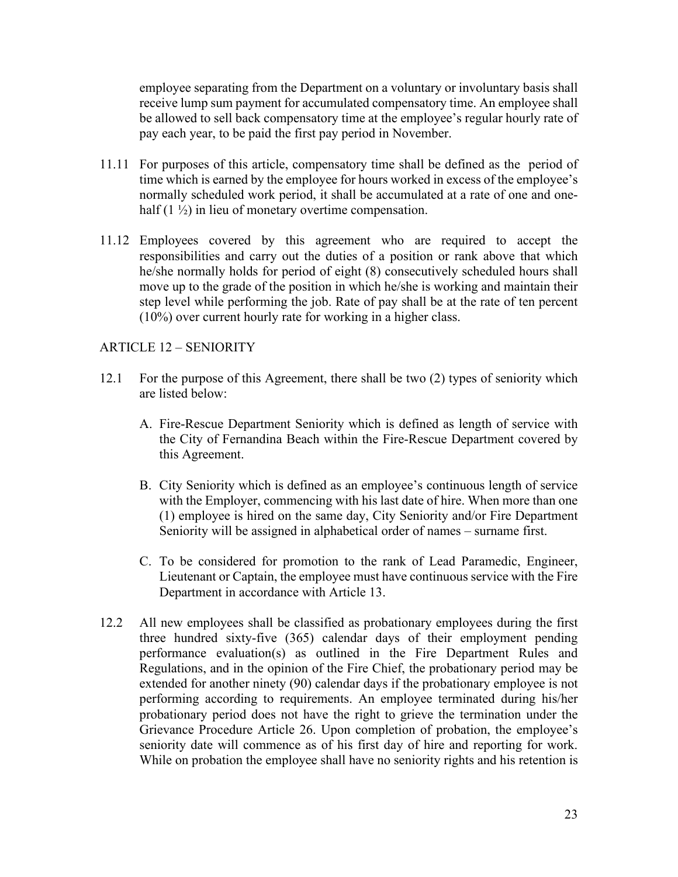employee separating from the Department on a voluntary or involuntary basis shall receive lump sum payment for accumulated compensatory time. An employee shall be allowed to sell back compensatory time at the employee's regular hourly rate of pay each year, to be paid the first pay period in November.

- 11.11 For purposes of this article, compensatory time shall be defined as the period of time which is earned by the employee for hours worked in excess of the employee's normally scheduled work period, it shall be accumulated at a rate of one and onehalf  $(1 \frac{1}{2})$  in lieu of monetary overtime compensation.
- 11.12 Employees covered by this agreement who are required to accept the responsibilities and carry out the duties of a position or rank above that which he/she normally holds for period of eight (8) consecutively scheduled hours shall move up to the grade of the position in which he/she is working and maintain their step level while performing the job. Rate of pay shall be at the rate of ten percent (10%) over current hourly rate for working in a higher class.

#### ARTICLE 12 – SENIORITY

- 12.1 For the purpose of this Agreement, there shall be two (2) types of seniority which are listed below:
	- A. Fire-Rescue Department Seniority which is defined as length of service with the City of Fernandina Beach within the Fire-Rescue Department covered by this Agreement.
	- B. City Seniority which is defined as an employee's continuous length of service with the Employer, commencing with his last date of hire. When more than one (1) employee is hired on the same day, City Seniority and/or Fire Department Seniority will be assigned in alphabetical order of names – surname first.
	- C. To be considered for promotion to the rank of Lead Paramedic, Engineer, Lieutenant or Captain, the employee must have continuous service with the Fire Department in accordance with Article 13.
- 12.2 All new employees shall be classified as probationary employees during the first three hundred sixty-five (365) calendar days of their employment pending performance evaluation(s) as outlined in the Fire Department Rules and Regulations, and in the opinion of the Fire Chief, the probationary period may be extended for another ninety (90) calendar days if the probationary employee is not performing according to requirements. An employee terminated during his/her probationary period does not have the right to grieve the termination under the Grievance Procedure Article 26. Upon completion of probation, the employee's seniority date will commence as of his first day of hire and reporting for work. While on probation the employee shall have no seniority rights and his retention is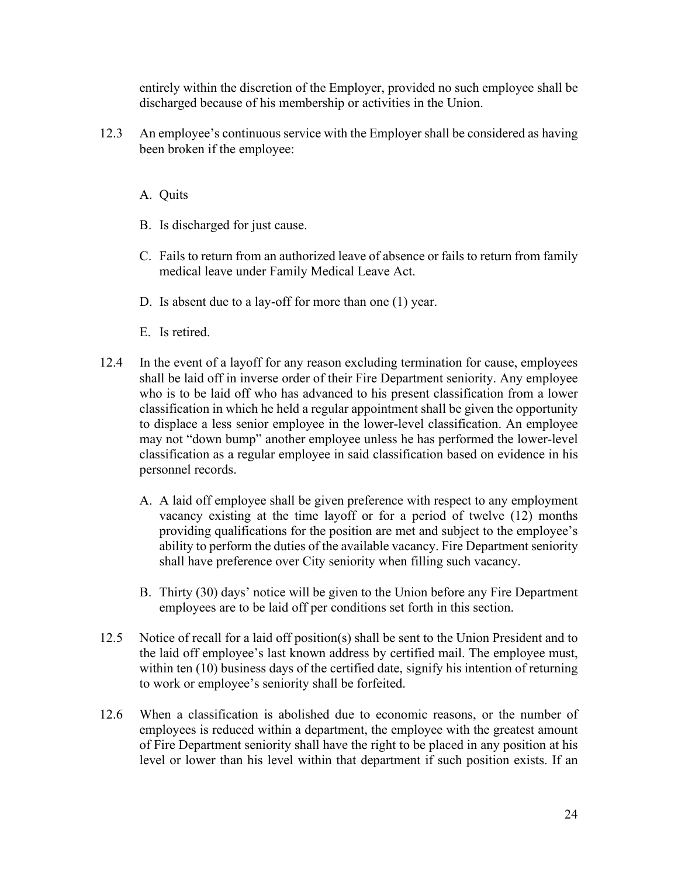entirely within the discretion of the Employer, provided no such employee shall be discharged because of his membership or activities in the Union.

12.3 An employee's continuous service with the Employer shall be considered as having been broken if the employee:

A. Quits

- B. Is discharged for just cause.
- C. Fails to return from an authorized leave of absence or fails to return from family medical leave under Family Medical Leave Act.
- D. Is absent due to a lay-off for more than one (1) year.
- E. Is retired.
- 12.4 In the event of a layoff for any reason excluding termination for cause, employees shall be laid off in inverse order of their Fire Department seniority. Any employee who is to be laid off who has advanced to his present classification from a lower classification in which he held a regular appointment shall be given the opportunity to displace a less senior employee in the lower-level classification. An employee may not "down bump" another employee unless he has performed the lower-level classification as a regular employee in said classification based on evidence in his personnel records.
	- A. A laid off employee shall be given preference with respect to any employment vacancy existing at the time layoff or for a period of twelve (12) months providing qualifications for the position are met and subject to the employee's ability to perform the duties of the available vacancy. Fire Department seniority shall have preference over City seniority when filling such vacancy.
	- B. Thirty (30) days' notice will be given to the Union before any Fire Department employees are to be laid off per conditions set forth in this section.
- 12.5 Notice of recall for a laid off position(s) shall be sent to the Union President and to the laid off employee's last known address by certified mail. The employee must, within ten (10) business days of the certified date, signify his intention of returning to work or employee's seniority shall be forfeited.
- 12.6 When a classification is abolished due to economic reasons, or the number of employees is reduced within a department, the employee with the greatest amount of Fire Department seniority shall have the right to be placed in any position at his level or lower than his level within that department if such position exists. If an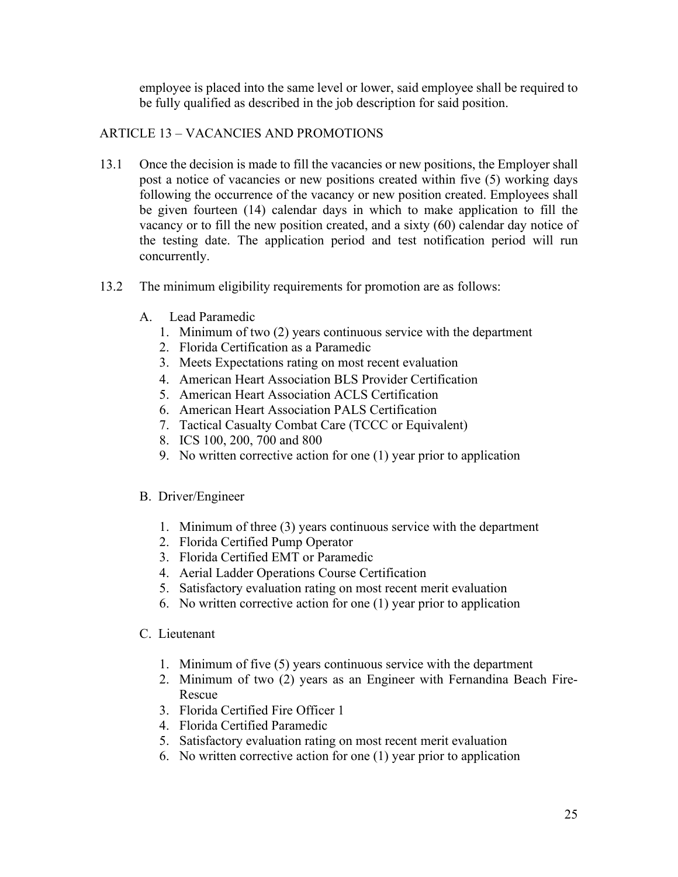employee is placed into the same level or lower, said employee shall be required to be fully qualified as described in the job description for said position.

# ARTICLE 13 – VACANCIES AND PROMOTIONS

- 13.1 Once the decision is made to fill the vacancies or new positions, the Employer shall post a notice of vacancies or new positions created within five (5) working days following the occurrence of the vacancy or new position created. Employees shall be given fourteen (14) calendar days in which to make application to fill the vacancy or to fill the new position created, and a sixty (60) calendar day notice of the testing date. The application period and test notification period will run concurrently.
- 13.2 The minimum eligibility requirements for promotion are as follows:
	- A. Lead Paramedic
		- 1. Minimum of two (2) years continuous service with the department
		- 2. Florida Certification as a Paramedic
		- 3. Meets Expectations rating on most recent evaluation
		- 4. American Heart Association BLS Provider Certification
		- 5. American Heart Association ACLS Certification
		- 6. American Heart Association PALS Certification
		- 7. Tactical Casualty Combat Care (TCCC or Equivalent)
		- 8. ICS 100, 200, 700 and 800
		- 9. No written corrective action for one (1) year prior to application

#### B. Driver/Engineer

- 1. Minimum of three (3) years continuous service with the department
- 2. Florida Certified Pump Operator
- 3. Florida Certified EMT or Paramedic
- 4. Aerial Ladder Operations Course Certification
- 5. Satisfactory evaluation rating on most recent merit evaluation
- 6. No written corrective action for one (1) year prior to application
- C. Lieutenant
	- 1. Minimum of five (5) years continuous service with the department
	- 2. Minimum of two (2) years as an Engineer with Fernandina Beach Fire-Rescue
	- 3. Florida Certified Fire Officer 1
	- 4. Florida Certified Paramedic
	- 5. Satisfactory evaluation rating on most recent merit evaluation
	- 6. No written corrective action for one (1) year prior to application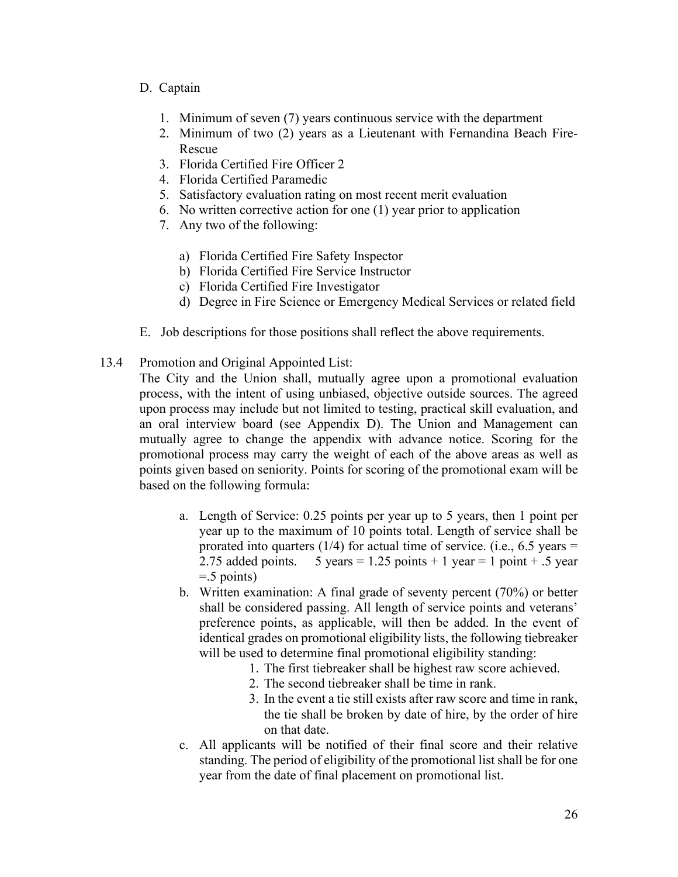#### D. Captain

- 1. Minimum of seven (7) years continuous service with the department
- 2. Minimum of two (2) years as a Lieutenant with Fernandina Beach Fire-Rescue
- 3. Florida Certified Fire Officer 2
- 4. Florida Certified Paramedic
- 5. Satisfactory evaluation rating on most recent merit evaluation
- 6. No written corrective action for one (1) year prior to application
- 7. Any two of the following:
	- a) Florida Certified Fire Safety Inspector
	- b) Florida Certified Fire Service Instructor
	- c) Florida Certified Fire Investigator
	- d) Degree in Fire Science or Emergency Medical Services or related field
- E. Job descriptions for those positions shall reflect the above requirements.
- 13.4 Promotion and Original Appointed List:

The City and the Union shall, mutually agree upon a promotional evaluation process, with the intent of using unbiased, objective outside sources. The agreed upon process may include but not limited to testing, practical skill evaluation, and an oral interview board (see Appendix D). The Union and Management can mutually agree to change the appendix with advance notice. Scoring for the promotional process may carry the weight of each of the above areas as well as points given based on seniority. Points for scoring of the promotional exam will be based on the following formula:

- a. Length of Service: 0.25 points per year up to 5 years, then 1 point per year up to the maximum of 10 points total. Length of service shall be prorated into quarters  $(1/4)$  for actual time of service. (i.e., 6.5 years = 2.75 added points. 5 years = 1.25 points + 1 year = 1 point + .5 year  $=$  5 points)
- b. Written examination: A final grade of seventy percent (70%) or better shall be considered passing. All length of service points and veterans' preference points, as applicable, will then be added. In the event of identical grades on promotional eligibility lists, the following tiebreaker will be used to determine final promotional eligibility standing:
	- 1. The first tiebreaker shall be highest raw score achieved.
	- 2. The second tiebreaker shall be time in rank.
	- 3. In the event a tie still exists after raw score and time in rank, the tie shall be broken by date of hire, by the order of hire on that date.
- c. All applicants will be notified of their final score and their relative standing. The period of eligibility of the promotional list shall be for one year from the date of final placement on promotional list.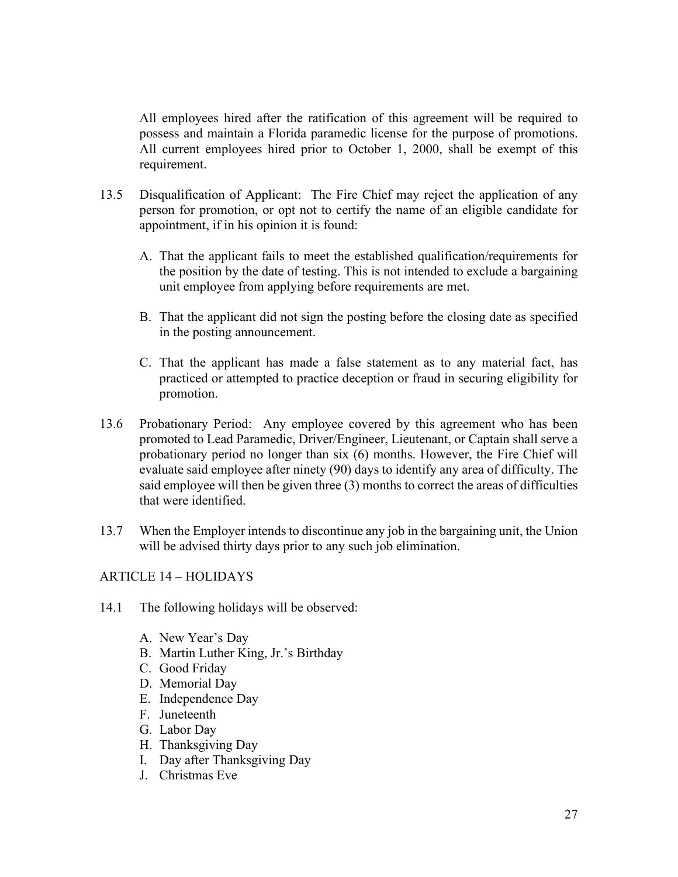All employees hired after the ratification of this agreement will be required to possess and maintain a Florida paramedic license for the purpose of promotions. All current employees hired prior to October 1, 2000, shall be exempt of this requirement.

- 13.5 Disqualification of Applicant: The Fire Chief may reject the application of any person for promotion, or opt not to certify the name of an eligible candidate for appointment, if in his opinion it is found:
	- A. That the applicant fails to meet the established qualification/requirements for the position by the date of testing. This is not intended to exclude a bargaining unit employee from applying before requirements are met.
	- B. That the applicant did not sign the posting before the closing date as specified in the posting announcement.
	- C. That the applicant has made a false statement as to any material fact, has practiced or attempted to practice deception or fraud in securing eligibility for promotion.
- 13.6 Probationary Period: Any employee covered by this agreement who has been promoted to Lead Paramedic, Driver/Engineer, Lieutenant, or Captain shall serve a probationary period no longer than six (6) months. However, the Fire Chief will evaluate said employee after ninety (90) days to identify any area of difficulty. The said employee will then be given three (3) months to correct the areas of difficulties that were identified.
- 13.7 When the Employer intends to discontinue any job in the bargaining unit, the Union will be advised thirty days prior to any such job elimination.

# ARTICLE 14 – HOLIDAYS

- 14.1 The following holidays will be observed:
	- A. New Year's Day
	- B. Martin Luther King, Jr.'s Birthday
	- C. Good Friday
	- D. Memorial Day
	- E. Independence Day
	- F. Juneteenth
	- G. Labor Day
	- H. Thanksgiving Day
	- I. Day after Thanksgiving Day
	- J. Christmas Eve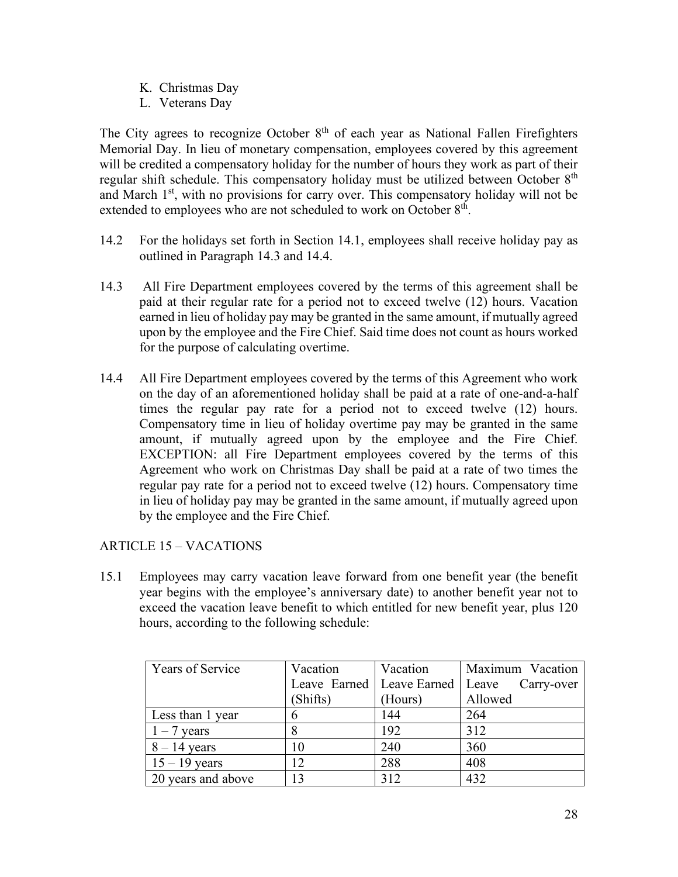- K. Christmas Day
- L. Veterans Day

The City agrees to recognize October 8<sup>th</sup> of each year as National Fallen Firefighters Memorial Day. In lieu of monetary compensation, employees covered by this agreement will be credited a compensatory holiday for the number of hours they work as part of their regular shift schedule. This compensatory holiday must be utilized between October  $8<sup>th</sup>$ and March  $1<sup>st</sup>$ , with no provisions for carry over. This compensatory holiday will not be extended to employees who are not scheduled to work on October  $8<sup>th</sup>$ .

- 14.2 For the holidays set forth in Section 14.1, employees shall receive holiday pay as outlined in Paragraph 14.3 and 14.4.
- 14.3 All Fire Department employees covered by the terms of this agreement shall be paid at their regular rate for a period not to exceed twelve (12) hours. Vacation earned in lieu of holiday pay may be granted in the same amount, if mutually agreed upon by the employee and the Fire Chief. Said time does not count as hours worked for the purpose of calculating overtime.
- 14.4 All Fire Department employees covered by the terms of this Agreement who work on the day of an aforementioned holiday shall be paid at a rate of one-and-a-half times the regular pay rate for a period not to exceed twelve (12) hours. Compensatory time in lieu of holiday overtime pay may be granted in the same amount, if mutually agreed upon by the employee and the Fire Chief. EXCEPTION: all Fire Department employees covered by the terms of this Agreement who work on Christmas Day shall be paid at a rate of two times the regular pay rate for a period not to exceed twelve (12) hours. Compensatory time in lieu of holiday pay may be granted in the same amount, if mutually agreed upon by the employee and the Fire Chief.

# ARTICLE 15 – VACATIONS

15.1 Employees may carry vacation leave forward from one benefit year (the benefit year begins with the employee's anniversary date) to another benefit year not to exceed the vacation leave benefit to which entitled for new benefit year, plus 120 hours, according to the following schedule:

| Years of Service   | Vacation | Vacation | Maximum Vacation                               |
|--------------------|----------|----------|------------------------------------------------|
|                    |          |          | Leave Earned   Leave Earned   Leave Carry-over |
|                    | (Shifts) | (Hours)  | Allowed                                        |
| Less than 1 year   |          | 144      | 264                                            |
| $1 - 7$ years      |          | 192      | 312                                            |
| $8 - 14$ years     | 10       | 240      | 360                                            |
| $15 - 19$ years    | 12       | 288      | 408                                            |
| 20 years and above | 13       | 312      | 432                                            |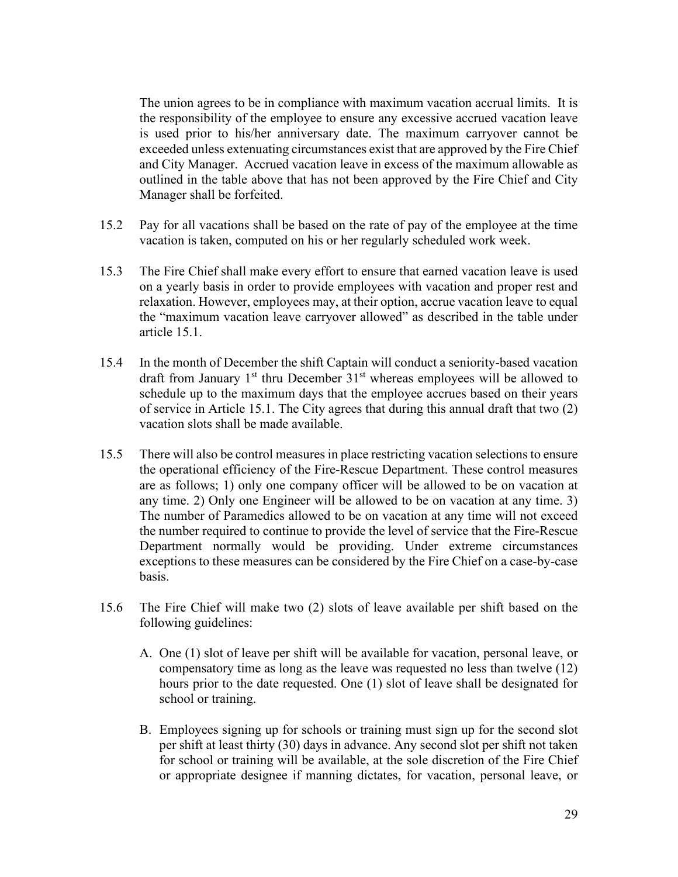The union agrees to be in compliance with maximum vacation accrual limits. It is the responsibility of the employee to ensure any excessive accrued vacation leave is used prior to his/her anniversary date. The maximum carryover cannot be exceeded unless extenuating circumstances exist that are approved by the Fire Chief and City Manager. Accrued vacation leave in excess of the maximum allowable as outlined in the table above that has not been approved by the Fire Chief and City Manager shall be forfeited.

- 15.2 Pay for all vacations shall be based on the rate of pay of the employee at the time vacation is taken, computed on his or her regularly scheduled work week.
- 15.3 The Fire Chief shall make every effort to ensure that earned vacation leave is used on a yearly basis in order to provide employees with vacation and proper rest and relaxation. However, employees may, at their option, accrue vacation leave to equal the "maximum vacation leave carryover allowed" as described in the table under article 15.1.
- 15.4 In the month of December the shift Captain will conduct a seniority-based vacation draft from January  $1<sup>st</sup>$  thru December  $31<sup>st</sup>$  whereas employees will be allowed to schedule up to the maximum days that the employee accrues based on their years of service in Article 15.1. The City agrees that during this annual draft that two (2) vacation slots shall be made available.
- 15.5 There will also be control measures in place restricting vacation selections to ensure the operational efficiency of the Fire-Rescue Department. These control measures are as follows; 1) only one company officer will be allowed to be on vacation at any time. 2) Only one Engineer will be allowed to be on vacation at any time. 3) The number of Paramedics allowed to be on vacation at any time will not exceed the number required to continue to provide the level of service that the Fire-Rescue Department normally would be providing. Under extreme circumstances exceptions to these measures can be considered by the Fire Chief on a case-by-case basis.
- 15.6 The Fire Chief will make two (2) slots of leave available per shift based on the following guidelines:
	- A. One (1) slot of leave per shift will be available for vacation, personal leave, or compensatory time as long as the leave was requested no less than twelve (12) hours prior to the date requested. One (1) slot of leave shall be designated for school or training.
	- B. Employees signing up for schools or training must sign up for the second slot per shift at least thirty (30) days in advance. Any second slot per shift not taken for school or training will be available, at the sole discretion of the Fire Chief or appropriate designee if manning dictates, for vacation, personal leave, or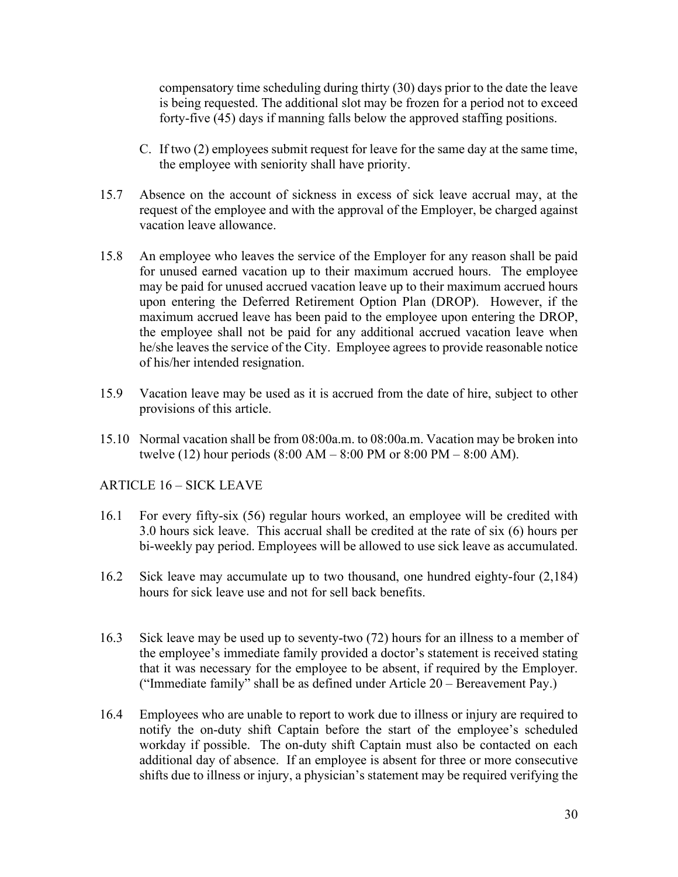compensatory time scheduling during thirty (30) days prior to the date the leave is being requested. The additional slot may be frozen for a period not to exceed forty-five (45) days if manning falls below the approved staffing positions.

- C. If two (2) employees submit request for leave for the same day at the same time, the employee with seniority shall have priority.
- 15.7 Absence on the account of sickness in excess of sick leave accrual may, at the request of the employee and with the approval of the Employer, be charged against vacation leave allowance.
- 15.8 An employee who leaves the service of the Employer for any reason shall be paid for unused earned vacation up to their maximum accrued hours. The employee may be paid for unused accrued vacation leave up to their maximum accrued hours upon entering the Deferred Retirement Option Plan (DROP). However, if the maximum accrued leave has been paid to the employee upon entering the DROP, the employee shall not be paid for any additional accrued vacation leave when he/she leaves the service of the City. Employee agrees to provide reasonable notice of his/her intended resignation.
- 15.9 Vacation leave may be used as it is accrued from the date of hire, subject to other provisions of this article.
- 15.10 Normal vacation shall be from 08:00a.m. to 08:00a.m. Vacation may be broken into twelve (12) hour periods (8:00 AM – 8:00 PM or 8:00 PM – 8:00 AM).

# ARTICLE 16 – SICK LEAVE

- 16.1 For every fifty-six (56) regular hours worked, an employee will be credited with 3.0 hours sick leave. This accrual shall be credited at the rate of six (6) hours per bi-weekly pay period. Employees will be allowed to use sick leave as accumulated.
- 16.2 Sick leave may accumulate up to two thousand, one hundred eighty-four (2,184) hours for sick leave use and not for sell back benefits.
- 16.3 Sick leave may be used up to seventy-two (72) hours for an illness to a member of the employee's immediate family provided a doctor's statement is received stating that it was necessary for the employee to be absent, if required by the Employer. ("Immediate family" shall be as defined under Article 20 – Bereavement Pay.)
- 16.4 Employees who are unable to report to work due to illness or injury are required to notify the on-duty shift Captain before the start of the employee's scheduled workday if possible. The on-duty shift Captain must also be contacted on each additional day of absence. If an employee is absent for three or more consecutive shifts due to illness or injury, a physician's statement may be required verifying the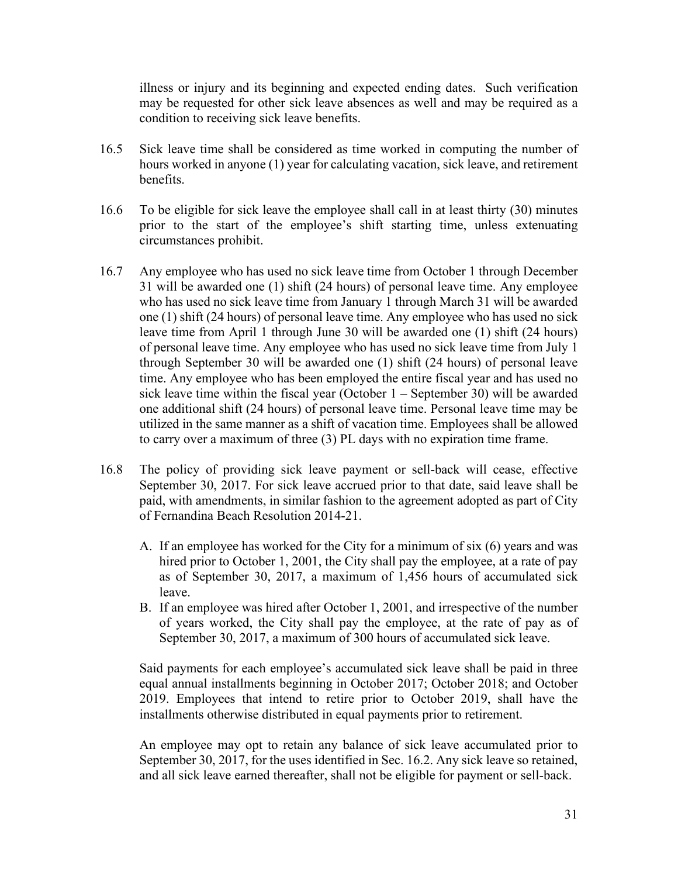illness or injury and its beginning and expected ending dates. Such verification may be requested for other sick leave absences as well and may be required as a condition to receiving sick leave benefits.

- 16.5 Sick leave time shall be considered as time worked in computing the number of hours worked in anyone (1) year for calculating vacation, sick leave, and retirement benefits.
- 16.6 To be eligible for sick leave the employee shall call in at least thirty (30) minutes prior to the start of the employee's shift starting time, unless extenuating circumstances prohibit.
- 16.7 Any employee who has used no sick leave time from October 1 through December 31 will be awarded one (1) shift (24 hours) of personal leave time. Any employee who has used no sick leave time from January 1 through March 31 will be awarded one (1) shift (24 hours) of personal leave time. Any employee who has used no sick leave time from April 1 through June 30 will be awarded one (1) shift (24 hours) of personal leave time. Any employee who has used no sick leave time from July 1 through September 30 will be awarded one (1) shift (24 hours) of personal leave time. Any employee who has been employed the entire fiscal year and has used no sick leave time within the fiscal year (October 1 – September 30) will be awarded one additional shift (24 hours) of personal leave time. Personal leave time may be utilized in the same manner as a shift of vacation time. Employees shall be allowed to carry over a maximum of three (3) PL days with no expiration time frame.
- 16.8 The policy of providing sick leave payment or sell-back will cease, effective September 30, 2017. For sick leave accrued prior to that date, said leave shall be paid, with amendments, in similar fashion to the agreement adopted as part of City of Fernandina Beach Resolution 2014-21.
	- A. If an employee has worked for the City for a minimum of six (6) years and was hired prior to October 1, 2001, the City shall pay the employee, at a rate of pay as of September 30, 2017, a maximum of 1,456 hours of accumulated sick leave.
	- B. If an employee was hired after October 1, 2001, and irrespective of the number of years worked, the City shall pay the employee, at the rate of pay as of September 30, 2017, a maximum of 300 hours of accumulated sick leave.

Said payments for each employee's accumulated sick leave shall be paid in three equal annual installments beginning in October 2017; October 2018; and October 2019. Employees that intend to retire prior to October 2019, shall have the installments otherwise distributed in equal payments prior to retirement.

An employee may opt to retain any balance of sick leave accumulated prior to September 30, 2017, for the uses identified in Sec. 16.2. Any sick leave so retained, and all sick leave earned thereafter, shall not be eligible for payment or sell-back.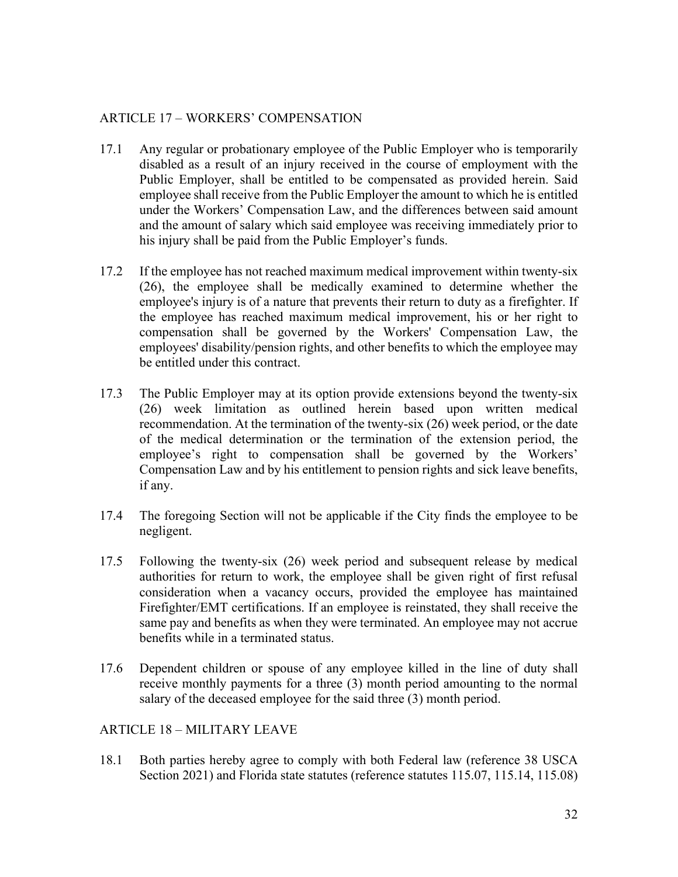### ARTICLE 17 – WORKERS' COMPENSATION

- 17.1 Any regular or probationary employee of the Public Employer who is temporarily disabled as a result of an injury received in the course of employment with the Public Employer, shall be entitled to be compensated as provided herein. Said employee shall receive from the Public Employer the amount to which he is entitled under the Workers' Compensation Law, and the differences between said amount and the amount of salary which said employee was receiving immediately prior to his injury shall be paid from the Public Employer's funds.
- 17.2 If the employee has not reached maximum medical improvement within twenty-six (26), the employee shall be medically examined to determine whether the employee's injury is of a nature that prevents their return to duty as a firefighter. If the employee has reached maximum medical improvement, his or her right to compensation shall be governed by the Workers' Compensation Law, the employees' disability/pension rights, and other benefits to which the employee may be entitled under this contract.
- 17.3 The Public Employer may at its option provide extensions beyond the twenty-six (26) week limitation as outlined herein based upon written medical recommendation. At the termination of the twenty-six (26) week period, or the date of the medical determination or the termination of the extension period, the employee's right to compensation shall be governed by the Workers' Compensation Law and by his entitlement to pension rights and sick leave benefits, if any.
- 17.4 The foregoing Section will not be applicable if the City finds the employee to be negligent.
- 17.5 Following the twenty-six (26) week period and subsequent release by medical authorities for return to work, the employee shall be given right of first refusal consideration when a vacancy occurs, provided the employee has maintained Firefighter/EMT certifications. If an employee is reinstated, they shall receive the same pay and benefits as when they were terminated. An employee may not accrue benefits while in a terminated status.
- 17.6 Dependent children or spouse of any employee killed in the line of duty shall receive monthly payments for a three (3) month period amounting to the normal salary of the deceased employee for the said three (3) month period.

#### ARTICLE 18 – MILITARY LEAVE

18.1 Both parties hereby agree to comply with both Federal law (reference 38 USCA Section 2021) and Florida state statutes (reference statutes 115.07, 115.14, 115.08)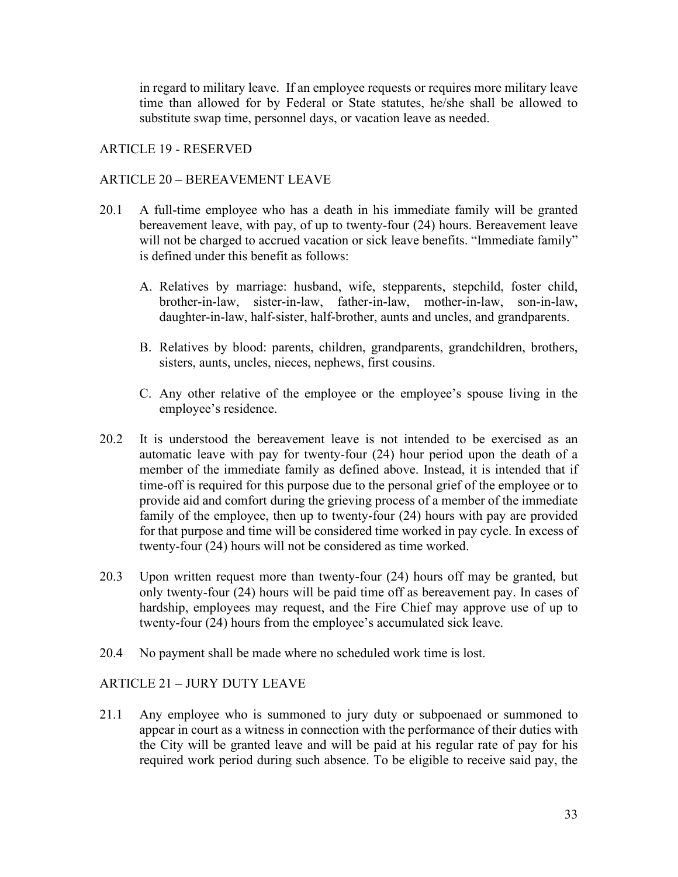in regard to military leave. If an employee requests or requires more military leave time than allowed for by Federal or State statutes, he/she shall be allowed to substitute swap time, personnel days, or vacation leave as needed.

#### ARTICLE 19 - RESERVED

#### ARTICLE 20 – BEREAVEMENT LEAVE

- 20.1 A full-time employee who has a death in his immediate family will be granted bereavement leave, with pay, of up to twenty-four (24) hours. Bereavement leave will not be charged to accrued vacation or sick leave benefits. "Immediate family" is defined under this benefit as follows:
	- A. Relatives by marriage: husband, wife, stepparents, stepchild, foster child, brother-in-law, sister-in-law, father-in-law, mother-in-law, son-in-law, daughter-in-law, half-sister, half-brother, aunts and uncles, and grandparents.
	- B. Relatives by blood: parents, children, grandparents, grandchildren, brothers, sisters, aunts, uncles, nieces, nephews, first cousins.
	- C. Any other relative of the employee or the employee's spouse living in the employee's residence.
- 20.2 It is understood the bereavement leave is not intended to be exercised as an automatic leave with pay for twenty-four (24) hour period upon the death of a member of the immediate family as defined above. Instead, it is intended that if time-off is required for this purpose due to the personal grief of the employee or to provide aid and comfort during the grieving process of a member of the immediate family of the employee, then up to twenty-four (24) hours with pay are provided for that purpose and time will be considered time worked in pay cycle. In excess of twenty-four (24) hours will not be considered as time worked.
- 20.3 Upon written request more than twenty-four (24) hours off may be granted, but only twenty-four (24) hours will be paid time off as bereavement pay. In cases of hardship, employees may request, and the Fire Chief may approve use of up to twenty-four (24) hours from the employee's accumulated sick leave.
- 20.4 No payment shall be made where no scheduled work time is lost.

# ARTICLE 21 – JURY DUTY LEAVE

21.1 Any employee who is summoned to jury duty or subpoenaed or summoned to appear in court as a witness in connection with the performance of their duties with the City will be granted leave and will be paid at his regular rate of pay for his required work period during such absence. To be eligible to receive said pay, the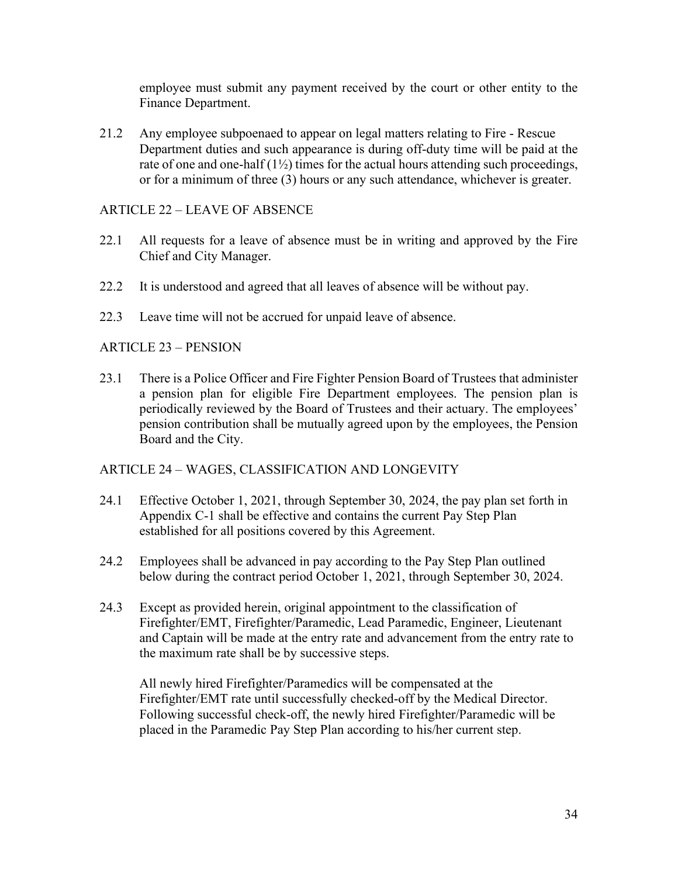employee must submit any payment received by the court or other entity to the Finance Department.

21.2 Any employee subpoenaed to appear on legal matters relating to Fire - Rescue Department duties and such appearance is during off-duty time will be paid at the rate of one and one-half (1½) times for the actual hours attending such proceedings, or for a minimum of three (3) hours or any such attendance, whichever is greater.

#### ARTICLE 22 – LEAVE OF ABSENCE

- 22.1 All requests for a leave of absence must be in writing and approved by the Fire Chief and City Manager.
- 22.2 It is understood and agreed that all leaves of absence will be without pay.
- 22.3 Leave time will not be accrued for unpaid leave of absence.

# ARTICLE 23 – PENSION

23.1 There is a Police Officer and Fire Fighter Pension Board of Trustees that administer a pension plan for eligible Fire Department employees. The pension plan is periodically reviewed by the Board of Trustees and their actuary. The employees' pension contribution shall be mutually agreed upon by the employees, the Pension Board and the City.

#### ARTICLE 24 – WAGES, CLASSIFICATION AND LONGEVITY

- 24.1 Effective October 1, 2021, through September 30, 2024, the pay plan set forth in Appendix C-1 shall be effective and contains the current Pay Step Plan established for all positions covered by this Agreement.
- 24.2 Employees shall be advanced in pay according to the Pay Step Plan outlined below during the contract period October 1, 2021, through September 30, 2024.
- 24.3 Except as provided herein, original appointment to the classification of Firefighter/EMT, Firefighter/Paramedic, Lead Paramedic, Engineer, Lieutenant and Captain will be made at the entry rate and advancement from the entry rate to the maximum rate shall be by successive steps.

All newly hired Firefighter/Paramedics will be compensated at the Firefighter/EMT rate until successfully checked-off by the Medical Director. Following successful check-off, the newly hired Firefighter/Paramedic will be placed in the Paramedic Pay Step Plan according to his/her current step.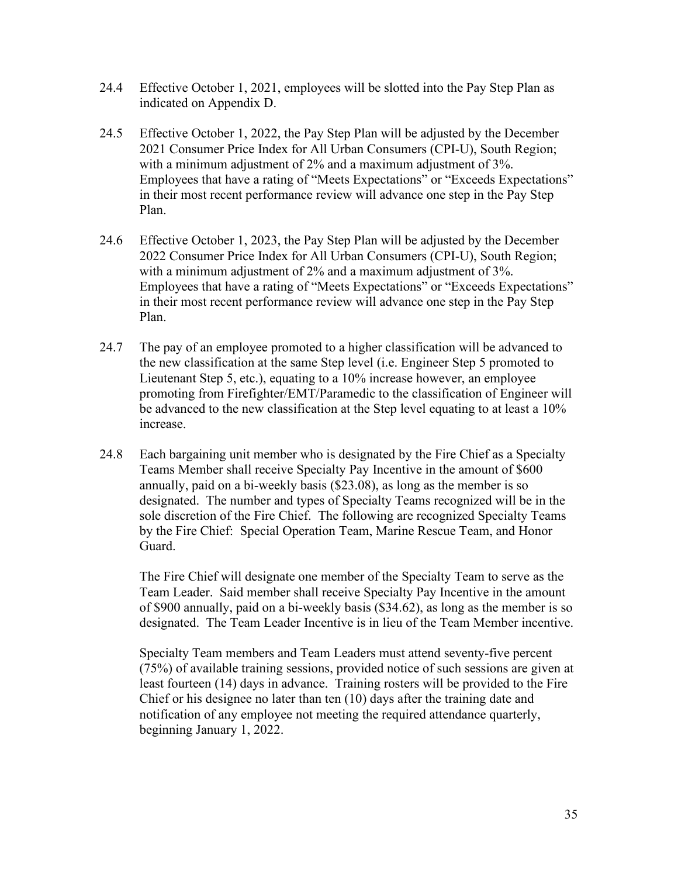- 24.4 Effective October 1, 2021, employees will be slotted into the Pay Step Plan as indicated on Appendix D.
- 24.5 Effective October 1, 2022, the Pay Step Plan will be adjusted by the December 2021 Consumer Price Index for All Urban Consumers (CPI-U), South Region; with a minimum adjustment of 2% and a maximum adjustment of 3%. Employees that have a rating of "Meets Expectations" or "Exceeds Expectations" in their most recent performance review will advance one step in the Pay Step Plan.
- 24.6 Effective October 1, 2023, the Pay Step Plan will be adjusted by the December 2022 Consumer Price Index for All Urban Consumers (CPI-U), South Region; with a minimum adjustment of 2% and a maximum adjustment of 3%. Employees that have a rating of "Meets Expectations" or "Exceeds Expectations" in their most recent performance review will advance one step in the Pay Step Plan.
- 24.7 The pay of an employee promoted to a higher classification will be advanced to the new classification at the same Step level (i.e. Engineer Step 5 promoted to Lieutenant Step 5, etc.), equating to a 10% increase however, an employee promoting from Firefighter/EMT/Paramedic to the classification of Engineer will be advanced to the new classification at the Step level equating to at least a 10% increase.
- 24.8 Each bargaining unit member who is designated by the Fire Chief as a Specialty Teams Member shall receive Specialty Pay Incentive in the amount of \$600 annually, paid on a bi-weekly basis (\$23.08), as long as the member is so designated. The number and types of Specialty Teams recognized will be in the sole discretion of the Fire Chief. The following are recognized Specialty Teams by the Fire Chief: Special Operation Team, Marine Rescue Team, and Honor Guard.

The Fire Chief will designate one member of the Specialty Team to serve as the Team Leader. Said member shall receive Specialty Pay Incentive in the amount of \$900 annually, paid on a bi-weekly basis (\$34.62), as long as the member is so designated. The Team Leader Incentive is in lieu of the Team Member incentive.

Specialty Team members and Team Leaders must attend seventy-five percent (75%) of available training sessions, provided notice of such sessions are given at least fourteen (14) days in advance. Training rosters will be provided to the Fire Chief or his designee no later than ten (10) days after the training date and notification of any employee not meeting the required attendance quarterly, beginning January 1, 2022.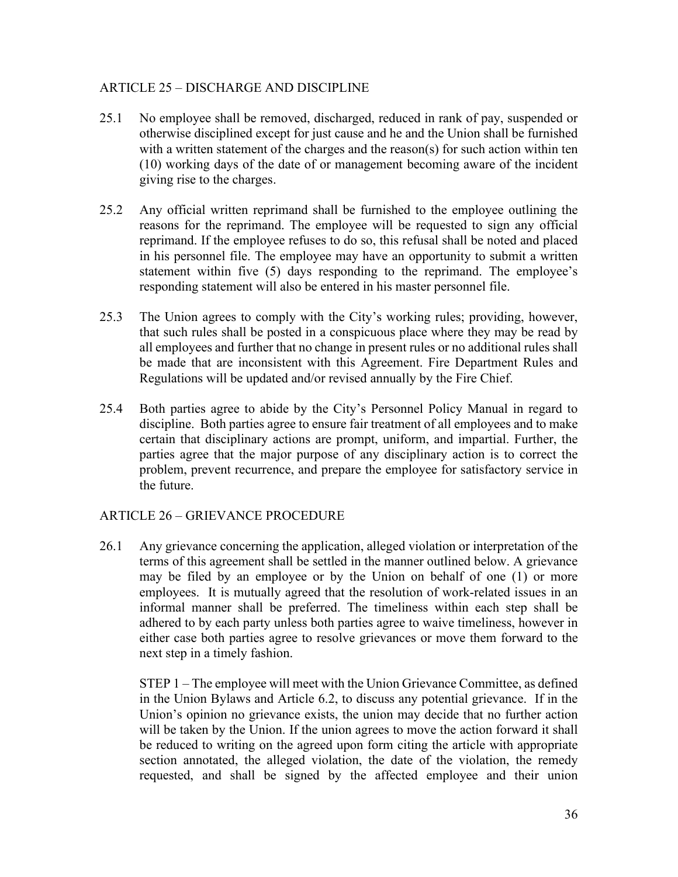### ARTICLE 25 – DISCHARGE AND DISCIPLINE

- 25.1 No employee shall be removed, discharged, reduced in rank of pay, suspended or otherwise disciplined except for just cause and he and the Union shall be furnished with a written statement of the charges and the reason(s) for such action within ten (10) working days of the date of or management becoming aware of the incident giving rise to the charges.
- 25.2 Any official written reprimand shall be furnished to the employee outlining the reasons for the reprimand. The employee will be requested to sign any official reprimand. If the employee refuses to do so, this refusal shall be noted and placed in his personnel file. The employee may have an opportunity to submit a written statement within five (5) days responding to the reprimand. The employee's responding statement will also be entered in his master personnel file.
- 25.3 The Union agrees to comply with the City's working rules; providing, however, that such rules shall be posted in a conspicuous place where they may be read by all employees and further that no change in present rules or no additional rules shall be made that are inconsistent with this Agreement. Fire Department Rules and Regulations will be updated and/or revised annually by the Fire Chief.
- 25.4 Both parties agree to abide by the City's Personnel Policy Manual in regard to discipline. Both parties agree to ensure fair treatment of all employees and to make certain that disciplinary actions are prompt, uniform, and impartial. Further, the parties agree that the major purpose of any disciplinary action is to correct the problem, prevent recurrence, and prepare the employee for satisfactory service in the future.

#### ARTICLE 26 – GRIEVANCE PROCEDURE

26.1 Any grievance concerning the application, alleged violation or interpretation of the terms of this agreement shall be settled in the manner outlined below. A grievance may be filed by an employee or by the Union on behalf of one (1) or more employees. It is mutually agreed that the resolution of work-related issues in an informal manner shall be preferred. The timeliness within each step shall be adhered to by each party unless both parties agree to waive timeliness, however in either case both parties agree to resolve grievances or move them forward to the next step in a timely fashion.

STEP 1 – The employee will meet with the Union Grievance Committee, as defined in the Union Bylaws and Article 6.2, to discuss any potential grievance. If in the Union's opinion no grievance exists, the union may decide that no further action will be taken by the Union. If the union agrees to move the action forward it shall be reduced to writing on the agreed upon form citing the article with appropriate section annotated, the alleged violation, the date of the violation, the remedy requested, and shall be signed by the affected employee and their union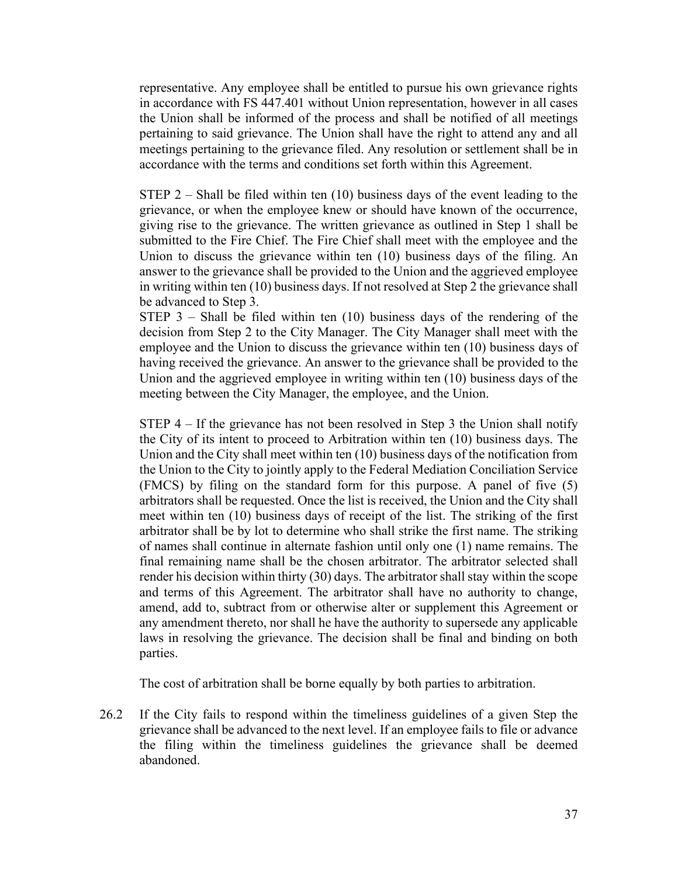representative. Any employee shall be entitled to pursue his own grievance rights in accordance with FS 447.401 without Union representation, however in all cases the Union shall be informed of the process and shall be notified of all meetings pertaining to said grievance. The Union shall have the right to attend any and all meetings pertaining to the grievance filed. Any resolution or settlement shall be in accordance with the terms and conditions set forth within this Agreement.

STEP  $2$  – Shall be filed within ten (10) business days of the event leading to the grievance, or when the employee knew or should have known of the occurrence, giving rise to the grievance. The written grievance as outlined in Step 1 shall be submitted to the Fire Chief. The Fire Chief shall meet with the employee and the Union to discuss the grievance within ten (10) business days of the filing. An answer to the grievance shall be provided to the Union and the aggrieved employee in writing within ten (10) business days. If not resolved at Step 2 the grievance shall be advanced to Step 3.

STEP  $3$  – Shall be filed within ten (10) business days of the rendering of the decision from Step 2 to the City Manager. The City Manager shall meet with the employee and the Union to discuss the grievance within ten (10) business days of having received the grievance. An answer to the grievance shall be provided to the Union and the aggrieved employee in writing within ten (10) business days of the meeting between the City Manager, the employee, and the Union.

STEP 4 – If the grievance has not been resolved in Step 3 the Union shall notify the City of its intent to proceed to Arbitration within ten (10) business days. The Union and the City shall meet within ten (10) business days of the notification from the Union to the City to jointly apply to the Federal Mediation Conciliation Service (FMCS) by filing on the standard form for this purpose. A panel of five (5) arbitrators shall be requested. Once the list is received, the Union and the City shall meet within ten (10) business days of receipt of the list. The striking of the first arbitrator shall be by lot to determine who shall strike the first name. The striking of names shall continue in alternate fashion until only one (1) name remains. The final remaining name shall be the chosen arbitrator. The arbitrator selected shall render his decision within thirty (30) days. The arbitrator shall stay within the scope and terms of this Agreement. The arbitrator shall have no authority to change, amend, add to, subtract from or otherwise alter or supplement this Agreement or any amendment thereto, nor shall he have the authority to supersede any applicable laws in resolving the grievance. The decision shall be final and binding on both parties.

The cost of arbitration shall be borne equally by both parties to arbitration.

26.2 If the City fails to respond within the timeliness guidelines of a given Step the grievance shall be advanced to the next level. If an employee fails to file or advance the filing within the timeliness guidelines the grievance shall be deemed abandoned.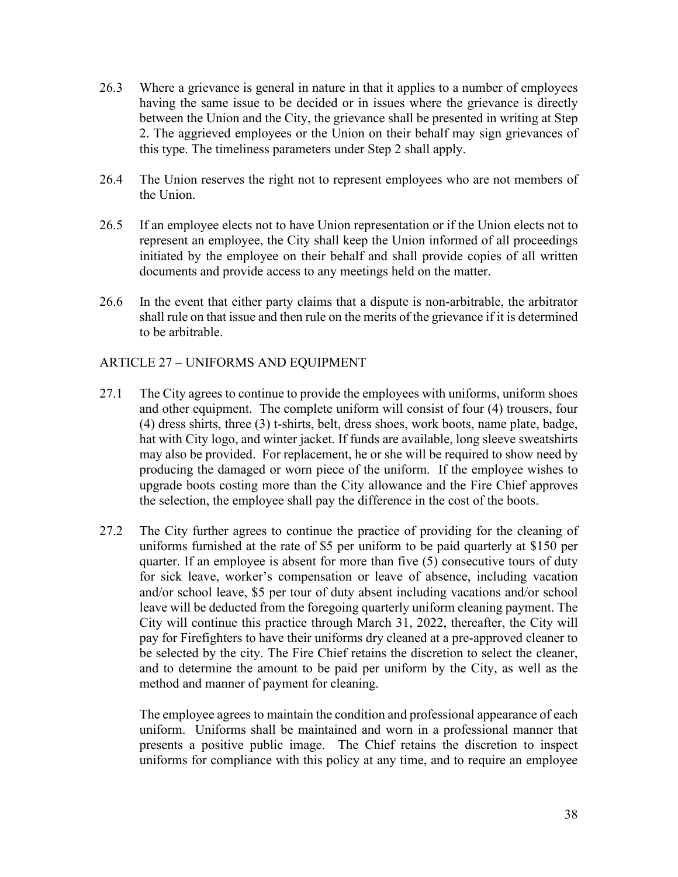- 26.3 Where a grievance is general in nature in that it applies to a number of employees having the same issue to be decided or in issues where the grievance is directly between the Union and the City, the grievance shall be presented in writing at Step 2. The aggrieved employees or the Union on their behalf may sign grievances of this type. The timeliness parameters under Step 2 shall apply.
- 26.4 The Union reserves the right not to represent employees who are not members of the Union.
- 26.5 If an employee elects not to have Union representation or if the Union elects not to represent an employee, the City shall keep the Union informed of all proceedings initiated by the employee on their behalf and shall provide copies of all written documents and provide access to any meetings held on the matter.
- 26.6 In the event that either party claims that a dispute is non-arbitrable, the arbitrator shall rule on that issue and then rule on the merits of the grievance if it is determined to be arbitrable.

#### ARTICLE 27 – UNIFORMS AND EQUIPMENT

- 27.1 The City agrees to continue to provide the employees with uniforms, uniform shoes and other equipment. The complete uniform will consist of four (4) trousers, four (4) dress shirts, three (3) t-shirts, belt, dress shoes, work boots, name plate, badge, hat with City logo, and winter jacket. If funds are available, long sleeve sweatshirts may also be provided. For replacement, he or she will be required to show need by producing the damaged or worn piece of the uniform. If the employee wishes to upgrade boots costing more than the City allowance and the Fire Chief approves the selection, the employee shall pay the difference in the cost of the boots.
- 27.2 The City further agrees to continue the practice of providing for the cleaning of uniforms furnished at the rate of \$5 per uniform to be paid quarterly at \$150 per quarter. If an employee is absent for more than five (5) consecutive tours of duty for sick leave, worker's compensation or leave of absence, including vacation and/or school leave, \$5 per tour of duty absent including vacations and/or school leave will be deducted from the foregoing quarterly uniform cleaning payment. The City will continue this practice through March 31, 2022, thereafter, the City will pay for Firefighters to have their uniforms dry cleaned at a pre-approved cleaner to be selected by the city. The Fire Chief retains the discretion to select the cleaner, and to determine the amount to be paid per uniform by the City, as well as the method and manner of payment for cleaning.

The employee agrees to maintain the condition and professional appearance of each uniform. Uniforms shall be maintained and worn in a professional manner that presents a positive public image. The Chief retains the discretion to inspect uniforms for compliance with this policy at any time, and to require an employee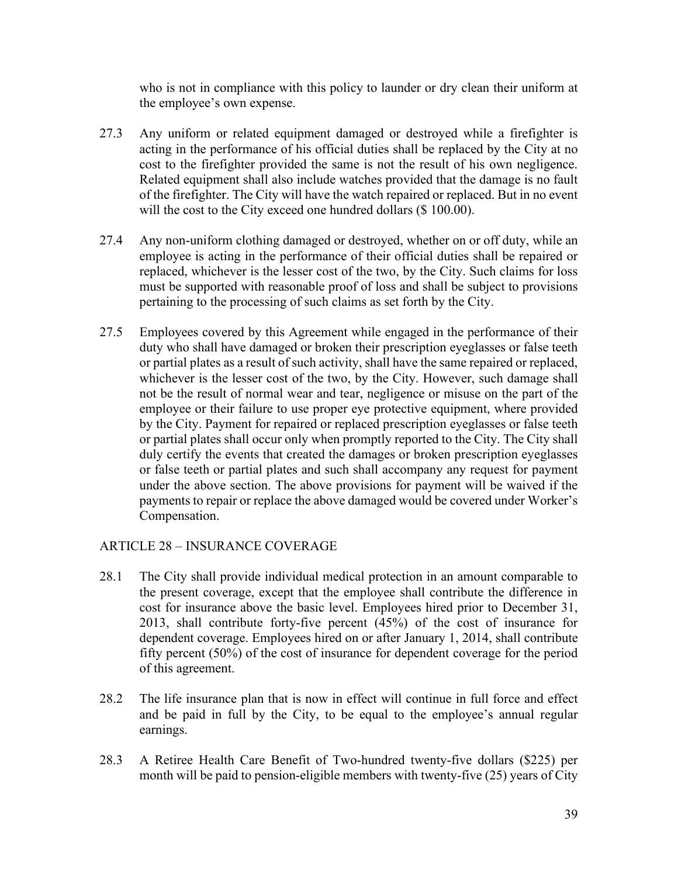who is not in compliance with this policy to launder or dry clean their uniform at the employee's own expense.

- 27.3 Any uniform or related equipment damaged or destroyed while a firefighter is acting in the performance of his official duties shall be replaced by the City at no cost to the firefighter provided the same is not the result of his own negligence. Related equipment shall also include watches provided that the damage is no fault of the firefighter. The City will have the watch repaired or replaced. But in no event will the cost to the City exceed one hundred dollars (\$ 100.00).
- 27.4 Any non-uniform clothing damaged or destroyed, whether on or off duty, while an employee is acting in the performance of their official duties shall be repaired or replaced, whichever is the lesser cost of the two, by the City. Such claims for loss must be supported with reasonable proof of loss and shall be subject to provisions pertaining to the processing of such claims as set forth by the City.
- 27.5 Employees covered by this Agreement while engaged in the performance of their duty who shall have damaged or broken their prescription eyeglasses or false teeth or partial plates as a result of such activity, shall have the same repaired or replaced, whichever is the lesser cost of the two, by the City. However, such damage shall not be the result of normal wear and tear, negligence or misuse on the part of the employee or their failure to use proper eye protective equipment, where provided by the City. Payment for repaired or replaced prescription eyeglasses or false teeth or partial plates shall occur only when promptly reported to the City. The City shall duly certify the events that created the damages or broken prescription eyeglasses or false teeth or partial plates and such shall accompany any request for payment under the above section. The above provisions for payment will be waived if the payments to repair or replace the above damaged would be covered under Worker's Compensation.

# ARTICLE 28 – INSURANCE COVERAGE

- 28.1 The City shall provide individual medical protection in an amount comparable to the present coverage, except that the employee shall contribute the difference in cost for insurance above the basic level. Employees hired prior to December 31, 2013, shall contribute forty-five percent (45%) of the cost of insurance for dependent coverage. Employees hired on or after January 1, 2014, shall contribute fifty percent (50%) of the cost of insurance for dependent coverage for the period of this agreement.
- 28.2 The life insurance plan that is now in effect will continue in full force and effect and be paid in full by the City, to be equal to the employee's annual regular earnings.
- 28.3 A Retiree Health Care Benefit of Two-hundred twenty-five dollars (\$225) per month will be paid to pension-eligible members with twenty-five (25) years of City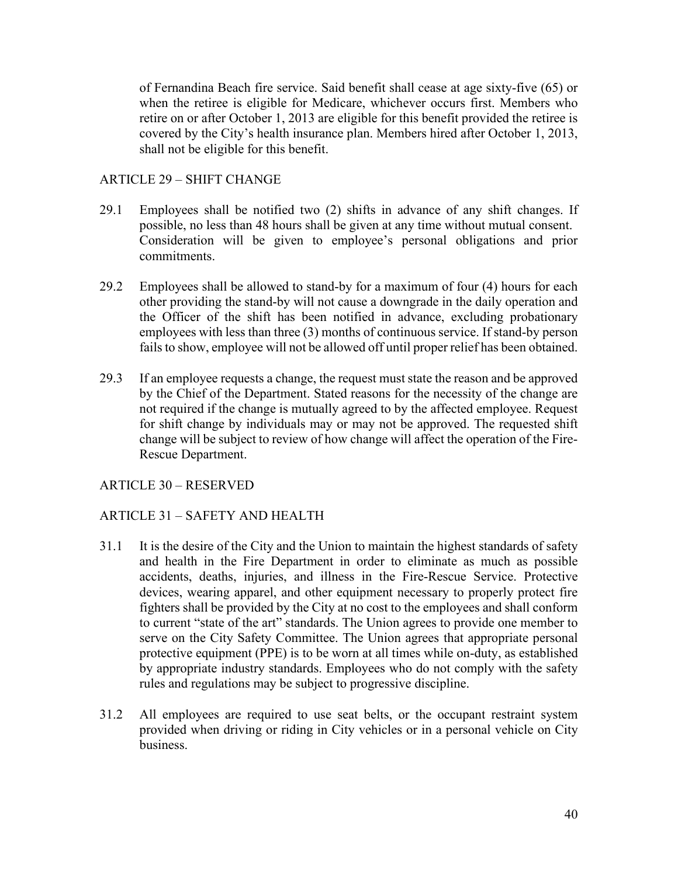of Fernandina Beach fire service. Said benefit shall cease at age sixty-five (65) or when the retiree is eligible for Medicare, whichever occurs first. Members who retire on or after October 1, 2013 are eligible for this benefit provided the retiree is covered by the City's health insurance plan. Members hired after October 1, 2013, shall not be eligible for this benefit.

#### ARTICLE 29 – SHIFT CHANGE

- 29.1 Employees shall be notified two (2) shifts in advance of any shift changes. If possible, no less than 48 hours shall be given at any time without mutual consent. Consideration will be given to employee's personal obligations and prior commitments.
- 29.2 Employees shall be allowed to stand-by for a maximum of four (4) hours for each other providing the stand-by will not cause a downgrade in the daily operation and the Officer of the shift has been notified in advance, excluding probationary employees with less than three (3) months of continuous service. If stand-by person fails to show, employee will not be allowed off until proper relief has been obtained.
- 29.3 If an employee requests a change, the request must state the reason and be approved by the Chief of the Department. Stated reasons for the necessity of the change are not required if the change is mutually agreed to by the affected employee. Request for shift change by individuals may or may not be approved. The requested shift change will be subject to review of how change will affect the operation of the Fire-Rescue Department.

# ARTICLE 30 – RESERVED

# ARTICLE 31 – SAFETY AND HEALTH

- 31.1 It is the desire of the City and the Union to maintain the highest standards of safety and health in the Fire Department in order to eliminate as much as possible accidents, deaths, injuries, and illness in the Fire-Rescue Service. Protective devices, wearing apparel, and other equipment necessary to properly protect fire fighters shall be provided by the City at no cost to the employees and shall conform to current "state of the art" standards. The Union agrees to provide one member to serve on the City Safety Committee. The Union agrees that appropriate personal protective equipment (PPE) is to be worn at all times while on-duty, as established by appropriate industry standards. Employees who do not comply with the safety rules and regulations may be subject to progressive discipline.
- 31.2 All employees are required to use seat belts, or the occupant restraint system provided when driving or riding in City vehicles or in a personal vehicle on City business.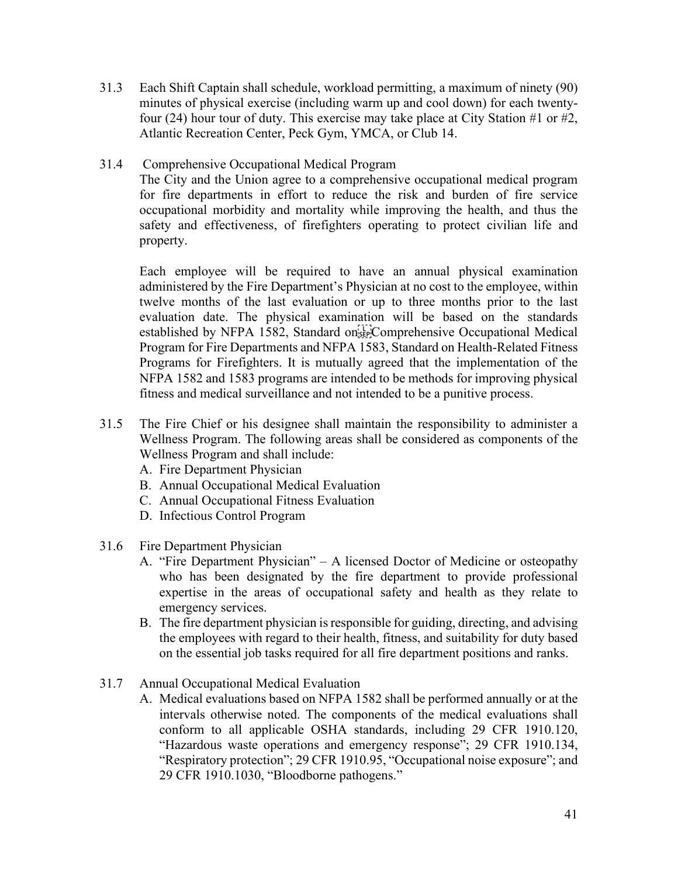- 31.3 Each Shift Captain shall schedule, workload permitting, a maximum of ninety (90) minutes of physical exercise (including warm up and cool down) for each twentyfour (24) hour tour of duty. This exercise may take place at City Station #1 or #2, Atlantic Recreation Center, Peck Gym, YMCA, or Club 14.
- 31.4 Comprehensive Occupational Medical Program

The City and the Union agree to a comprehensive occupational medical program for fire departments in effort to reduce the risk and burden of fire service occupational morbidity and mortality while improving the health, and thus the safety and effectiveness, of firefighters operating to protect civilian life and property.

Each employee will be required to have an annual physical examination administered by the Fire Department's Physician at no cost to the employee, within twelve months of the last evaluation or up to three months prior to the last evaluation date. The physical examination will be based on the standards established by NFPA 1582, Standard on  $\overline{H}$ . Comprehensive Occupational Medical Program for Fire Departments and NFPA 1583, Standard on Health-Related Fitness Programs for Firefighters. It is mutually agreed that the implementation of the NFPA 1582 and 1583 programs are intended to be methods for improving physical fitness and medical surveillance and not intended to be a punitive process.

- 31.5 The Fire Chief or his designee shall maintain the responsibility to administer a Wellness Program. The following areas shall be considered as components of the Wellness Program and shall include:
	- A. Fire Department Physician
	- B. Annual Occupational Medical Evaluation
	- C. Annual Occupational Fitness Evaluation
	- D. Infectious Control Program
- 31.6 Fire Department Physician
	- A. "Fire Department Physician" A licensed Doctor of Medicine or osteopathy who has been designated by the fire department to provide professional expertise in the areas of occupational safety and health as they relate to emergency services.
	- B. The fire department physician is responsible for guiding, directing, and advising the employees with regard to their health, fitness, and suitability for duty based on the essential job tasks required for all fire department positions and ranks.
- 31.7 Annual Occupational Medical Evaluation
	- A. Medical evaluations based on NFPA 1582 shall be performed annually or at the intervals otherwise noted. The components of the medical evaluations shall conform to all applicable OSHA standards, including 29 CFR 1910.120, "Hazardous waste operations and emergency response"; 29 CFR 1910.134, "Respiratory protection"; 29 CFR 1910.95, "Occupational noise exposure"; and 29 CFR 1910.1030, "Bloodborne pathogens."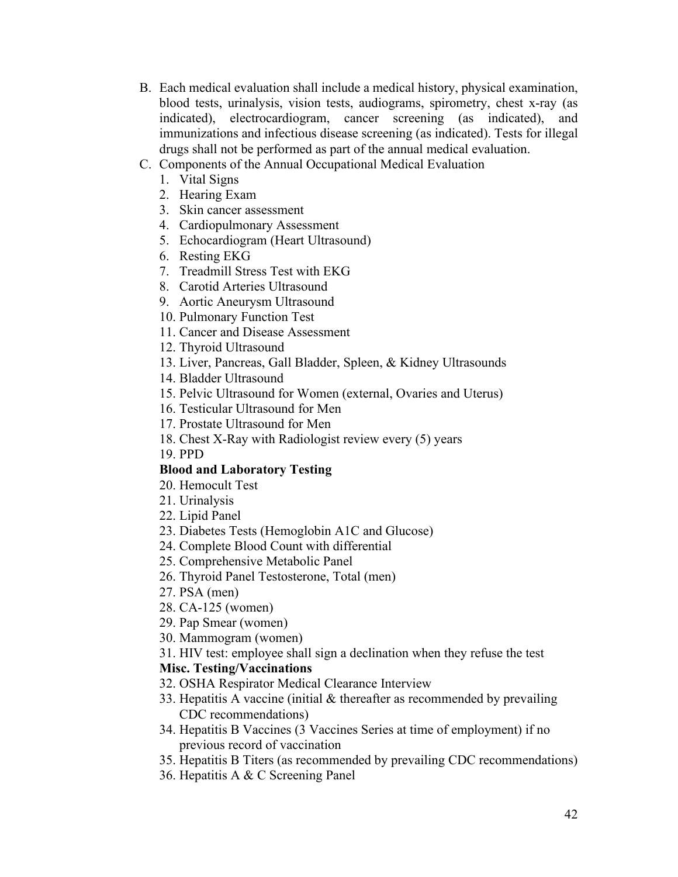- B. Each medical evaluation shall include a medical history, physical examination, blood tests, urinalysis, vision tests, audiograms, spirometry, chest x-ray (as indicated), electrocardiogram, cancer screening (as indicated), and immunizations and infectious disease screening (as indicated). Tests for illegal drugs shall not be performed as part of the annual medical evaluation.
- C. Components of the Annual Occupational Medical Evaluation
	- 1. Vital Signs
	- 2. Hearing Exam
	- 3. Skin cancer assessment
	- 4. Cardiopulmonary Assessment
	- 5. Echocardiogram (Heart Ultrasound)
	- 6. Resting EKG
	- 7. Treadmill Stress Test with EKG
	- 8. Carotid Arteries Ultrasound
	- 9. Aortic Aneurysm Ultrasound
	- 10. Pulmonary Function Test
	- 11. Cancer and Disease Assessment
	- 12. Thyroid Ultrasound
	- 13. Liver, Pancreas, Gall Bladder, Spleen, & Kidney Ultrasounds
	- 14. Bladder Ultrasound
	- 15. Pelvic Ultrasound for Women (external, Ovaries and Uterus)
	- 16. Testicular Ultrasound for Men
	- 17. Prostate Ultrasound for Men
	- 18. Chest X-Ray with Radiologist review every (5) years
	- 19. PPD

#### **Blood and Laboratory Testing**

- 20. Hemocult Test
- 21. Urinalysis
- 22. Lipid Panel
- 23. Diabetes Tests (Hemoglobin A1C and Glucose)
- 24. Complete Blood Count with differential
- 25. Comprehensive Metabolic Panel
- 26. Thyroid Panel Testosterone, Total (men)
- 27. PSA (men)
- 28. CA-125 (women)
- 29. Pap Smear (women)
- 30. Mammogram (women)
- 31. HIV test: employee shall sign a declination when they refuse the test

#### **Misc. Testing/Vaccinations**

- 32. OSHA Respirator Medical Clearance Interview
- 33. Hepatitis A vaccine (initial & thereafter as recommended by prevailing CDC recommendations)
- 34. Hepatitis B Vaccines (3 Vaccines Series at time of employment) if no previous record of vaccination
- 35. Hepatitis B Titers (as recommended by prevailing CDC recommendations)
- 36. Hepatitis A & C Screening Panel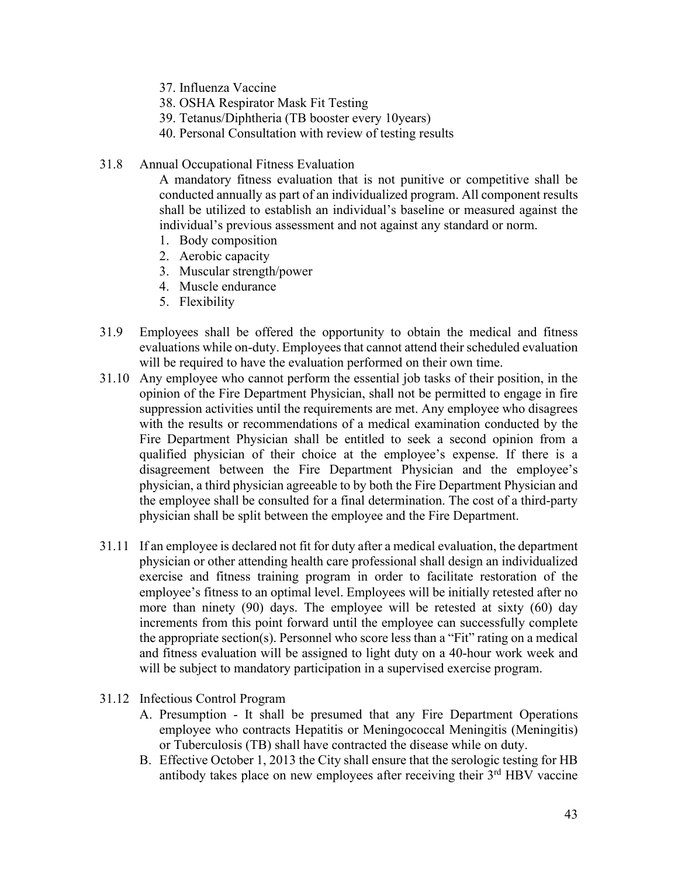- 37. Influenza Vaccine
- 38. OSHA Respirator Mask Fit Testing
- 39. Tetanus/Diphtheria (TB booster every 10years)
- 40. Personal Consultation with review of testing results
- 31.8 Annual Occupational Fitness Evaluation

A mandatory fitness evaluation that is not punitive or competitive shall be conducted annually as part of an individualized program. All component results shall be utilized to establish an individual's baseline or measured against the individual's previous assessment and not against any standard or norm.

- 1. Body composition
- 2. Aerobic capacity
- 3. Muscular strength/power
- 4. Muscle endurance
- 5. Flexibility
- 31.9 Employees shall be offered the opportunity to obtain the medical and fitness evaluations while on-duty. Employees that cannot attend their scheduled evaluation will be required to have the evaluation performed on their own time.
- 31.10 Any employee who cannot perform the essential job tasks of their position, in the opinion of the Fire Department Physician, shall not be permitted to engage in fire suppression activities until the requirements are met. Any employee who disagrees with the results or recommendations of a medical examination conducted by the Fire Department Physician shall be entitled to seek a second opinion from a qualified physician of their choice at the employee's expense. If there is a disagreement between the Fire Department Physician and the employee's physician, a third physician agreeable to by both the Fire Department Physician and the employee shall be consulted for a final determination. The cost of a third-party physician shall be split between the employee and the Fire Department.
- 31.11 If an employee is declared not fit for duty after a medical evaluation, the department physician or other attending health care professional shall design an individualized exercise and fitness training program in order to facilitate restoration of the employee's fitness to an optimal level. Employees will be initially retested after no more than ninety (90) days. The employee will be retested at sixty (60) day increments from this point forward until the employee can successfully complete the appropriate section(s). Personnel who score less than a "Fit" rating on a medical and fitness evaluation will be assigned to light duty on a 40-hour work week and will be subject to mandatory participation in a supervised exercise program.
- 31.12 Infectious Control Program
	- A. Presumption It shall be presumed that any Fire Department Operations employee who contracts Hepatitis or Meningococcal Meningitis (Meningitis) or Tuberculosis (TB) shall have contracted the disease while on duty.
	- B. Effective October 1, 2013 the City shall ensure that the serologic testing for HB antibody takes place on new employees after receiving their  $3<sup>rd</sup>$  HBV vaccine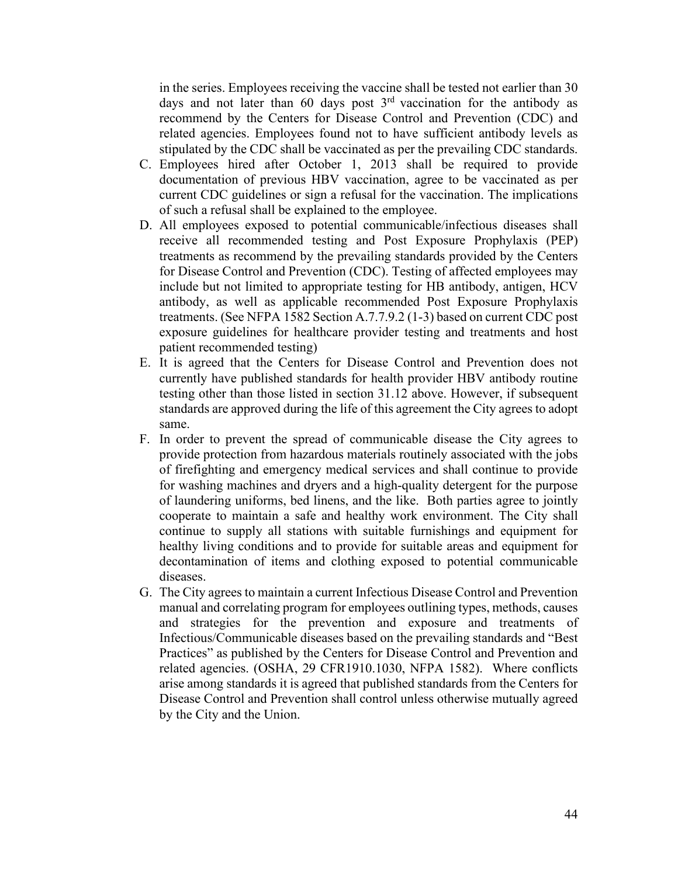in the series. Employees receiving the vaccine shall be tested not earlier than 30 days and not later than 60 days post  $3<sup>rd</sup>$  vaccination for the antibody as recommend by the Centers for Disease Control and Prevention (CDC) and related agencies. Employees found not to have sufficient antibody levels as stipulated by the CDC shall be vaccinated as per the prevailing CDC standards.

- C. Employees hired after October 1, 2013 shall be required to provide documentation of previous HBV vaccination, agree to be vaccinated as per current CDC guidelines or sign a refusal for the vaccination. The implications of such a refusal shall be explained to the employee.
- D. All employees exposed to potential communicable/infectious diseases shall receive all recommended testing and Post Exposure Prophylaxis (PEP) treatments as recommend by the prevailing standards provided by the Centers for Disease Control and Prevention (CDC). Testing of affected employees may include but not limited to appropriate testing for HB antibody, antigen, HCV antibody, as well as applicable recommended Post Exposure Prophylaxis treatments. (See NFPA 1582 Section A.7.7.9.2 (1-3) based on current CDC post exposure guidelines for healthcare provider testing and treatments and host patient recommended testing)
- E. It is agreed that the Centers for Disease Control and Prevention does not currently have published standards for health provider HBV antibody routine testing other than those listed in section 31.12 above. However, if subsequent standards are approved during the life of this agreement the City agrees to adopt same.
- F. In order to prevent the spread of communicable disease the City agrees to provide protection from hazardous materials routinely associated with the jobs of firefighting and emergency medical services and shall continue to provide for washing machines and dryers and a high-quality detergent for the purpose of laundering uniforms, bed linens, and the like. Both parties agree to jointly cooperate to maintain a safe and healthy work environment. The City shall continue to supply all stations with suitable furnishings and equipment for healthy living conditions and to provide for suitable areas and equipment for decontamination of items and clothing exposed to potential communicable diseases.
- G. The City agrees to maintain a current Infectious Disease Control and Prevention manual and correlating program for employees outlining types, methods, causes and strategies for the prevention and exposure and treatments of Infectious/Communicable diseases based on the prevailing standards and "Best Practices" as published by the Centers for Disease Control and Prevention and related agencies. (OSHA, 29 CFR1910.1030, NFPA 1582). Where conflicts arise among standards it is agreed that published standards from the Centers for Disease Control and Prevention shall control unless otherwise mutually agreed by the City and the Union.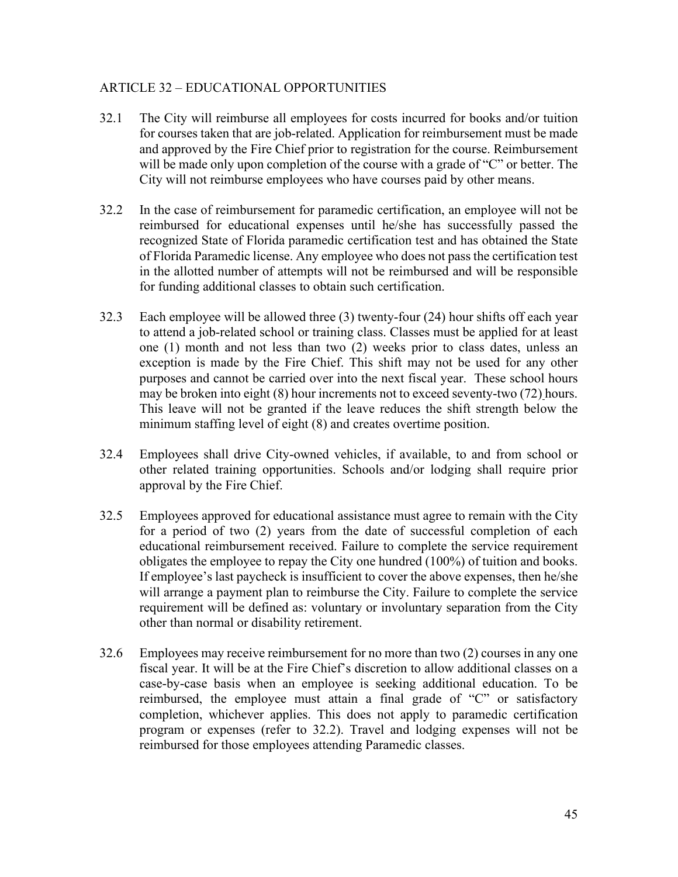### ARTICLE 32 – EDUCATIONAL OPPORTUNITIES

- 32.1 The City will reimburse all employees for costs incurred for books and/or tuition for courses taken that are job-related. Application for reimbursement must be made and approved by the Fire Chief prior to registration for the course. Reimbursement will be made only upon completion of the course with a grade of "C" or better. The City will not reimburse employees who have courses paid by other means.
- 32.2 In the case of reimbursement for paramedic certification, an employee will not be reimbursed for educational expenses until he/she has successfully passed the recognized State of Florida paramedic certification test and has obtained the State of Florida Paramedic license. Any employee who does not pass the certification test in the allotted number of attempts will not be reimbursed and will be responsible for funding additional classes to obtain such certification.
- 32.3 Each employee will be allowed three (3) twenty-four (24) hour shifts off each year to attend a job-related school or training class. Classes must be applied for at least one (1) month and not less than two (2) weeks prior to class dates, unless an exception is made by the Fire Chief. This shift may not be used for any other purposes and cannot be carried over into the next fiscal year. These school hours may be broken into eight (8) hour increments not to exceed seventy-two (72) hours. This leave will not be granted if the leave reduces the shift strength below the minimum staffing level of eight (8) and creates overtime position.
- 32.4 Employees shall drive City-owned vehicles, if available, to and from school or other related training opportunities. Schools and/or lodging shall require prior approval by the Fire Chief.
- 32.5 Employees approved for educational assistance must agree to remain with the City for a period of two (2) years from the date of successful completion of each educational reimbursement received. Failure to complete the service requirement obligates the employee to repay the City one hundred (100%) of tuition and books. If employee's last paycheck is insufficient to cover the above expenses, then he/she will arrange a payment plan to reimburse the City. Failure to complete the service requirement will be defined as: voluntary or involuntary separation from the City other than normal or disability retirement.
- 32.6 Employees may receive reimbursement for no more than two (2) courses in any one fiscal year. It will be at the Fire Chief's discretion to allow additional classes on a case-by-case basis when an employee is seeking additional education. To be reimbursed, the employee must attain a final grade of "C" or satisfactory completion, whichever applies. This does not apply to paramedic certification program or expenses (refer to 32.2). Travel and lodging expenses will not be reimbursed for those employees attending Paramedic classes.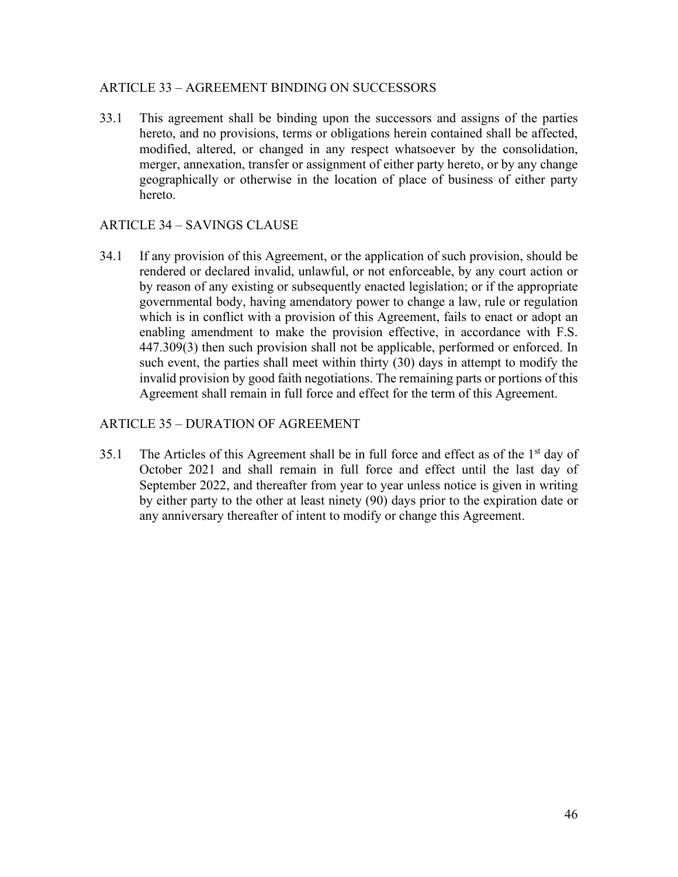#### ARTICLE 33 – AGREEMENT BINDING ON SUCCESSORS

33.1 This agreement shall be binding upon the successors and assigns of the parties hereto, and no provisions, terms or obligations herein contained shall be affected, modified, altered, or changed in any respect whatsoever by the consolidation, merger, annexation, transfer or assignment of either party hereto, or by any change geographically or otherwise in the location of place of business of either party hereto.

#### ARTICLE 34 – SAVINGS CLAUSE

34.1 If any provision of this Agreement, or the application of such provision, should be rendered or declared invalid, unlawful, or not enforceable, by any court action or by reason of any existing or subsequently enacted legislation; or if the appropriate governmental body, having amendatory power to change a law, rule or regulation which is in conflict with a provision of this Agreement, fails to enact or adopt an enabling amendment to make the provision effective, in accordance with F.S. 447.309(3) then such provision shall not be applicable, performed or enforced. In such event, the parties shall meet within thirty (30) days in attempt to modify the invalid provision by good faith negotiations. The remaining parts or portions of this Agreement shall remain in full force and effect for the term of this Agreement.

#### ARTICLE 35 – DURATION OF AGREEMENT

35.1 The Articles of this Agreement shall be in full force and effect as of the  $1<sup>st</sup>$  day of October 2021 and shall remain in full force and effect until the last day of September 2022, and thereafter from year to year unless notice is given in writing by either party to the other at least ninety (90) days prior to the expiration date or any anniversary thereafter of intent to modify or change this Agreement.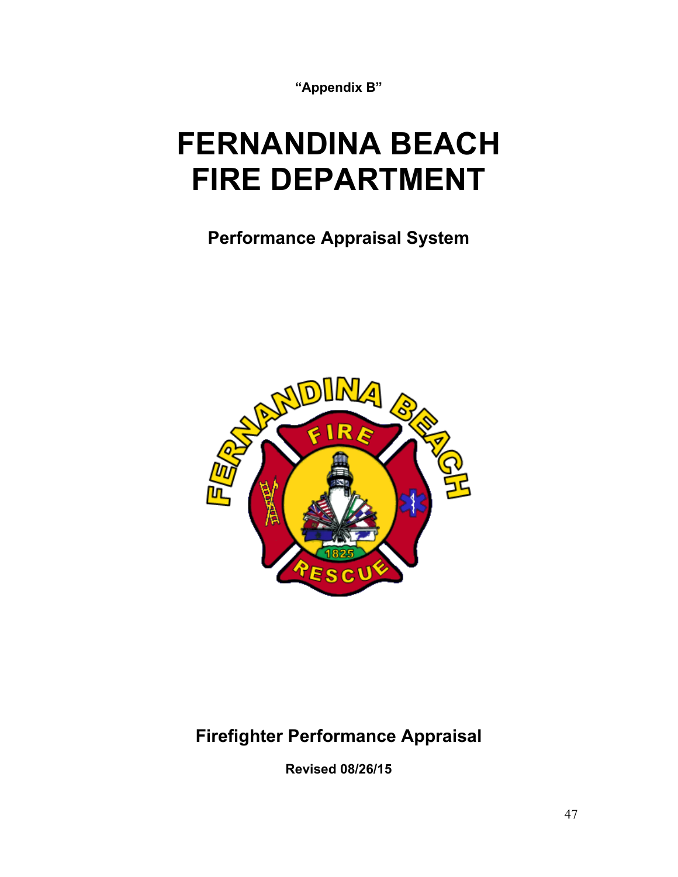**"Appendix B"**

# **FERNANDINA BEACH FIRE DEPARTMENT**

**Performance Appraisal System**



# **Firefighter Performance Appraisal**

**Revised 08/26/15**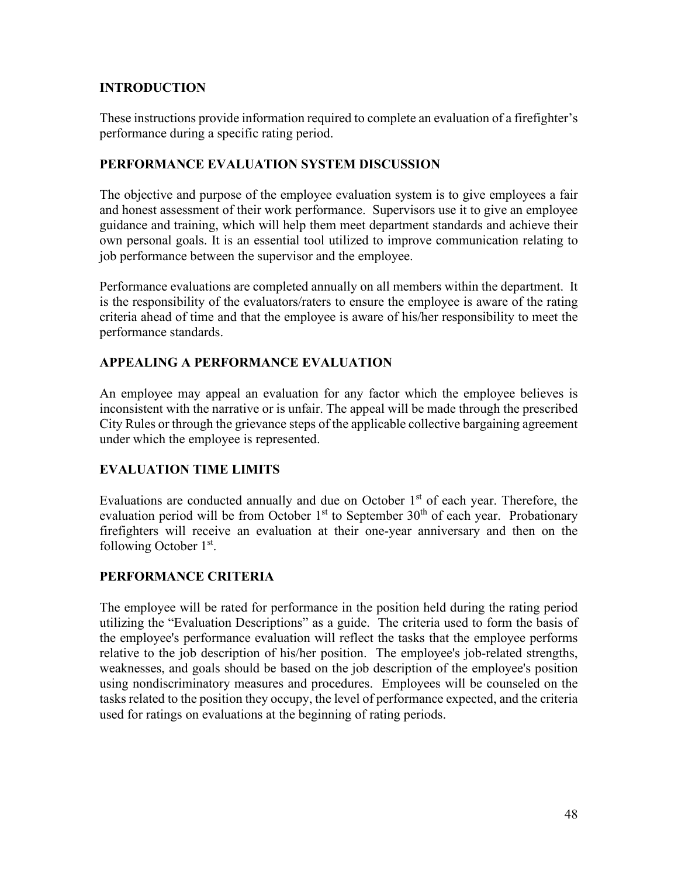# **INTRODUCTION**

These instructions provide information required to complete an evaluation of a firefighter's performance during a specific rating period.

# **PERFORMANCE EVALUATION SYSTEM DISCUSSION**

The objective and purpose of the employee evaluation system is to give employees a fair and honest assessment of their work performance. Supervisors use it to give an employee guidance and training, which will help them meet department standards and achieve their own personal goals. It is an essential tool utilized to improve communication relating to job performance between the supervisor and the employee.

Performance evaluations are completed annually on all members within the department. It is the responsibility of the evaluators/raters to ensure the employee is aware of the rating criteria ahead of time and that the employee is aware of his/her responsibility to meet the performance standards.

# **APPEALING A PERFORMANCE EVALUATION**

An employee may appeal an evaluation for any factor which the employee believes is inconsistent with the narrative or is unfair. The appeal will be made through the prescribed City Rules or through the grievance steps of the applicable collective bargaining agreement under which the employee is represented.

# **EVALUATION TIME LIMITS**

Evaluations are conducted annually and due on October  $1<sup>st</sup>$  of each year. Therefore, the evaluation period will be from October 1<sup>st</sup> to September 30<sup>th</sup> of each year. Probationary firefighters will receive an evaluation at their one-year anniversary and then on the following October 1st.

# **PERFORMANCE CRITERIA**

The employee will be rated for performance in the position held during the rating period utilizing the "Evaluation Descriptions" as a guide. The criteria used to form the basis of the employee's performance evaluation will reflect the tasks that the employee performs relative to the job description of his/her position. The employee's job-related strengths, weaknesses, and goals should be based on the job description of the employee's position using nondiscriminatory measures and procedures. Employees will be counseled on the tasks related to the position they occupy, the level of performance expected, and the criteria used for ratings on evaluations at the beginning of rating periods.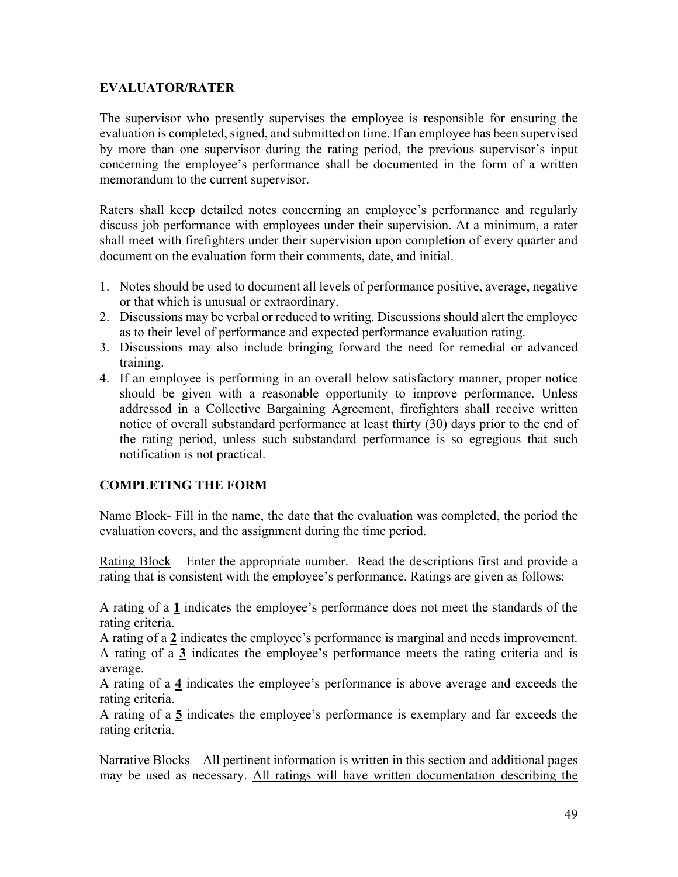# **EVALUATOR/RATER**

The supervisor who presently supervises the employee is responsible for ensuring the evaluation is completed, signed, and submitted on time. If an employee has been supervised by more than one supervisor during the rating period, the previous supervisor's input concerning the employee's performance shall be documented in the form of a written memorandum to the current supervisor.

Raters shall keep detailed notes concerning an employee's performance and regularly discuss job performance with employees under their supervision. At a minimum, a rater shall meet with firefighters under their supervision upon completion of every quarter and document on the evaluation form their comments, date, and initial.

- 1. Notes should be used to document all levels of performance positive, average, negative or that which is unusual or extraordinary.
- 2. Discussions may be verbal or reduced to writing. Discussions should alert the employee as to their level of performance and expected performance evaluation rating.
- 3. Discussions may also include bringing forward the need for remedial or advanced training.
- 4. If an employee is performing in an overall below satisfactory manner, proper notice should be given with a reasonable opportunity to improve performance. Unless addressed in a Collective Bargaining Agreement, firefighters shall receive written notice of overall substandard performance at least thirty (30) days prior to the end of the rating period, unless such substandard performance is so egregious that such notification is not practical.

# **COMPLETING THE FORM**

Name Block- Fill in the name, the date that the evaluation was completed, the period the evaluation covers, and the assignment during the time period.

Rating Block – Enter the appropriate number. Read the descriptions first and provide a rating that is consistent with the employee's performance. Ratings are given as follows:

A rating of a **1** indicates the employee's performance does not meet the standards of the rating criteria.

A rating of a **2** indicates the employee's performance is marginal and needs improvement. A rating of a **3** indicates the employee's performance meets the rating criteria and is average.

A rating of a **4** indicates the employee's performance is above average and exceeds the rating criteria.

A rating of a **5** indicates the employee's performance is exemplary and far exceeds the rating criteria.

Narrative Blocks – All pertinent information is written in this section and additional pages may be used as necessary. All ratings will have written documentation describing the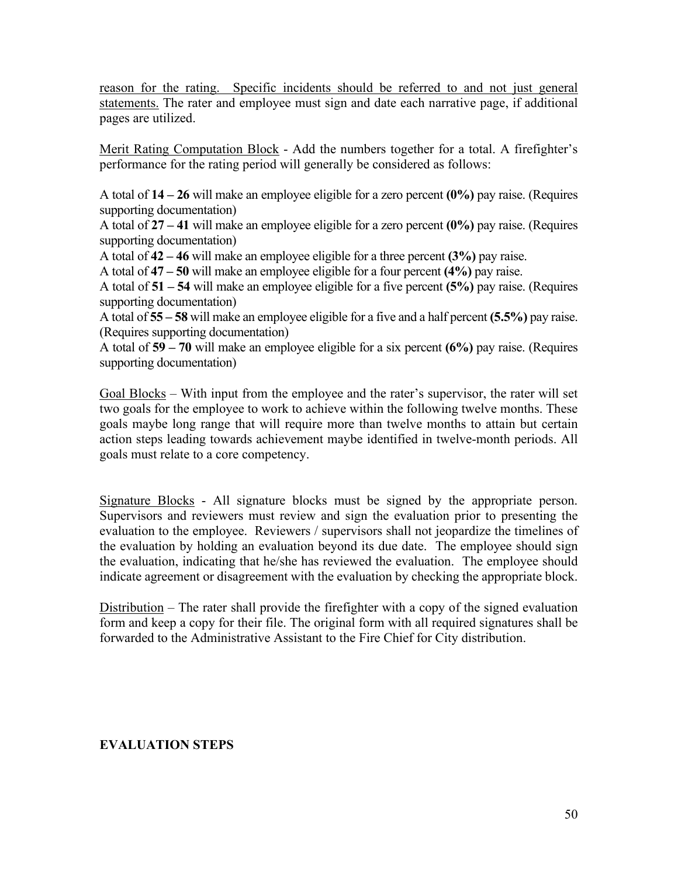reason for the rating. Specific incidents should be referred to and not just general statements. The rater and employee must sign and date each narrative page, if additional pages are utilized.

Merit Rating Computation Block - Add the numbers together for a total. A firefighter's performance for the rating period will generally be considered as follows:

A total of **14 – 26** will make an employee eligible for a zero percent **(0%)** pay raise. (Requires supporting documentation)

A total of **27 – 41** will make an employee eligible for a zero percent **(0%)** pay raise. (Requires supporting documentation)

A total of **42 – 46** will make an employee eligible for a three percent **(3%)** pay raise.

A total of **47 – 50** will make an employee eligible for a four percent **(4%)** pay raise.

A total of **51 – 54** will make an employee eligible for a five percent **(5%)** pay raise. (Requires supporting documentation)

A total of **55 – 58** will make an employee eligible for a five and a half percent **(5.5%)** pay raise. (Requires supporting documentation)

A total of **59 – 70** will make an employee eligible for a six percent **(6%)** pay raise. (Requires supporting documentation)

Goal Blocks – With input from the employee and the rater's supervisor, the rater will set two goals for the employee to work to achieve within the following twelve months. These goals maybe long range that will require more than twelve months to attain but certain action steps leading towards achievement maybe identified in twelve-month periods. All goals must relate to a core competency.

Signature Blocks - All signature blocks must be signed by the appropriate person. Supervisors and reviewers must review and sign the evaluation prior to presenting the evaluation to the employee. Reviewers / supervisors shall not jeopardize the timelines of the evaluation by holding an evaluation beyond its due date. The employee should sign the evaluation, indicating that he/she has reviewed the evaluation. The employee should indicate agreement or disagreement with the evaluation by checking the appropriate block.

Distribution – The rater shall provide the firefighter with a copy of the signed evaluation form and keep a copy for their file. The original form with all required signatures shall be forwarded to the Administrative Assistant to the Fire Chief for City distribution.

# **EVALUATION STEPS**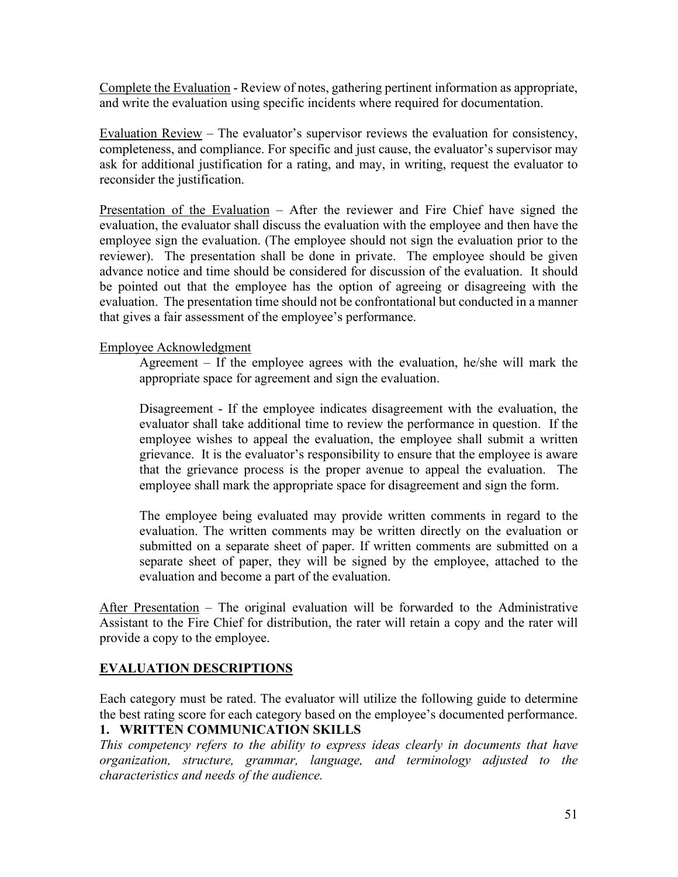Complete the Evaluation - Review of notes, gathering pertinent information as appropriate, and write the evaluation using specific incidents where required for documentation.

Evaluation Review – The evaluator's supervisor reviews the evaluation for consistency, completeness, and compliance. For specific and just cause, the evaluator's supervisor may ask for additional justification for a rating, and may, in writing, request the evaluator to reconsider the justification.

Presentation of the Evaluation – After the reviewer and Fire Chief have signed the evaluation, the evaluator shall discuss the evaluation with the employee and then have the employee sign the evaluation. (The employee should not sign the evaluation prior to the reviewer). The presentation shall be done in private. The employee should be given advance notice and time should be considered for discussion of the evaluation. It should be pointed out that the employee has the option of agreeing or disagreeing with the evaluation. The presentation time should not be confrontational but conducted in a manner that gives a fair assessment of the employee's performance.

#### Employee Acknowledgment

Agreement – If the employee agrees with the evaluation, he/she will mark the appropriate space for agreement and sign the evaluation.

Disagreement - If the employee indicates disagreement with the evaluation, the evaluator shall take additional time to review the performance in question. If the employee wishes to appeal the evaluation, the employee shall submit a written grievance. It is the evaluator's responsibility to ensure that the employee is aware that the grievance process is the proper avenue to appeal the evaluation. The employee shall mark the appropriate space for disagreement and sign the form.

The employee being evaluated may provide written comments in regard to the evaluation. The written comments may be written directly on the evaluation or submitted on a separate sheet of paper. If written comments are submitted on a separate sheet of paper, they will be signed by the employee, attached to the evaluation and become a part of the evaluation.

After Presentation – The original evaluation will be forwarded to the Administrative Assistant to the Fire Chief for distribution, the rater will retain a copy and the rater will provide a copy to the employee.

# **EVALUATION DESCRIPTIONS**

Each category must be rated. The evaluator will utilize the following guide to determine the best rating score for each category based on the employee's documented performance.

# **1. WRITTEN COMMUNICATION SKILLS**

*This competency refers to the ability to express ideas clearly in documents that have organization, structure, grammar, language, and terminology adjusted to the characteristics and needs of the audience.*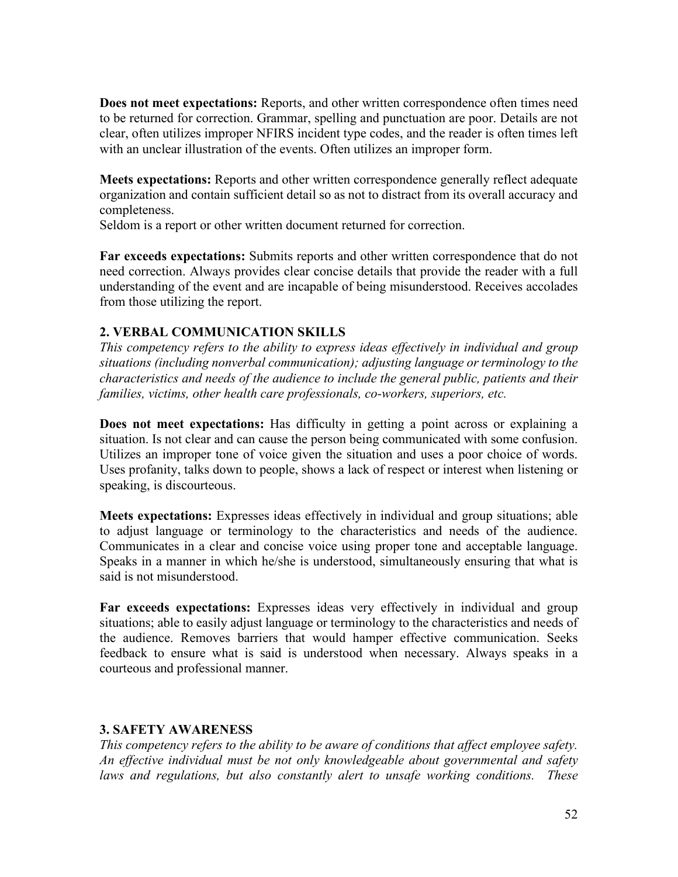**Does not meet expectations:** Reports, and other written correspondence often times need to be returned for correction. Grammar, spelling and punctuation are poor. Details are not clear, often utilizes improper NFIRS incident type codes, and the reader is often times left with an unclear illustration of the events. Often utilizes an improper form.

**Meets expectations:** Reports and other written correspondence generally reflect adequate organization and contain sufficient detail so as not to distract from its overall accuracy and completeness.

Seldom is a report or other written document returned for correction.

**Far exceeds expectations:** Submits reports and other written correspondence that do not need correction. Always provides clear concise details that provide the reader with a full understanding of the event and are incapable of being misunderstood. Receives accolades from those utilizing the report.

# **2. VERBAL COMMUNICATION SKILLS**

*This competency refers to the ability to express ideas effectively in individual and group situations (including nonverbal communication); adjusting language or terminology to the characteristics and needs of the audience to include the general public, patients and their families, victims, other health care professionals, co-workers, superiors, etc.*

**Does not meet expectations:** Has difficulty in getting a point across or explaining a situation. Is not clear and can cause the person being communicated with some confusion. Utilizes an improper tone of voice given the situation and uses a poor choice of words. Uses profanity, talks down to people, shows a lack of respect or interest when listening or speaking, is discourteous.

**Meets expectations:** Expresses ideas effectively in individual and group situations; able to adjust language or terminology to the characteristics and needs of the audience. Communicates in a clear and concise voice using proper tone and acceptable language. Speaks in a manner in which he/she is understood, simultaneously ensuring that what is said is not misunderstood.

**Far exceeds expectations:** Expresses ideas very effectively in individual and group situations; able to easily adjust language or terminology to the characteristics and needs of the audience. Removes barriers that would hamper effective communication. Seeks feedback to ensure what is said is understood when necessary. Always speaks in a courteous and professional manner.

# **3. SAFETY AWARENESS**

*This competency refers to the ability to be aware of conditions that affect employee safety. An effective individual must be not only knowledgeable about governmental and safety laws and regulations, but also constantly alert to unsafe working conditions. These*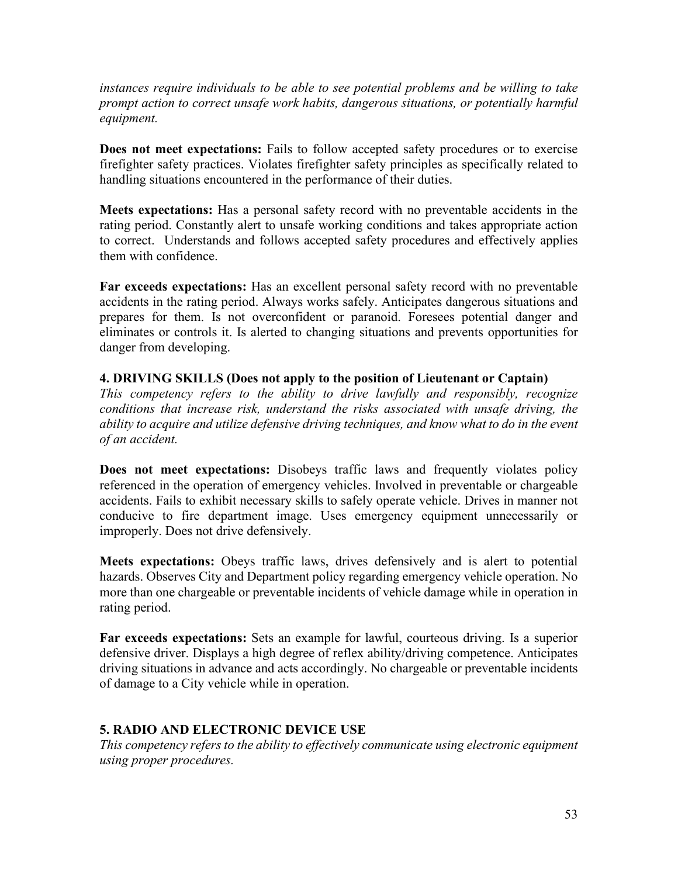*instances require individuals to be able to see potential problems and be willing to take prompt action to correct unsafe work habits, dangerous situations, or potentially harmful equipment.* 

**Does not meet expectations:** Fails to follow accepted safety procedures or to exercise firefighter safety practices. Violates firefighter safety principles as specifically related to handling situations encountered in the performance of their duties.

**Meets expectations:** Has a personal safety record with no preventable accidents in the rating period. Constantly alert to unsafe working conditions and takes appropriate action to correct.Understands and follows accepted safety procedures and effectively applies them with confidence.

**Far exceeds expectations:** Has an excellent personal safety record with no preventable accidents in the rating period. Always works safely. Anticipates dangerous situations and prepares for them. Is not overconfident or paranoid. Foresees potential danger and eliminates or controls it. Is alerted to changing situations and prevents opportunities for danger from developing.

# **4. DRIVING SKILLS (Does not apply to the position of Lieutenant or Captain)**

*This competency refers to the ability to drive lawfully and responsibly, recognize conditions that increase risk, understand the risks associated with unsafe driving, the ability to acquire and utilize defensive driving techniques, and know what to do in the event of an accident.* 

**Does not meet expectations:** Disobeys traffic laws and frequently violates policy referenced in the operation of emergency vehicles. Involved in preventable or chargeable accidents. Fails to exhibit necessary skills to safely operate vehicle. Drives in manner not conducive to fire department image. Uses emergency equipment unnecessarily or improperly. Does not drive defensively.

**Meets expectations:** Obeys traffic laws, drives defensively and is alert to potential hazards. Observes City and Department policy regarding emergency vehicle operation. No more than one chargeable or preventable incidents of vehicle damage while in operation in rating period.

**Far exceeds expectations:** Sets an example for lawful, courteous driving. Is a superior defensive driver. Displays a high degree of reflex ability/driving competence. Anticipates driving situations in advance and acts accordingly. No chargeable or preventable incidents of damage to a City vehicle while in operation.

#### **5. RADIO AND ELECTRONIC DEVICE USE**

*This competency refers to the ability to effectively communicate using electronic equipment using proper procedures.*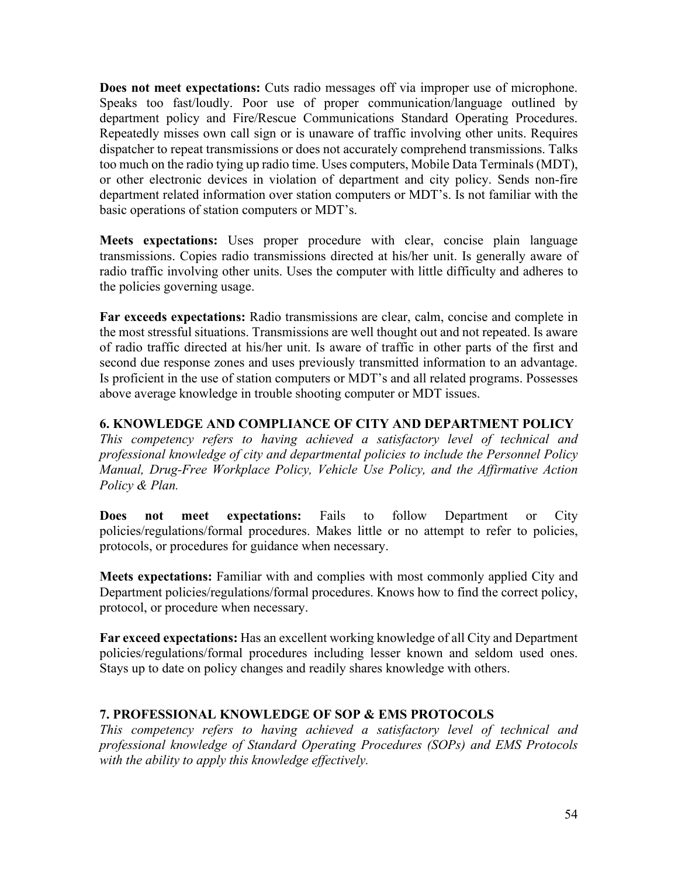**Does not meet expectations:** Cuts radio messages off via improper use of microphone. Speaks too fast/loudly. Poor use of proper communication/language outlined by department policy and Fire/Rescue Communications Standard Operating Procedures. Repeatedly misses own call sign or is unaware of traffic involving other units. Requires dispatcher to repeat transmissions or does not accurately comprehend transmissions. Talks too much on the radio tying up radio time. Uses computers, Mobile Data Terminals (MDT), or other electronic devices in violation of department and city policy. Sends non-fire department related information over station computers or MDT's. Is not familiar with the basic operations of station computers or MDT's.

**Meets expectations:** Uses proper procedure with clear, concise plain language transmissions. Copies radio transmissions directed at his/her unit. Is generally aware of radio traffic involving other units. Uses the computer with little difficulty and adheres to the policies governing usage.

**Far exceeds expectations:** Radio transmissions are clear, calm, concise and complete in the most stressful situations. Transmissions are well thought out and not repeated. Is aware of radio traffic directed at his/her unit. Is aware of traffic in other parts of the first and second due response zones and uses previously transmitted information to an advantage. Is proficient in the use of station computers or MDT's and all related programs. Possesses above average knowledge in trouble shooting computer or MDT issues.

# **6. KNOWLEDGE AND COMPLIANCE OF CITY AND DEPARTMENT POLICY**

*This competency refers to having achieved a satisfactory level of technical and professional knowledge of city and departmental policies to include the Personnel Policy Manual, Drug-Free Workplace Policy, Vehicle Use Policy, and the Affirmative Action Policy & Plan.*

**Does not meet expectations:** Fails to follow Department or City policies/regulations/formal procedures. Makes little or no attempt to refer to policies, protocols, or procedures for guidance when necessary.

**Meets expectations:** Familiar with and complies with most commonly applied City and Department policies/regulations/formal procedures. Knows how to find the correct policy, protocol, or procedure when necessary.

**Far exceed expectations:** Has an excellent working knowledge of all City and Department policies/regulations/formal procedures including lesser known and seldom used ones. Stays up to date on policy changes and readily shares knowledge with others.

# **7. PROFESSIONAL KNOWLEDGE OF SOP & EMS PROTOCOLS**

*This competency refers to having achieved a satisfactory level of technical and professional knowledge of Standard Operating Procedures (SOPs) and EMS Protocols with the ability to apply this knowledge effectively.*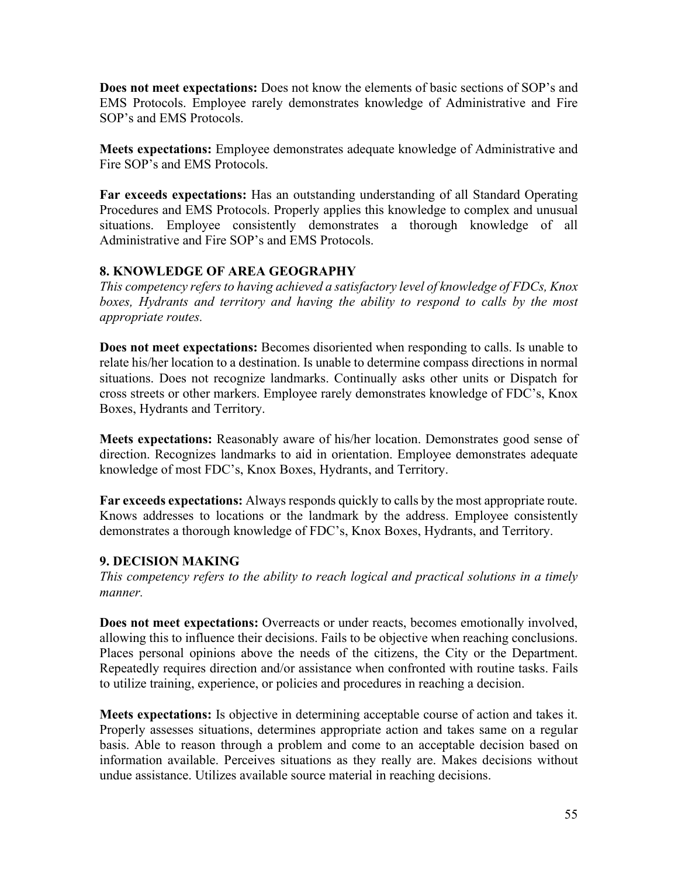**Does not meet expectations:** Does not know the elements of basic sections of SOP's and EMS Protocols. Employee rarely demonstrates knowledge of Administrative and Fire SOP's and EMS Protocols.

**Meets expectations:** Employee demonstrates adequate knowledge of Administrative and Fire SOP's and EMS Protocols.

**Far exceeds expectations:** Has an outstanding understanding of all Standard Operating Procedures and EMS Protocols. Properly applies this knowledge to complex and unusual situations. Employee consistently demonstrates a thorough knowledge of all Administrative and Fire SOP's and EMS Protocols.

# **8. KNOWLEDGE OF AREA GEOGRAPHY**

*This competency refers to having achieved a satisfactory level of knowledge of FDCs, Knox*  boxes, Hydrants and territory and having the ability to respond to calls by the most *appropriate routes.* 

**Does not meet expectations:** Becomes disoriented when responding to calls. Is unable to relate his/her location to a destination. Is unable to determine compass directions in normal situations. Does not recognize landmarks. Continually asks other units or Dispatch for cross streets or other markers. Employee rarely demonstrates knowledge of FDC's, Knox Boxes, Hydrants and Territory.

**Meets expectations:** Reasonably aware of his/her location. Demonstrates good sense of direction. Recognizes landmarks to aid in orientation. Employee demonstrates adequate knowledge of most FDC's, Knox Boxes, Hydrants, and Territory.

**Far exceeds expectations:** Always responds quickly to calls by the most appropriate route. Knows addresses to locations or the landmark by the address. Employee consistently demonstrates a thorough knowledge of FDC's, Knox Boxes, Hydrants, and Territory.

# **9. DECISION MAKING**

*This competency refers to the ability to reach logical and practical solutions in a timely manner.*

**Does not meet expectations:** Overreacts or under reacts, becomes emotionally involved, allowing this to influence their decisions. Fails to be objective when reaching conclusions. Places personal opinions above the needs of the citizens, the City or the Department. Repeatedly requires direction and/or assistance when confronted with routine tasks. Fails to utilize training, experience, or policies and procedures in reaching a decision.

**Meets expectations:** Is objective in determining acceptable course of action and takes it. Properly assesses situations, determines appropriate action and takes same on a regular basis. Able to reason through a problem and come to an acceptable decision based on information available. Perceives situations as they really are. Makes decisions without undue assistance. Utilizes available source material in reaching decisions.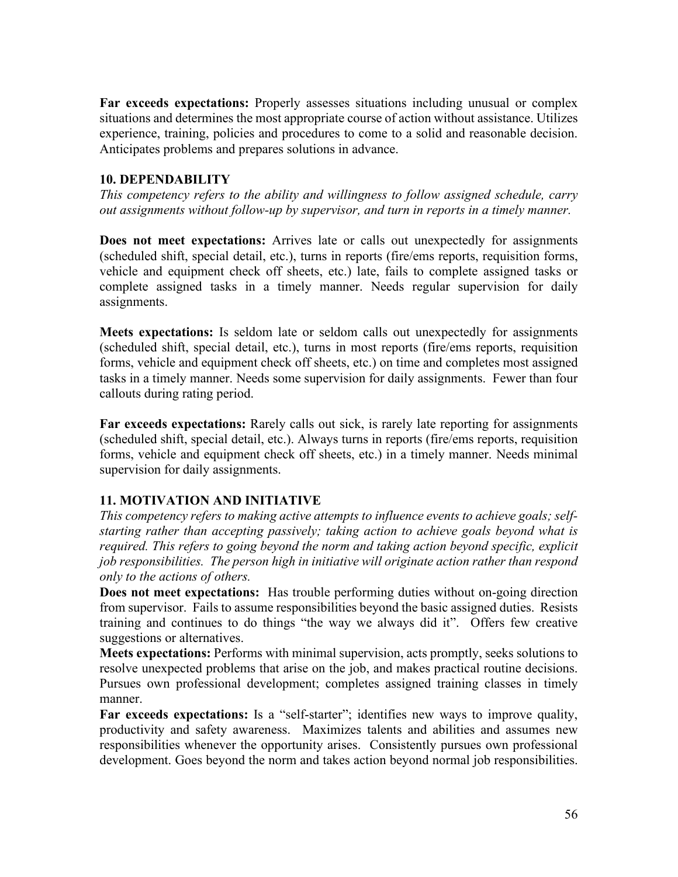**Far exceeds expectations:** Properly assesses situations including unusual or complex situations and determines the most appropriate course of action without assistance. Utilizes experience, training, policies and procedures to come to a solid and reasonable decision. Anticipates problems and prepares solutions in advance.

### **10. DEPENDABILITY**

*This competency refers to the ability and willingness to follow assigned schedule, carry out assignments without follow-up by supervisor, and turn in reports in a timely manner.*

**Does not meet expectations:** Arrives late or calls out unexpectedly for assignments (scheduled shift, special detail, etc.), turns in reports (fire/ems reports, requisition forms, vehicle and equipment check off sheets, etc.) late, fails to complete assigned tasks or complete assigned tasks in a timely manner. Needs regular supervision for daily assignments.

**Meets expectations:** Is seldom late or seldom calls out unexpectedly for assignments (scheduled shift, special detail, etc.), turns in most reports (fire/ems reports, requisition forms, vehicle and equipment check off sheets, etc.) on time and completes most assigned tasks in a timely manner. Needs some supervision for daily assignments. Fewer than four callouts during rating period.

**Far exceeds expectations:** Rarely calls out sick, is rarely late reporting for assignments (scheduled shift, special detail, etc.). Always turns in reports (fire/ems reports, requisition forms, vehicle and equipment check off sheets, etc.) in a timely manner. Needs minimal supervision for daily assignments.

# **11. MOTIVATION AND INITIATIVE**

*This competency refers to making active attempts to influence events to achieve goals; selfstarting rather than accepting passively; taking action to achieve goals beyond what is required. This refers to going beyond the norm and taking action beyond specific, explicit job responsibilities. The person high in initiative will originate action rather than respond only to the actions of others.*

**Does not meet expectations:** Has trouble performing duties without on-going direction from supervisor. Fails to assume responsibilities beyond the basic assigned duties. Resists training and continues to do things "the way we always did it". Offers few creative suggestions or alternatives.

**Meets expectations:** Performs with minimal supervision, acts promptly, seeks solutions to resolve unexpected problems that arise on the job, and makes practical routine decisions. Pursues own professional development; completes assigned training classes in timely manner.

Far exceeds expectations: Is a "self-starter"; identifies new ways to improve quality, productivity and safety awareness. Maximizes talents and abilities and assumes new responsibilities whenever the opportunity arises. Consistently pursues own professional development. Goes beyond the norm and takes action beyond normal job responsibilities.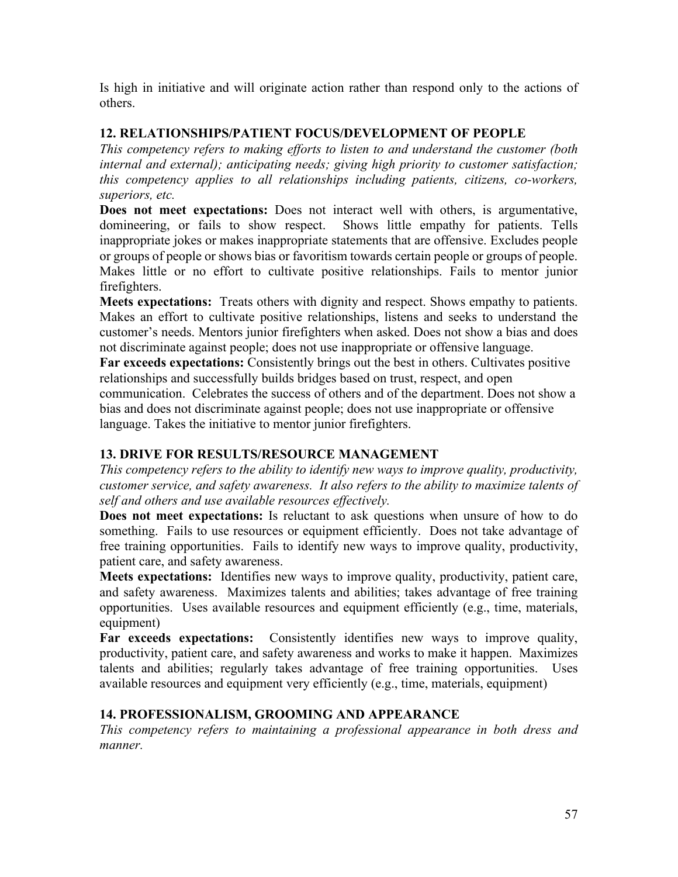Is high in initiative and will originate action rather than respond only to the actions of others.

# **12. RELATIONSHIPS/PATIENT FOCUS/DEVELOPMENT OF PEOPLE**

*This competency refers to making efforts to listen to and understand the customer (both internal and external); anticipating needs; giving high priority to customer satisfaction; this competency applies to all relationships including patients, citizens, co-workers, superiors, etc.*

**Does not meet expectations:** Does not interact well with others, is argumentative, domineering, or fails to show respect. Shows little empathy for patients. Tells inappropriate jokes or makes inappropriate statements that are offensive. Excludes people or groups of people or shows bias or favoritism towards certain people or groups of people. Makes little or no effort to cultivate positive relationships. Fails to mentor junior firefighters.

**Meets expectations:** Treats others with dignity and respect. Shows empathy to patients. Makes an effort to cultivate positive relationships, listens and seeks to understand the customer's needs. Mentors junior firefighters when asked. Does not show a bias and does not discriminate against people; does not use inappropriate or offensive language.

Far exceeds expectations: Consistently brings out the best in others. Cultivates positive relationships and successfully builds bridges based on trust, respect, and open

communication. Celebrates the success of others and of the department. Does not show a bias and does not discriminate against people; does not use inappropriate or offensive language. Takes the initiative to mentor junior firefighters.

# **13. DRIVE FOR RESULTS/RESOURCE MANAGEMENT**

*This competency refers to the ability to identify new ways to improve quality, productivity, customer service, and safety awareness. It also refers to the ability to maximize talents of self and others and use available resources effectively.*

**Does not meet expectations:** Is reluctant to ask questions when unsure of how to do something. Fails to use resources or equipment efficiently. Does not take advantage of free training opportunities. Fails to identify new ways to improve quality, productivity, patient care, and safety awareness.

**Meets expectations:** Identifies new ways to improve quality, productivity, patient care, and safety awareness. Maximizes talents and abilities; takes advantage of free training opportunities. Uses available resources and equipment efficiently (e.g., time, materials, equipment)

**Far exceeds expectations:** Consistently identifies new ways to improve quality, productivity, patient care, and safety awareness and works to make it happen. Maximizes talents and abilities; regularly takes advantage of free training opportunities. Uses available resources and equipment very efficiently (e.g., time, materials, equipment)

# **14. PROFESSIONALISM, GROOMING AND APPEARANCE**

*This competency refers to maintaining a professional appearance in both dress and manner.*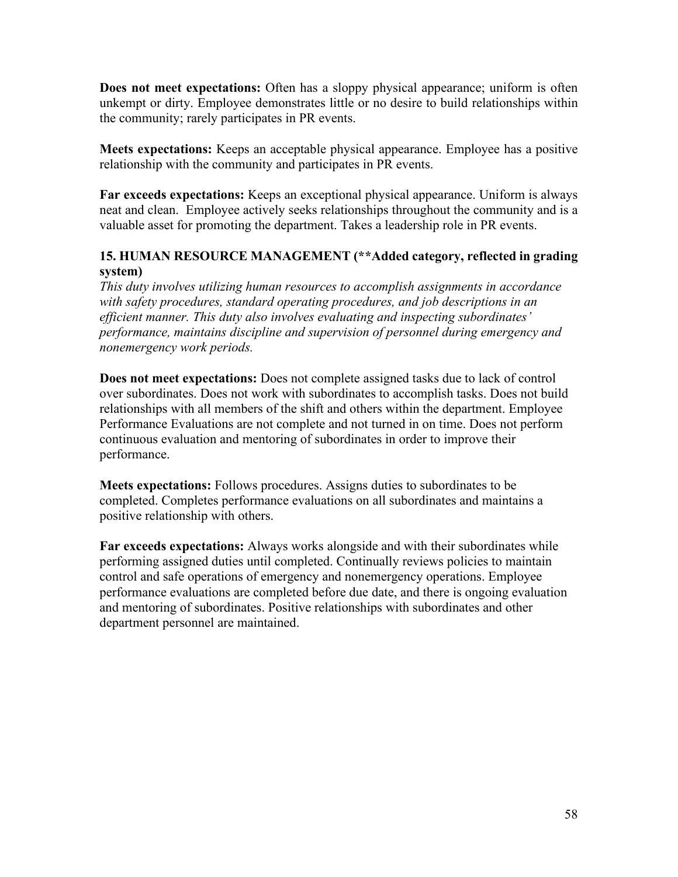**Does not meet expectations:** Often has a sloppy physical appearance; uniform is often unkempt or dirty. Employee demonstrates little or no desire to build relationships within the community; rarely participates in PR events.

**Meets expectations:** Keeps an acceptable physical appearance. Employee has a positive relationship with the community and participates in PR events.

**Far exceeds expectations:** Keeps an exceptional physical appearance. Uniform is always neat and clean. Employee actively seeks relationships throughout the community and is a valuable asset for promoting the department. Takes a leadership role in PR events.

# **15. HUMAN RESOURCE MANAGEMENT (\*\*Added category, reflected in grading system)**

*This duty involves utilizing human resources to accomplish assignments in accordance with safety procedures, standard operating procedures, and job descriptions in an efficient manner. This duty also involves evaluating and inspecting subordinates' performance, maintains discipline and supervision of personnel during emergency and nonemergency work periods.*

**Does not meet expectations:** Does not complete assigned tasks due to lack of control over subordinates. Does not work with subordinates to accomplish tasks. Does not build relationships with all members of the shift and others within the department. Employee Performance Evaluations are not complete and not turned in on time. Does not perform continuous evaluation and mentoring of subordinates in order to improve their performance.

**Meets expectations:** Follows procedures. Assigns duties to subordinates to be completed. Completes performance evaluations on all subordinates and maintains a positive relationship with others.

**Far exceeds expectations:** Always works alongside and with their subordinates while performing assigned duties until completed. Continually reviews policies to maintain control and safe operations of emergency and nonemergency operations. Employee performance evaluations are completed before due date, and there is ongoing evaluation and mentoring of subordinates. Positive relationships with subordinates and other department personnel are maintained.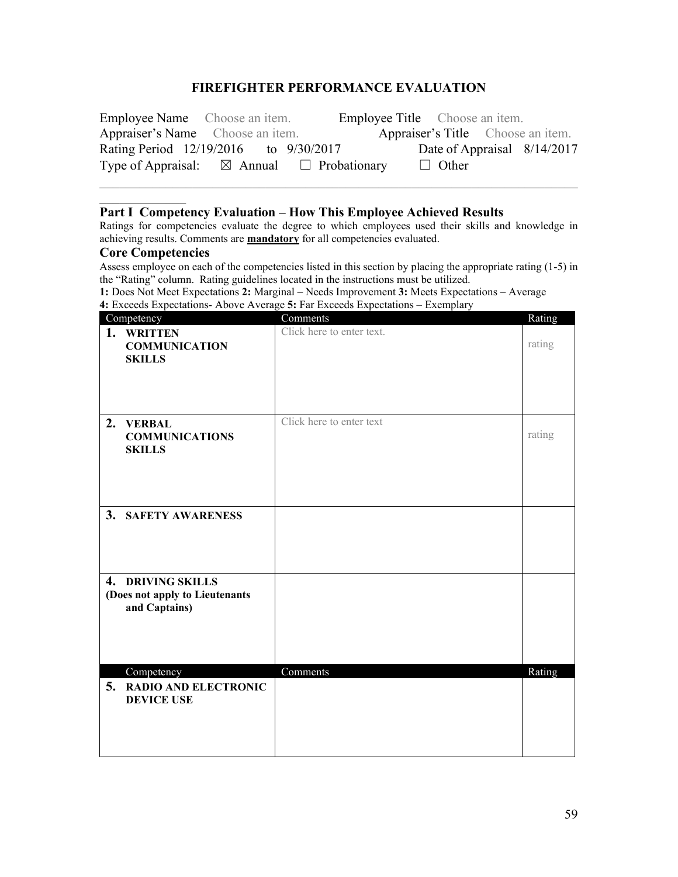#### **FIREFIGHTER PERFORMANCE EVALUATION**

| <b>Employee Name</b> Choose an item.  |                                                           | <b>Employee Title</b> Choose an item. |  |
|---------------------------------------|-----------------------------------------------------------|---------------------------------------|--|
| Appraiser's Name Choose an item.      |                                                           | Appraiser's Title Choose an item.     |  |
| Rating Period 12/19/2016 to 9/30/2017 |                                                           | Date of Appraisal 8/14/2017           |  |
|                                       | Type of Appraisal: $\boxtimes$ Annual $\Box$ Probationary | $\Box$ Other                          |  |

#### **Part I Competency Evaluation – How This Employee Achieved Results**

Ratings for competencies evaluate the degree to which employees used their skills and knowledge in achieving results. Comments are **mandatory** for all competencies evaluated.

#### **Core Competencies**

Assess employee on each of the competencies listed in this section by placing the appropriate rating (1-5) in the "Rating" column. Rating guidelines located in the instructions must be utilized.

**1:** Does Not Meet Expectations **2:** Marginal – Needs Improvement **3:** Meets Expectations – Average **4:** Exceeds Expectations- Above Average **5:** Far Exceeds Expectations – Exemplary

|    | Competency                                                           | Comments                  | Rating |
|----|----------------------------------------------------------------------|---------------------------|--------|
|    | 1. WRITTEN<br><b>COMMUNICATION</b><br><b>SKILLS</b>                  | Click here to enter text. | rating |
| 2. | <b>VERBAL</b><br><b>COMMUNICATIONS</b><br><b>SKILLS</b>              | Click here to enter text  | rating |
|    | 3. SAFETY AWARENESS                                                  |                           |        |
|    | 4. DRIVING SKILLS<br>(Does not apply to Lieutenants<br>and Captains) |                           |        |
| 5. | Competency<br><b>RADIO AND ELECTRONIC</b><br><b>DEVICE USE</b>       | Comments                  | Rating |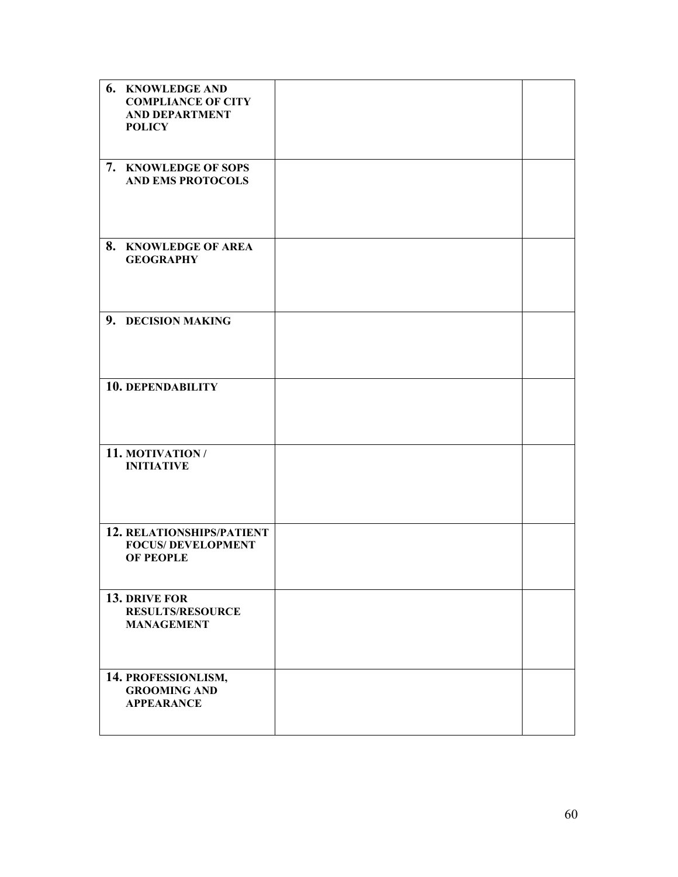| 6. KNOWLEDGE AND<br><b>COMPLIANCE OF CITY</b><br><b>AND DEPARTMENT</b><br><b>POLICY</b> |  |
|-----------------------------------------------------------------------------------------|--|
| 7. KNOWLEDGE OF SOPS<br><b>AND EMS PROTOCOLS</b>                                        |  |
| 8. KNOWLEDGE OF AREA<br><b>GEOGRAPHY</b>                                                |  |
| 9. DECISION MAKING                                                                      |  |
| 10. DEPENDABILITY                                                                       |  |
| 11. MOTIVATION /<br><b>INITIATIVE</b>                                                   |  |
| 12. RELATIONSHIPS/PATIENT<br><b>FOCUS/ DEVELOPMENT</b><br><b>OF PEOPLE</b>              |  |
| 13. DRIVE FOR<br><b>RESULTS/RESOURCE</b><br><b>MANAGEMENT</b>                           |  |
| 14. PROFESSIONLISM,<br><b>GROOMING AND</b><br><b>APPEARANCE</b>                         |  |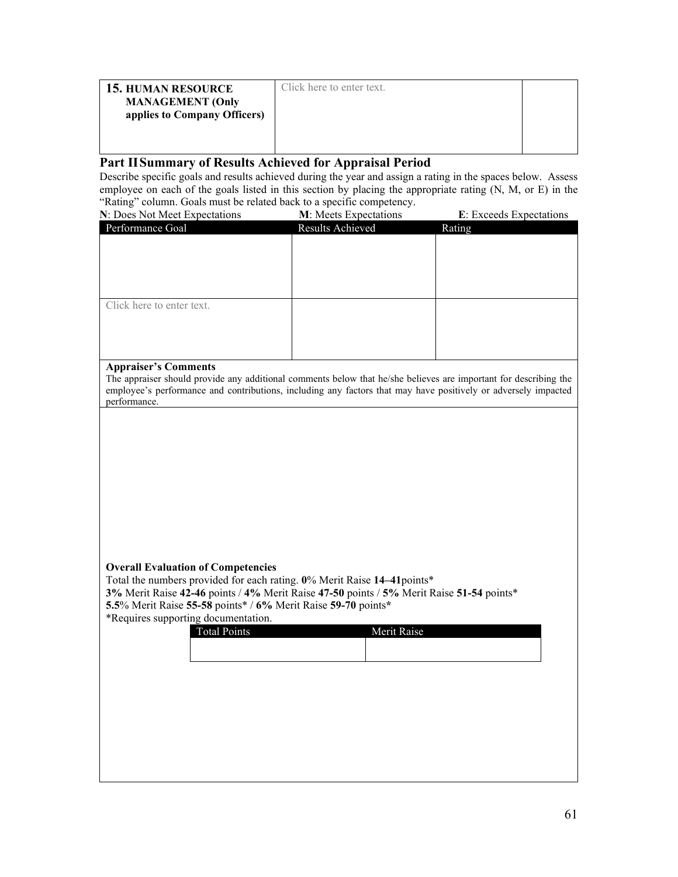| <b>15. HUMAN RESOURCE</b><br><b>MANAGEMENT</b> (Only<br>applies to Company Officers) | Click here to enter text. |  |
|--------------------------------------------------------------------------------------|---------------------------|--|
|                                                                                      |                           |  |

#### **Part IISummary of Results Achieved for Appraisal Period**

Describe specific goals and results achieved during the year and assign a rating in the spaces below. Assess employee on each of the goals listed in this section by placing the appropriate rating (N, M, or E) in the "Rating" column. Goals must be related back to a specific competency.

| N: Does Not Meet Expectations | M: Meets Expectations | E: Exceeds Expectations |
|-------------------------------|-----------------------|-------------------------|
| Performance Goal              | Results Achieved      | Rating                  |
|                               |                       |                         |
|                               |                       |                         |
|                               |                       |                         |
|                               |                       |                         |
|                               |                       |                         |
| Click here to enter text.     |                       |                         |
|                               |                       |                         |
|                               |                       |                         |
|                               |                       |                         |
|                               |                       |                         |

#### **Appraiser's Comments**

The appraiser should provide any additional comments below that he/she believes are important for describing the employee's performance and contributions, including any factors that may have positively or adversely impacted performance.

#### **Overall Evaluation of Competencies**

Total the numbers provided for each rating. **0**% Merit Raise **14–41**points\*

**3%** Merit Raise **42-46** points / **4%** Merit Raise **47-50** points / **5%** Merit Raise **51-54** points\* **5.5**% Merit Raise **55-58** points\* / **6%** Merit Raise **59-70** points**\***

\*Requires supporting documentation.

| <b>Total Points</b> | Merit Raise |
|---------------------|-------------|
|                     |             |
|                     |             |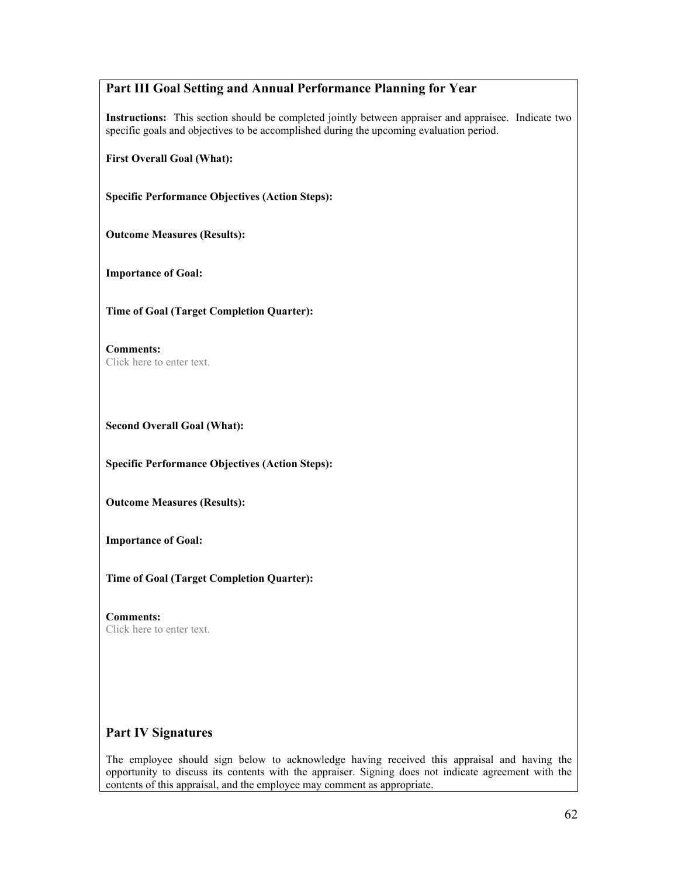# **Part III Goal Setting and Annual Performance Planning for Year**

**Instructions:** This section should be completed jointly between appraiser and appraisee. Indicate two specific goals and objectives to be accomplished during the upcoming evaluation period.

**First Overall Goal (What):** 

**Specific Performance Objectives (Action Steps):**

**Outcome Measures (Results):**

**Importance of Goal:**

**Time of Goal (Target Completion Quarter):**

**Comments:** Click here to enter text.

**Second Overall Goal (What):** 

**Specific Performance Objectives (Action Steps):**

**Outcome Measures (Results):**

**Importance of Goal:**

**Time of Goal (Target Completion Quarter):**

**Comments:** Click here to enter text.

#### **Part IV Signatures**

The employee should sign below to acknowledge having received this appraisal and having the opportunity to discuss its contents with the appraiser. Signing does not indicate agreement with the contents of this appraisal, and the employee may comment as appropriate.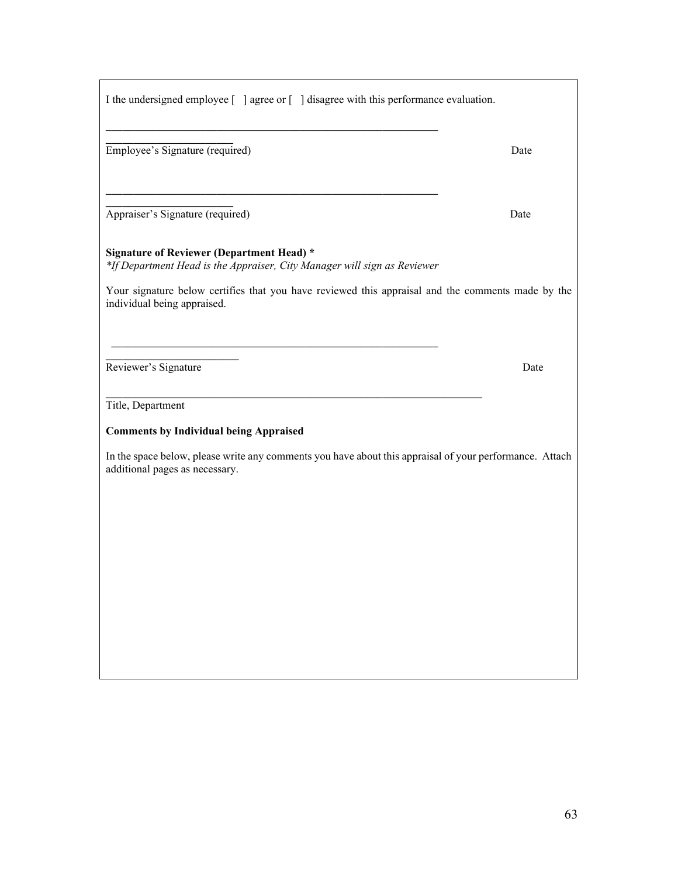| I the undersigned employee [ ] agree or [ ] disagree with this performance evaluation.                                                                                                                                                                           |      |
|------------------------------------------------------------------------------------------------------------------------------------------------------------------------------------------------------------------------------------------------------------------|------|
| Employee's Signature (required)                                                                                                                                                                                                                                  | Date |
| Appraiser's Signature (required)                                                                                                                                                                                                                                 | Date |
| <b>Signature of Reviewer (Department Head)</b> *<br>*If Department Head is the Appraiser, City Manager will sign as Reviewer<br>Your signature below certifies that you have reviewed this appraisal and the comments made by the<br>individual being appraised. |      |
| Reviewer's Signature                                                                                                                                                                                                                                             | Date |
| Title, Department                                                                                                                                                                                                                                                |      |
| <b>Comments by Individual being Appraised</b><br>In the space below, please write any comments you have about this appraisal of your performance. Attach<br>additional pages as necessary.                                                                       |      |
|                                                                                                                                                                                                                                                                  |      |
|                                                                                                                                                                                                                                                                  |      |
|                                                                                                                                                                                                                                                                  |      |

Г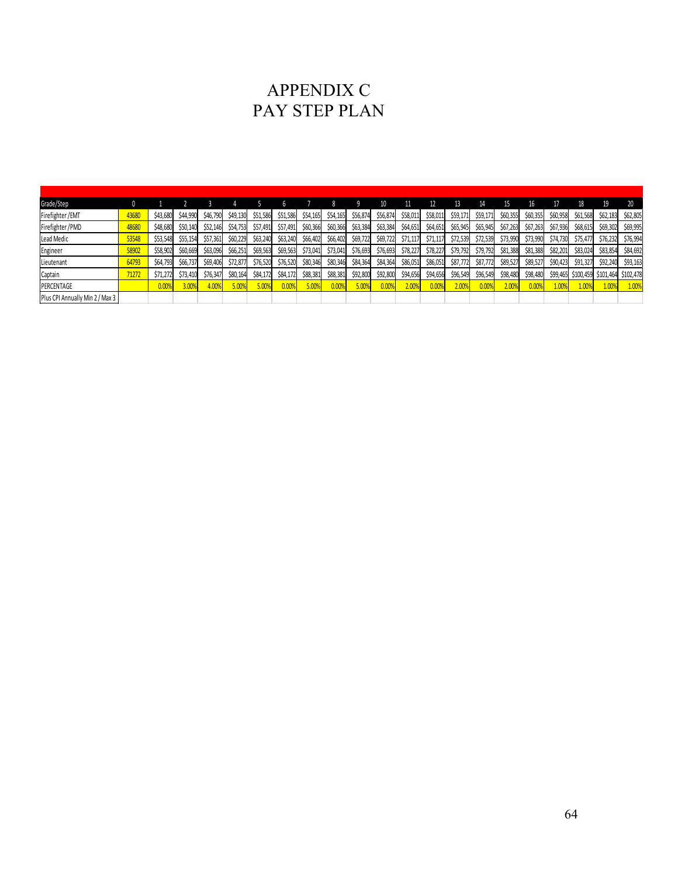# APPENDIX C PAY STEP PLAN

| Grade/Step                      | 0     |          |          |          |          |          | h        |          |          |          |          |          |          |          |          | 15       | 16       |          |           | 19        | 20        |
|---------------------------------|-------|----------|----------|----------|----------|----------|----------|----------|----------|----------|----------|----------|----------|----------|----------|----------|----------|----------|-----------|-----------|-----------|
| Firefighter/EMT                 | 43680 | \$43,680 | \$44,990 | \$46,790 | \$49,130 | \$51,586 | \$51,586 | \$54,165 | \$54,165 | \$56,874 | \$56,874 | \$58,011 | \$58,011 | \$59,171 | \$59,171 | \$60,355 | \$60,355 | \$60,958 | \$61,568  | \$62,183  | \$62,805  |
| Firefighter / PMD               | 48680 | \$48,680 | \$50,140 |          | \$54,753 | \$57,491 | \$57,491 | \$60,366 | \$60,366 | \$63,384 | \$63,384 | \$64,651 | \$64,651 | \$65,945 | \$65,945 | \$67,263 | \$67,263 | \$67,936 | \$68,615  | \$69,302  | \$69,995  |
| Lead Medic                      | 53548 | \$53,548 | \$55,154 | \$57,361 | \$60,229 | \$63,240 | \$63,240 | \$66,402 | \$66,402 | \$69,722 | \$69,722 | \$71,117 | \$71,117 | \$72,539 | \$72,539 | \$73,990 | \$73,990 | \$74,730 | \$75.477  | \$76,232  | \$76,994  |
| Engineer                        | 58902 | \$58,902 | \$60,669 | \$63,096 | \$66,251 | \$69,563 | \$69,563 | \$73,041 | \$73,041 | \$76,693 | \$76,693 | \$78,227 | \$78,227 | \$79,792 | \$79,792 | \$81,388 | \$81,388 | \$82,201 | \$83,024  | \$83,854  | \$84,692  |
| Lieutenant                      | 64793 | \$64,793 | \$66,737 | \$69,406 | \$72,877 | \$76,520 | \$76,520 | \$80,346 | \$80,346 | \$84,364 | \$84,364 | \$86,051 | \$86,051 | \$87,772 | \$87,772 | \$89,527 | \$89,527 | \$90,423 | \$91,327  | \$92,240  | \$93,163  |
| Captain                         | 71272 | \$71,272 | \$73,410 | \$76,347 | \$80,164 | \$84,172 | \$84,172 | \$88,381 | \$88,381 | \$92,800 | \$92,800 | \$94,656 | \$94,656 | \$96,549 | \$96,549 | \$98,480 | \$98,480 | \$99,465 | \$100,459 | \$101,464 | \$102,478 |
| PERCENTAGE                      |       | 0.00%    | 3.00%    | 4.00%    | 5.00%    | 5.00%    | 0.00%    | 5.00%    | 0.00%    | 5.00%    | 0.009    | 2.00%    | 0.009    | 2.00%    | 0.009    | 2.00%    | 0.009    | 1.009    | 1.00%     | 1.009     | 1.00%     |
| Plus CPI Annually Min 2 / Max 3 |       |          |          |          |          |          |          |          |          |          |          |          |          |          |          |          |          |          |           |           |           |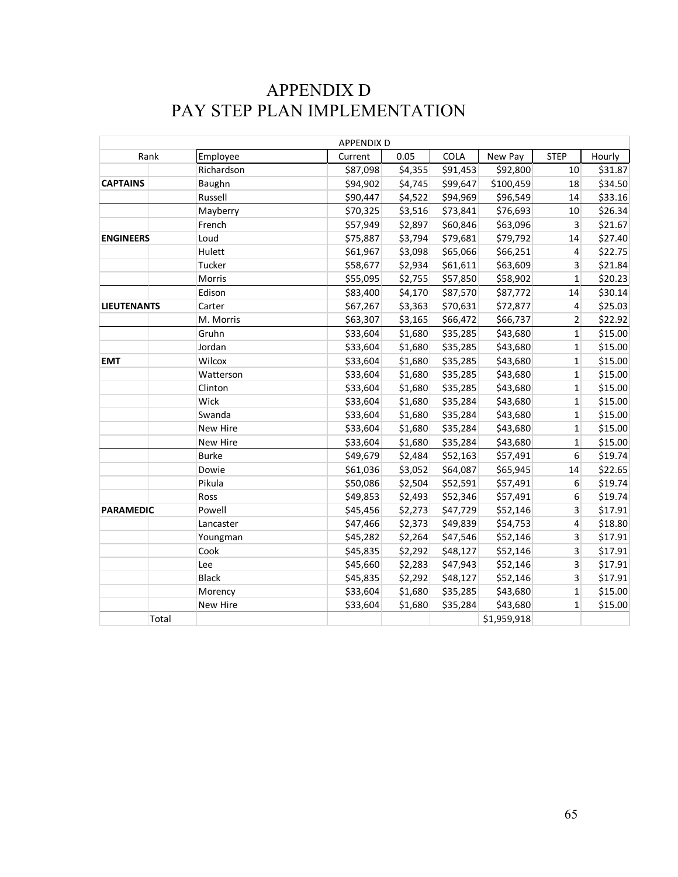# APPENDIX D PAY STEP PLAN IMPLEMENTATION

|                    |              | <b>APPENDIX D</b> |         |             |             |                  |         |
|--------------------|--------------|-------------------|---------|-------------|-------------|------------------|---------|
| Rank               | Employee     | Current           | 0.05    | <b>COLA</b> | New Pay     | <b>STEP</b>      | Hourly  |
|                    | Richardson   | \$87,098          | \$4,355 | \$91,453    | \$92,800    | 10               | \$31.87 |
| <b>CAPTAINS</b>    | Baughn       | \$94,902          | \$4,745 | \$99,647    | \$100,459   | 18               | \$34.50 |
|                    | Russell      | \$90,447          | \$4,522 | \$94,969    | \$96,549    | 14               | \$33.16 |
|                    | Mayberry     | \$70,325          | \$3,516 | \$73,841    | \$76,693    | 10               | \$26.34 |
|                    | French       | \$57,949          | \$2,897 | \$60,846    | \$63,096    | 3                | \$21.67 |
| <b>ENGINEERS</b>   | Loud         | \$75,887          | \$3,794 | \$79,681    | \$79,792    | 14               | \$27.40 |
|                    | Hulett       | \$61,967          | \$3,098 | \$65,066    | \$66,251    | $\overline{4}$   | \$22.75 |
|                    | Tucker       | \$58,677          | \$2,934 | \$61,611    | \$63,609    | 3                | \$21.84 |
|                    | Morris       | \$55,095          | \$2,755 | \$57,850    | \$58,902    | $\mathbf{1}$     | \$20.23 |
|                    | Edison       | \$83,400          | \$4,170 | \$87,570    | \$87,772    | 14               | \$30.14 |
| <b>LIEUTENANTS</b> | Carter       | \$67,267          | \$3,363 | \$70,631    | \$72,877    | 4                | \$25.03 |
|                    | M. Morris    | \$63,307          | \$3,165 | \$66,472    | \$66,737    | $\overline{2}$   | \$22.92 |
|                    | Gruhn        | \$33,604          | \$1,680 | \$35,285    | \$43,680    | $\mathbf 1$      | \$15.00 |
|                    | Jordan       | \$33,604          | \$1,680 | \$35,285    | \$43,680    | $\mathbf{1}$     | \$15.00 |
| <b>EMT</b>         | Wilcox       | \$33,604          | \$1,680 | \$35,285    | \$43,680    | $\mathbf{1}$     | \$15.00 |
|                    | Watterson    | \$33,604          | \$1,680 | \$35,285    | \$43,680    | $\mathbf{1}$     | \$15.00 |
|                    | Clinton      | \$33,604          | \$1,680 | \$35,285    | \$43,680    | $\mathbf{1}$     | \$15.00 |
|                    | Wick         | \$33,604          | \$1,680 | \$35,284    | \$43,680    | $\mathbf{1}$     | \$15.00 |
|                    | Swanda       | \$33,604          | \$1,680 | \$35,284    | \$43,680    | $\mathbf{1}$     | \$15.00 |
|                    | New Hire     | \$33,604          | \$1,680 | \$35,284    | \$43,680    | $\mathbf{1}$     | \$15.00 |
|                    | New Hire     | \$33,604          | \$1,680 | \$35,284    | \$43,680    | $\mathbf 1$      | \$15.00 |
|                    | <b>Burke</b> | \$49,679          | \$2,484 | \$52,163    | \$57,491    | $\boldsymbol{6}$ | \$19.74 |
|                    | Dowie        | \$61,036          | \$3,052 | \$64,087    | \$65,945    | 14               | \$22.65 |
|                    | Pikula       | \$50,086          | \$2,504 | \$52,591    | \$57,491    | $\boldsymbol{6}$ | \$19.74 |
|                    | Ross         | \$49,853          | \$2,493 | \$52,346    | \$57,491    | 6                | \$19.74 |
| <b>PARAMEDIC</b>   | Powell       | \$45,456          | \$2,273 | \$47,729    | \$52,146    | 3                | \$17.91 |
|                    | Lancaster    | \$47,466          | \$2,373 | \$49,839    | \$54,753    | $\overline{4}$   | \$18.80 |
|                    | Youngman     | \$45,282          | \$2,264 | \$47,546    | \$52,146    | 3                | \$17.91 |
|                    | Cook         | \$45,835          | \$2,292 | \$48,127    | \$52,146    | 3                | \$17.91 |
|                    | Lee          | \$45,660          | \$2,283 | \$47,943    | \$52,146    | 3                | \$17.91 |
|                    | <b>Black</b> | \$45,835          | \$2,292 | \$48,127    | \$52,146    | 3                | \$17.91 |
|                    | Morency      | \$33,604          | \$1,680 | \$35,285    | \$43,680    | 1                | \$15.00 |
|                    | New Hire     | \$33,604          | \$1,680 | \$35,284    | \$43,680    | $\mathbf{1}$     | \$15.00 |
| Total              |              |                   |         |             | \$1,959,918 |                  |         |